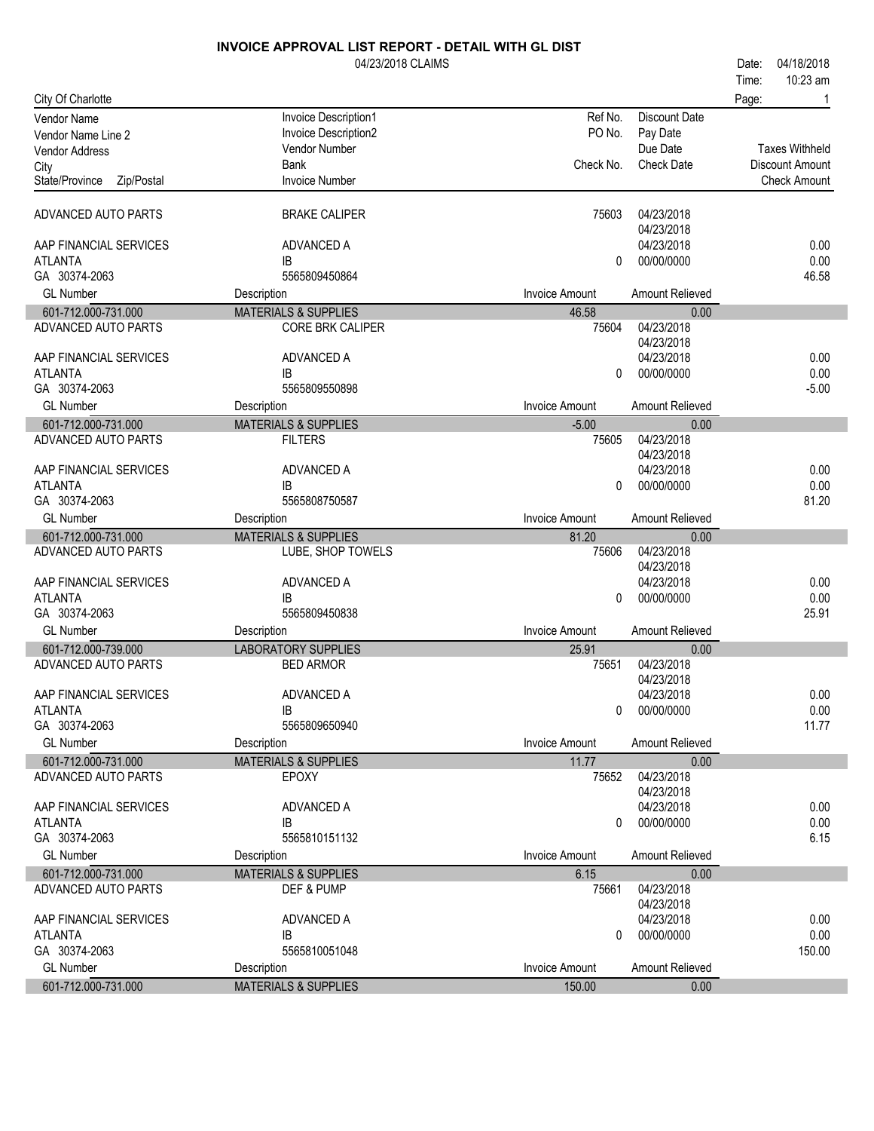|                                          | 04/23/2018 CLAIMS               |                       |                          | 04/18/2018<br>Date:   |
|------------------------------------------|---------------------------------|-----------------------|--------------------------|-----------------------|
|                                          |                                 |                       |                          | 10:23 am<br>Time:     |
| City Of Charlotte                        |                                 |                       |                          | Page:                 |
| <b>Vendor Name</b>                       | Invoice Description1            | Ref No.               | <b>Discount Date</b>     |                       |
| Vendor Name Line 2                       | Invoice Description2            | PO No.                | Pay Date                 |                       |
| <b>Vendor Address</b>                    | Vendor Number                   |                       | Due Date                 | <b>Taxes Withheld</b> |
| City                                     | <b>Bank</b>                     | Check No.             | <b>Check Date</b>        | Discount Amount       |
| State/Province<br>Zip/Postal             | <b>Invoice Number</b>           |                       |                          | <b>Check Amount</b>   |
|                                          |                                 |                       |                          |                       |
| ADVANCED AUTO PARTS                      | <b>BRAKE CALIPER</b>            | 75603                 | 04/23/2018               |                       |
|                                          |                                 |                       | 04/23/2018               |                       |
| AAP FINANCIAL SERVICES                   | ADVANCED A                      |                       | 04/23/2018               | 0.00                  |
| <b>ATLANTA</b>                           | IB.                             | 0                     | 00/00/0000               | 0.00                  |
| GA 30374-2063                            | 5565809450864                   |                       |                          | 46.58                 |
| <b>GL Number</b>                         | Description                     | Invoice Amount        | Amount Relieved          |                       |
| 601-712.000-731.000                      | <b>MATERIALS &amp; SUPPLIES</b> | 46.58                 | 0.00                     |                       |
| ADVANCED AUTO PARTS                      | <b>CORE BRK CALIPER</b>         | 75604                 | 04/23/2018               |                       |
|                                          |                                 |                       | 04/23/2018               |                       |
| AAP FINANCIAL SERVICES                   | ADVANCED A                      |                       | 04/23/2018               | 0.00                  |
| <b>ATLANTA</b>                           | <b>IB</b><br>5565809550898      | 0                     | 00/00/0000               | 0.00                  |
| GA 30374-2063                            |                                 |                       | Amount Relieved          | $-5.00$               |
| <b>GL Number</b>                         | Description                     | <b>Invoice Amount</b> |                          |                       |
| 601-712.000-731.000                      | <b>MATERIALS &amp; SUPPLIES</b> | $-5.00$               | 0.00                     |                       |
| ADVANCED AUTO PARTS                      | <b>FILTERS</b>                  | 75605                 | 04/23/2018               |                       |
| AAP FINANCIAL SERVICES                   | ADVANCED A                      |                       | 04/23/2018<br>04/23/2018 | 0.00                  |
| <b>ATLANTA</b>                           | IB                              | 0                     | 00/00/0000               | 0.00                  |
| GA 30374-2063                            | 5565808750587                   |                       |                          | 81.20                 |
| <b>GL Number</b>                         | Description                     | <b>Invoice Amount</b> | Amount Relieved          |                       |
|                                          |                                 |                       |                          |                       |
|                                          |                                 |                       |                          |                       |
| 601-712.000-731.000                      | <b>MATERIALS &amp; SUPPLIES</b> | 81.20                 | 0.00                     |                       |
| ADVANCED AUTO PARTS                      | LUBE, SHOP TOWELS               | 75606                 | 04/23/2018               |                       |
|                                          |                                 |                       | 04/23/2018               |                       |
| AAP FINANCIAL SERVICES                   | ADVANCED A                      |                       | 04/23/2018               | 0.00                  |
| <b>ATLANTA</b>                           | IB                              | 0                     | 00/00/0000               | 0.00                  |
| GA 30374-2063                            | 5565809450838                   |                       |                          | 25.91                 |
| <b>GL Number</b>                         | Description                     | Invoice Amount        | Amount Relieved          |                       |
| 601-712.000-739.000                      | <b>LABORATORY SUPPLIES</b>      | 25.91                 | 0.00                     |                       |
| ADVANCED AUTO PARTS                      | <b>BED ARMOR</b>                | 75651                 | 04/23/2018               |                       |
|                                          |                                 |                       | 04/23/2018               |                       |
| AAP FINANCIAL SERVICES<br><b>ATLANTA</b> | ADVANCED A<br>IB                | 0                     | 04/23/2018<br>00/00/0000 | 0.00                  |
| GA 30374-2063                            | 5565809650940                   |                       |                          | 0.00<br>11.77         |
| <b>GL Number</b>                         | Description                     | <b>Invoice Amount</b> | Amount Relieved          |                       |
|                                          |                                 |                       | 0.00                     |                       |
| 601-712.000-731.000                      | <b>MATERIALS &amp; SUPPLIES</b> | 11.77                 |                          |                       |
| ADVANCED AUTO PARTS                      | <b>EPOXY</b>                    | 75652                 | 04/23/2018<br>04/23/2018 |                       |
| AAP FINANCIAL SERVICES                   | ADVANCED A                      |                       | 04/23/2018               | 0.00                  |
| <b>ATLANTA</b>                           | IB                              | 0                     | 00/00/0000               | 0.00                  |
| GA 30374-2063                            | 5565810151132                   |                       |                          | 6.15                  |
| <b>GL Number</b>                         | Description                     | <b>Invoice Amount</b> | Amount Relieved          |                       |
| 601-712.000-731.000                      | <b>MATERIALS &amp; SUPPLIES</b> | 6.15                  | 0.00                     |                       |
| ADVANCED AUTO PARTS                      | DEF & PUMP                      | 75661                 | 04/23/2018               |                       |
|                                          |                                 |                       | 04/23/2018               |                       |
| AAP FINANCIAL SERVICES                   | ADVANCED A                      |                       | 04/23/2018               | 0.00                  |
| ATLANTA                                  | IB                              | 0                     | 00/00/0000               | 0.00                  |
| GA 30374-2063                            | 5565810051048                   |                       |                          | 150.00                |
| <b>GL Number</b><br>601-712.000-731.000  | Description                     | Invoice Amount        | Amount Relieved          |                       |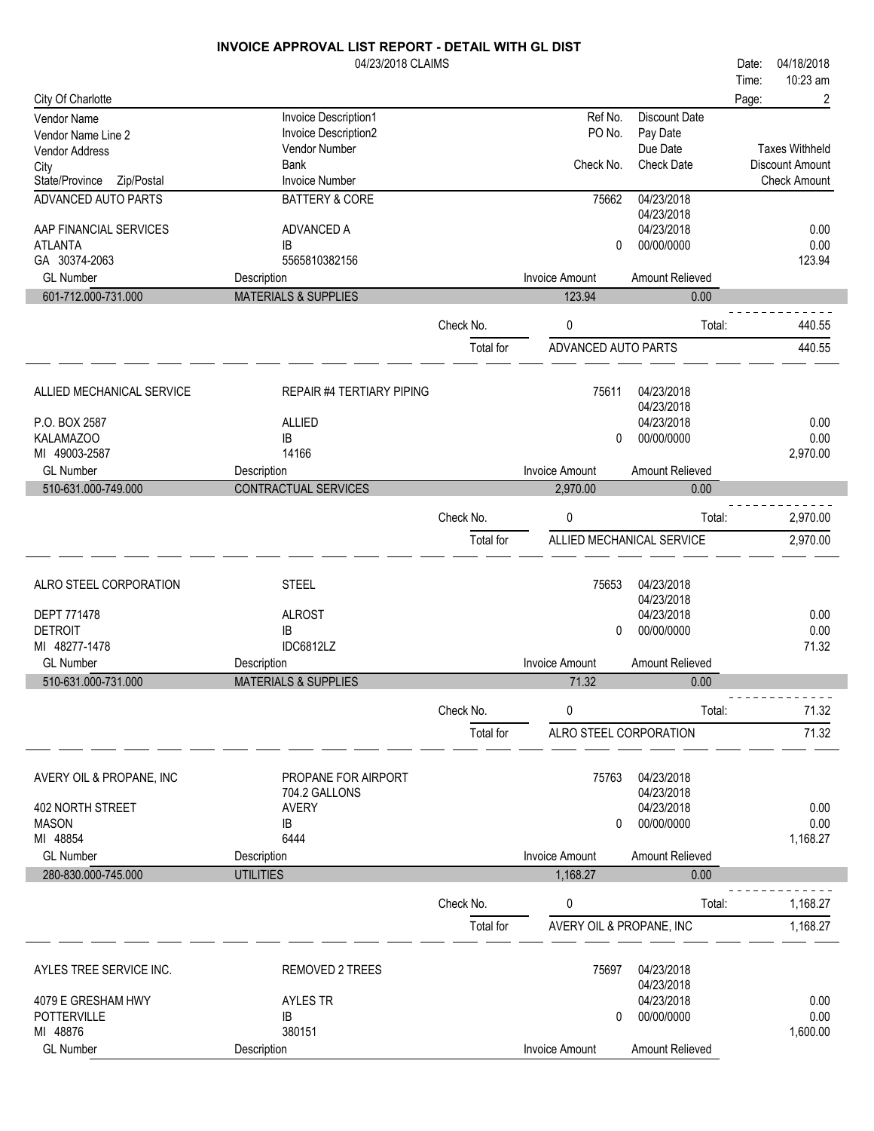| Time:<br>City Of Charlotte<br>2<br>Page:<br>Ref No.<br>Invoice Description1<br><b>Discount Date</b><br>Vendor Name<br>PO No.<br>Invoice Description2<br>Pay Date<br>Vendor Name Line 2<br>Due Date<br><b>Taxes Withheld</b><br>Vendor Number<br>Vendor Address<br>Check No.<br><b>Check Date</b><br><b>Bank</b><br><b>Discount Amount</b><br>City<br><b>Invoice Number</b><br>State/Province<br>Zip/Postal<br><b>Check Amount</b><br>04/23/2018<br>ADVANCED AUTO PARTS<br><b>BATTERY &amp; CORE</b><br>75662<br>04/23/2018<br>04/23/2018<br>AAP FINANCIAL SERVICES<br>ADVANCED A<br>0.00<br>00/00/0000<br>0.00<br><b>ATLANTA</b><br>IB<br>0<br>123.94<br>GA 30374-2063<br>5565810382156<br><b>GL Number</b><br><b>Invoice Amount</b><br>Amount Relieved<br>Description<br><b>MATERIALS &amp; SUPPLIES</b><br>601-712.000-731.000<br>123.94<br>0.00<br>Check No.<br>0<br>440.55<br>Total:<br>440.55<br>Total for<br>ADVANCED AUTO PARTS<br>75611<br>04/23/2018<br>ALLIED MECHANICAL SERVICE<br><b>REPAIR #4 TERTIARY PIPING</b><br>04/23/2018<br>04/23/2018<br>0.00<br>P.O. BOX 2587<br><b>ALLIED</b><br>KALAMAZOO<br>00/00/0000<br>0.00<br>IB<br>0<br>MI 49003-2587<br>14166<br>2,970.00<br><b>GL Number</b><br><b>Invoice Amount</b><br>Amount Relieved<br>Description<br>510-631.000-749.000<br>CONTRACTUAL SERVICES<br>2,970.00<br>0.00<br>2,970.00<br>Check No.<br>0<br>Total:<br>ALLIED MECHANICAL SERVICE<br>Total for<br>2,970.00<br><b>STEEL</b><br>04/23/2018<br>ALRO STEEL CORPORATION<br>75653<br>04/23/2018<br>04/23/2018<br>0.00<br><b>DEPT 771478</b><br><b>ALROST</b><br><b>DETROIT</b><br>00/00/0000<br>0.00<br>IB<br>0<br>IDC6812LZ<br>71.32<br>MI 48277-1478<br>Amount Relieved<br><b>GL Number</b><br><b>Invoice Amount</b><br>Description<br>510-631.000-731.000<br><b>MATERIALS &amp; SUPPLIES</b><br>71.32<br>0.00<br>0<br>Check No.<br>Total:<br>71.32<br>71.32<br>ALRO STEEL CORPORATION<br>Total for<br>04/23/2018<br>AVERY OIL & PROPANE, INC<br>PROPANE FOR AIRPORT<br>75763<br>04/23/2018<br>704.2 GALLONS<br>04/23/2018<br>402 NORTH STREET<br><b>AVERY</b><br>0.00<br><b>MASON</b><br>00/00/0000<br>IB<br>0.00<br>0<br>MI 48854<br>6444<br>1,168.27<br><b>GL Number</b><br><b>Invoice Amount</b><br>Amount Relieved<br>Description<br>280-830.000-745.000<br><b>UTILITIES</b><br>1,168.27<br>0.00<br>Check No.<br>1,168.27<br>0<br>Total:<br>Total for<br>AVERY OIL & PROPANE, INC<br>1,168.27<br>04/23/2018<br>AYLES TREE SERVICE INC.<br><b>REMOVED 2 TREES</b><br>75697<br>04/23/2018<br>04/23/2018<br>4079 E GRESHAM HWY<br><b>AYLES TR</b><br>0.00<br><b>POTTERVILLE</b><br>IB<br>00/00/0000<br>0.00<br>0<br>MI 48876<br>380151<br>1,600.00<br><b>GL Number</b><br>Description<br>Invoice Amount<br>Amount Relieved | 04/23/2018 CLAIMS |  | 04/18/2018<br>Date: |
|--------------------------------------------------------------------------------------------------------------------------------------------------------------------------------------------------------------------------------------------------------------------------------------------------------------------------------------------------------------------------------------------------------------------------------------------------------------------------------------------------------------------------------------------------------------------------------------------------------------------------------------------------------------------------------------------------------------------------------------------------------------------------------------------------------------------------------------------------------------------------------------------------------------------------------------------------------------------------------------------------------------------------------------------------------------------------------------------------------------------------------------------------------------------------------------------------------------------------------------------------------------------------------------------------------------------------------------------------------------------------------------------------------------------------------------------------------------------------------------------------------------------------------------------------------------------------------------------------------------------------------------------------------------------------------------------------------------------------------------------------------------------------------------------------------------------------------------------------------------------------------------------------------------------------------------------------------------------------------------------------------------------------------------------------------------------------------------------------------------------------------------------------------------------------------------------------------------------------------------------------------------------------------------------------------------------------------------------------------------------------------------------------------------------------------------------------------------------------------------------------------------------------------------------------------------------------------------------------------------------------------------------------------------------------------------------------------------------------------------------------------|-------------------|--|---------------------|
|                                                                                                                                                                                                                                                                                                                                                                                                                                                                                                                                                                                                                                                                                                                                                                                                                                                                                                                                                                                                                                                                                                                                                                                                                                                                                                                                                                                                                                                                                                                                                                                                                                                                                                                                                                                                                                                                                                                                                                                                                                                                                                                                                                                                                                                                                                                                                                                                                                                                                                                                                                                                                                                                                                                                                        |                   |  | 10:23 am            |
|                                                                                                                                                                                                                                                                                                                                                                                                                                                                                                                                                                                                                                                                                                                                                                                                                                                                                                                                                                                                                                                                                                                                                                                                                                                                                                                                                                                                                                                                                                                                                                                                                                                                                                                                                                                                                                                                                                                                                                                                                                                                                                                                                                                                                                                                                                                                                                                                                                                                                                                                                                                                                                                                                                                                                        |                   |  |                     |
|                                                                                                                                                                                                                                                                                                                                                                                                                                                                                                                                                                                                                                                                                                                                                                                                                                                                                                                                                                                                                                                                                                                                                                                                                                                                                                                                                                                                                                                                                                                                                                                                                                                                                                                                                                                                                                                                                                                                                                                                                                                                                                                                                                                                                                                                                                                                                                                                                                                                                                                                                                                                                                                                                                                                                        |                   |  |                     |
|                                                                                                                                                                                                                                                                                                                                                                                                                                                                                                                                                                                                                                                                                                                                                                                                                                                                                                                                                                                                                                                                                                                                                                                                                                                                                                                                                                                                                                                                                                                                                                                                                                                                                                                                                                                                                                                                                                                                                                                                                                                                                                                                                                                                                                                                                                                                                                                                                                                                                                                                                                                                                                                                                                                                                        |                   |  |                     |
|                                                                                                                                                                                                                                                                                                                                                                                                                                                                                                                                                                                                                                                                                                                                                                                                                                                                                                                                                                                                                                                                                                                                                                                                                                                                                                                                                                                                                                                                                                                                                                                                                                                                                                                                                                                                                                                                                                                                                                                                                                                                                                                                                                                                                                                                                                                                                                                                                                                                                                                                                                                                                                                                                                                                                        |                   |  |                     |
|                                                                                                                                                                                                                                                                                                                                                                                                                                                                                                                                                                                                                                                                                                                                                                                                                                                                                                                                                                                                                                                                                                                                                                                                                                                                                                                                                                                                                                                                                                                                                                                                                                                                                                                                                                                                                                                                                                                                                                                                                                                                                                                                                                                                                                                                                                                                                                                                                                                                                                                                                                                                                                                                                                                                                        |                   |  |                     |
|                                                                                                                                                                                                                                                                                                                                                                                                                                                                                                                                                                                                                                                                                                                                                                                                                                                                                                                                                                                                                                                                                                                                                                                                                                                                                                                                                                                                                                                                                                                                                                                                                                                                                                                                                                                                                                                                                                                                                                                                                                                                                                                                                                                                                                                                                                                                                                                                                                                                                                                                                                                                                                                                                                                                                        |                   |  |                     |
|                                                                                                                                                                                                                                                                                                                                                                                                                                                                                                                                                                                                                                                                                                                                                                                                                                                                                                                                                                                                                                                                                                                                                                                                                                                                                                                                                                                                                                                                                                                                                                                                                                                                                                                                                                                                                                                                                                                                                                                                                                                                                                                                                                                                                                                                                                                                                                                                                                                                                                                                                                                                                                                                                                                                                        |                   |  |                     |
|                                                                                                                                                                                                                                                                                                                                                                                                                                                                                                                                                                                                                                                                                                                                                                                                                                                                                                                                                                                                                                                                                                                                                                                                                                                                                                                                                                                                                                                                                                                                                                                                                                                                                                                                                                                                                                                                                                                                                                                                                                                                                                                                                                                                                                                                                                                                                                                                                                                                                                                                                                                                                                                                                                                                                        |                   |  |                     |
|                                                                                                                                                                                                                                                                                                                                                                                                                                                                                                                                                                                                                                                                                                                                                                                                                                                                                                                                                                                                                                                                                                                                                                                                                                                                                                                                                                                                                                                                                                                                                                                                                                                                                                                                                                                                                                                                                                                                                                                                                                                                                                                                                                                                                                                                                                                                                                                                                                                                                                                                                                                                                                                                                                                                                        |                   |  |                     |
|                                                                                                                                                                                                                                                                                                                                                                                                                                                                                                                                                                                                                                                                                                                                                                                                                                                                                                                                                                                                                                                                                                                                                                                                                                                                                                                                                                                                                                                                                                                                                                                                                                                                                                                                                                                                                                                                                                                                                                                                                                                                                                                                                                                                                                                                                                                                                                                                                                                                                                                                                                                                                                                                                                                                                        |                   |  |                     |
|                                                                                                                                                                                                                                                                                                                                                                                                                                                                                                                                                                                                                                                                                                                                                                                                                                                                                                                                                                                                                                                                                                                                                                                                                                                                                                                                                                                                                                                                                                                                                                                                                                                                                                                                                                                                                                                                                                                                                                                                                                                                                                                                                                                                                                                                                                                                                                                                                                                                                                                                                                                                                                                                                                                                                        |                   |  |                     |
|                                                                                                                                                                                                                                                                                                                                                                                                                                                                                                                                                                                                                                                                                                                                                                                                                                                                                                                                                                                                                                                                                                                                                                                                                                                                                                                                                                                                                                                                                                                                                                                                                                                                                                                                                                                                                                                                                                                                                                                                                                                                                                                                                                                                                                                                                                                                                                                                                                                                                                                                                                                                                                                                                                                                                        |                   |  |                     |
|                                                                                                                                                                                                                                                                                                                                                                                                                                                                                                                                                                                                                                                                                                                                                                                                                                                                                                                                                                                                                                                                                                                                                                                                                                                                                                                                                                                                                                                                                                                                                                                                                                                                                                                                                                                                                                                                                                                                                                                                                                                                                                                                                                                                                                                                                                                                                                                                                                                                                                                                                                                                                                                                                                                                                        |                   |  |                     |
|                                                                                                                                                                                                                                                                                                                                                                                                                                                                                                                                                                                                                                                                                                                                                                                                                                                                                                                                                                                                                                                                                                                                                                                                                                                                                                                                                                                                                                                                                                                                                                                                                                                                                                                                                                                                                                                                                                                                                                                                                                                                                                                                                                                                                                                                                                                                                                                                                                                                                                                                                                                                                                                                                                                                                        |                   |  |                     |
|                                                                                                                                                                                                                                                                                                                                                                                                                                                                                                                                                                                                                                                                                                                                                                                                                                                                                                                                                                                                                                                                                                                                                                                                                                                                                                                                                                                                                                                                                                                                                                                                                                                                                                                                                                                                                                                                                                                                                                                                                                                                                                                                                                                                                                                                                                                                                                                                                                                                                                                                                                                                                                                                                                                                                        |                   |  |                     |
|                                                                                                                                                                                                                                                                                                                                                                                                                                                                                                                                                                                                                                                                                                                                                                                                                                                                                                                                                                                                                                                                                                                                                                                                                                                                                                                                                                                                                                                                                                                                                                                                                                                                                                                                                                                                                                                                                                                                                                                                                                                                                                                                                                                                                                                                                                                                                                                                                                                                                                                                                                                                                                                                                                                                                        |                   |  |                     |
|                                                                                                                                                                                                                                                                                                                                                                                                                                                                                                                                                                                                                                                                                                                                                                                                                                                                                                                                                                                                                                                                                                                                                                                                                                                                                                                                                                                                                                                                                                                                                                                                                                                                                                                                                                                                                                                                                                                                                                                                                                                                                                                                                                                                                                                                                                                                                                                                                                                                                                                                                                                                                                                                                                                                                        |                   |  |                     |
|                                                                                                                                                                                                                                                                                                                                                                                                                                                                                                                                                                                                                                                                                                                                                                                                                                                                                                                                                                                                                                                                                                                                                                                                                                                                                                                                                                                                                                                                                                                                                                                                                                                                                                                                                                                                                                                                                                                                                                                                                                                                                                                                                                                                                                                                                                                                                                                                                                                                                                                                                                                                                                                                                                                                                        |                   |  |                     |
|                                                                                                                                                                                                                                                                                                                                                                                                                                                                                                                                                                                                                                                                                                                                                                                                                                                                                                                                                                                                                                                                                                                                                                                                                                                                                                                                                                                                                                                                                                                                                                                                                                                                                                                                                                                                                                                                                                                                                                                                                                                                                                                                                                                                                                                                                                                                                                                                                                                                                                                                                                                                                                                                                                                                                        |                   |  |                     |
|                                                                                                                                                                                                                                                                                                                                                                                                                                                                                                                                                                                                                                                                                                                                                                                                                                                                                                                                                                                                                                                                                                                                                                                                                                                                                                                                                                                                                                                                                                                                                                                                                                                                                                                                                                                                                                                                                                                                                                                                                                                                                                                                                                                                                                                                                                                                                                                                                                                                                                                                                                                                                                                                                                                                                        |                   |  |                     |
|                                                                                                                                                                                                                                                                                                                                                                                                                                                                                                                                                                                                                                                                                                                                                                                                                                                                                                                                                                                                                                                                                                                                                                                                                                                                                                                                                                                                                                                                                                                                                                                                                                                                                                                                                                                                                                                                                                                                                                                                                                                                                                                                                                                                                                                                                                                                                                                                                                                                                                                                                                                                                                                                                                                                                        |                   |  |                     |
|                                                                                                                                                                                                                                                                                                                                                                                                                                                                                                                                                                                                                                                                                                                                                                                                                                                                                                                                                                                                                                                                                                                                                                                                                                                                                                                                                                                                                                                                                                                                                                                                                                                                                                                                                                                                                                                                                                                                                                                                                                                                                                                                                                                                                                                                                                                                                                                                                                                                                                                                                                                                                                                                                                                                                        |                   |  |                     |
|                                                                                                                                                                                                                                                                                                                                                                                                                                                                                                                                                                                                                                                                                                                                                                                                                                                                                                                                                                                                                                                                                                                                                                                                                                                                                                                                                                                                                                                                                                                                                                                                                                                                                                                                                                                                                                                                                                                                                                                                                                                                                                                                                                                                                                                                                                                                                                                                                                                                                                                                                                                                                                                                                                                                                        |                   |  |                     |
|                                                                                                                                                                                                                                                                                                                                                                                                                                                                                                                                                                                                                                                                                                                                                                                                                                                                                                                                                                                                                                                                                                                                                                                                                                                                                                                                                                                                                                                                                                                                                                                                                                                                                                                                                                                                                                                                                                                                                                                                                                                                                                                                                                                                                                                                                                                                                                                                                                                                                                                                                                                                                                                                                                                                                        |                   |  |                     |
|                                                                                                                                                                                                                                                                                                                                                                                                                                                                                                                                                                                                                                                                                                                                                                                                                                                                                                                                                                                                                                                                                                                                                                                                                                                                                                                                                                                                                                                                                                                                                                                                                                                                                                                                                                                                                                                                                                                                                                                                                                                                                                                                                                                                                                                                                                                                                                                                                                                                                                                                                                                                                                                                                                                                                        |                   |  |                     |
|                                                                                                                                                                                                                                                                                                                                                                                                                                                                                                                                                                                                                                                                                                                                                                                                                                                                                                                                                                                                                                                                                                                                                                                                                                                                                                                                                                                                                                                                                                                                                                                                                                                                                                                                                                                                                                                                                                                                                                                                                                                                                                                                                                                                                                                                                                                                                                                                                                                                                                                                                                                                                                                                                                                                                        |                   |  |                     |
|                                                                                                                                                                                                                                                                                                                                                                                                                                                                                                                                                                                                                                                                                                                                                                                                                                                                                                                                                                                                                                                                                                                                                                                                                                                                                                                                                                                                                                                                                                                                                                                                                                                                                                                                                                                                                                                                                                                                                                                                                                                                                                                                                                                                                                                                                                                                                                                                                                                                                                                                                                                                                                                                                                                                                        |                   |  |                     |
|                                                                                                                                                                                                                                                                                                                                                                                                                                                                                                                                                                                                                                                                                                                                                                                                                                                                                                                                                                                                                                                                                                                                                                                                                                                                                                                                                                                                                                                                                                                                                                                                                                                                                                                                                                                                                                                                                                                                                                                                                                                                                                                                                                                                                                                                                                                                                                                                                                                                                                                                                                                                                                                                                                                                                        |                   |  |                     |
|                                                                                                                                                                                                                                                                                                                                                                                                                                                                                                                                                                                                                                                                                                                                                                                                                                                                                                                                                                                                                                                                                                                                                                                                                                                                                                                                                                                                                                                                                                                                                                                                                                                                                                                                                                                                                                                                                                                                                                                                                                                                                                                                                                                                                                                                                                                                                                                                                                                                                                                                                                                                                                                                                                                                                        |                   |  |                     |
|                                                                                                                                                                                                                                                                                                                                                                                                                                                                                                                                                                                                                                                                                                                                                                                                                                                                                                                                                                                                                                                                                                                                                                                                                                                                                                                                                                                                                                                                                                                                                                                                                                                                                                                                                                                                                                                                                                                                                                                                                                                                                                                                                                                                                                                                                                                                                                                                                                                                                                                                                                                                                                                                                                                                                        |                   |  |                     |
|                                                                                                                                                                                                                                                                                                                                                                                                                                                                                                                                                                                                                                                                                                                                                                                                                                                                                                                                                                                                                                                                                                                                                                                                                                                                                                                                                                                                                                                                                                                                                                                                                                                                                                                                                                                                                                                                                                                                                                                                                                                                                                                                                                                                                                                                                                                                                                                                                                                                                                                                                                                                                                                                                                                                                        |                   |  |                     |
|                                                                                                                                                                                                                                                                                                                                                                                                                                                                                                                                                                                                                                                                                                                                                                                                                                                                                                                                                                                                                                                                                                                                                                                                                                                                                                                                                                                                                                                                                                                                                                                                                                                                                                                                                                                                                                                                                                                                                                                                                                                                                                                                                                                                                                                                                                                                                                                                                                                                                                                                                                                                                                                                                                                                                        |                   |  |                     |
|                                                                                                                                                                                                                                                                                                                                                                                                                                                                                                                                                                                                                                                                                                                                                                                                                                                                                                                                                                                                                                                                                                                                                                                                                                                                                                                                                                                                                                                                                                                                                                                                                                                                                                                                                                                                                                                                                                                                                                                                                                                                                                                                                                                                                                                                                                                                                                                                                                                                                                                                                                                                                                                                                                                                                        |                   |  |                     |
|                                                                                                                                                                                                                                                                                                                                                                                                                                                                                                                                                                                                                                                                                                                                                                                                                                                                                                                                                                                                                                                                                                                                                                                                                                                                                                                                                                                                                                                                                                                                                                                                                                                                                                                                                                                                                                                                                                                                                                                                                                                                                                                                                                                                                                                                                                                                                                                                                                                                                                                                                                                                                                                                                                                                                        |                   |  |                     |
|                                                                                                                                                                                                                                                                                                                                                                                                                                                                                                                                                                                                                                                                                                                                                                                                                                                                                                                                                                                                                                                                                                                                                                                                                                                                                                                                                                                                                                                                                                                                                                                                                                                                                                                                                                                                                                                                                                                                                                                                                                                                                                                                                                                                                                                                                                                                                                                                                                                                                                                                                                                                                                                                                                                                                        |                   |  |                     |
|                                                                                                                                                                                                                                                                                                                                                                                                                                                                                                                                                                                                                                                                                                                                                                                                                                                                                                                                                                                                                                                                                                                                                                                                                                                                                                                                                                                                                                                                                                                                                                                                                                                                                                                                                                                                                                                                                                                                                                                                                                                                                                                                                                                                                                                                                                                                                                                                                                                                                                                                                                                                                                                                                                                                                        |                   |  |                     |
|                                                                                                                                                                                                                                                                                                                                                                                                                                                                                                                                                                                                                                                                                                                                                                                                                                                                                                                                                                                                                                                                                                                                                                                                                                                                                                                                                                                                                                                                                                                                                                                                                                                                                                                                                                                                                                                                                                                                                                                                                                                                                                                                                                                                                                                                                                                                                                                                                                                                                                                                                                                                                                                                                                                                                        |                   |  |                     |
|                                                                                                                                                                                                                                                                                                                                                                                                                                                                                                                                                                                                                                                                                                                                                                                                                                                                                                                                                                                                                                                                                                                                                                                                                                                                                                                                                                                                                                                                                                                                                                                                                                                                                                                                                                                                                                                                                                                                                                                                                                                                                                                                                                                                                                                                                                                                                                                                                                                                                                                                                                                                                                                                                                                                                        |                   |  |                     |
|                                                                                                                                                                                                                                                                                                                                                                                                                                                                                                                                                                                                                                                                                                                                                                                                                                                                                                                                                                                                                                                                                                                                                                                                                                                                                                                                                                                                                                                                                                                                                                                                                                                                                                                                                                                                                                                                                                                                                                                                                                                                                                                                                                                                                                                                                                                                                                                                                                                                                                                                                                                                                                                                                                                                                        |                   |  |                     |
|                                                                                                                                                                                                                                                                                                                                                                                                                                                                                                                                                                                                                                                                                                                                                                                                                                                                                                                                                                                                                                                                                                                                                                                                                                                                                                                                                                                                                                                                                                                                                                                                                                                                                                                                                                                                                                                                                                                                                                                                                                                                                                                                                                                                                                                                                                                                                                                                                                                                                                                                                                                                                                                                                                                                                        |                   |  |                     |
|                                                                                                                                                                                                                                                                                                                                                                                                                                                                                                                                                                                                                                                                                                                                                                                                                                                                                                                                                                                                                                                                                                                                                                                                                                                                                                                                                                                                                                                                                                                                                                                                                                                                                                                                                                                                                                                                                                                                                                                                                                                                                                                                                                                                                                                                                                                                                                                                                                                                                                                                                                                                                                                                                                                                                        |                   |  |                     |
|                                                                                                                                                                                                                                                                                                                                                                                                                                                                                                                                                                                                                                                                                                                                                                                                                                                                                                                                                                                                                                                                                                                                                                                                                                                                                                                                                                                                                                                                                                                                                                                                                                                                                                                                                                                                                                                                                                                                                                                                                                                                                                                                                                                                                                                                                                                                                                                                                                                                                                                                                                                                                                                                                                                                                        |                   |  |                     |
|                                                                                                                                                                                                                                                                                                                                                                                                                                                                                                                                                                                                                                                                                                                                                                                                                                                                                                                                                                                                                                                                                                                                                                                                                                                                                                                                                                                                                                                                                                                                                                                                                                                                                                                                                                                                                                                                                                                                                                                                                                                                                                                                                                                                                                                                                                                                                                                                                                                                                                                                                                                                                                                                                                                                                        |                   |  |                     |
|                                                                                                                                                                                                                                                                                                                                                                                                                                                                                                                                                                                                                                                                                                                                                                                                                                                                                                                                                                                                                                                                                                                                                                                                                                                                                                                                                                                                                                                                                                                                                                                                                                                                                                                                                                                                                                                                                                                                                                                                                                                                                                                                                                                                                                                                                                                                                                                                                                                                                                                                                                                                                                                                                                                                                        |                   |  |                     |
|                                                                                                                                                                                                                                                                                                                                                                                                                                                                                                                                                                                                                                                                                                                                                                                                                                                                                                                                                                                                                                                                                                                                                                                                                                                                                                                                                                                                                                                                                                                                                                                                                                                                                                                                                                                                                                                                                                                                                                                                                                                                                                                                                                                                                                                                                                                                                                                                                                                                                                                                                                                                                                                                                                                                                        |                   |  |                     |
|                                                                                                                                                                                                                                                                                                                                                                                                                                                                                                                                                                                                                                                                                                                                                                                                                                                                                                                                                                                                                                                                                                                                                                                                                                                                                                                                                                                                                                                                                                                                                                                                                                                                                                                                                                                                                                                                                                                                                                                                                                                                                                                                                                                                                                                                                                                                                                                                                                                                                                                                                                                                                                                                                                                                                        |                   |  |                     |
|                                                                                                                                                                                                                                                                                                                                                                                                                                                                                                                                                                                                                                                                                                                                                                                                                                                                                                                                                                                                                                                                                                                                                                                                                                                                                                                                                                                                                                                                                                                                                                                                                                                                                                                                                                                                                                                                                                                                                                                                                                                                                                                                                                                                                                                                                                                                                                                                                                                                                                                                                                                                                                                                                                                                                        |                   |  |                     |
|                                                                                                                                                                                                                                                                                                                                                                                                                                                                                                                                                                                                                                                                                                                                                                                                                                                                                                                                                                                                                                                                                                                                                                                                                                                                                                                                                                                                                                                                                                                                                                                                                                                                                                                                                                                                                                                                                                                                                                                                                                                                                                                                                                                                                                                                                                                                                                                                                                                                                                                                                                                                                                                                                                                                                        |                   |  |                     |
|                                                                                                                                                                                                                                                                                                                                                                                                                                                                                                                                                                                                                                                                                                                                                                                                                                                                                                                                                                                                                                                                                                                                                                                                                                                                                                                                                                                                                                                                                                                                                                                                                                                                                                                                                                                                                                                                                                                                                                                                                                                                                                                                                                                                                                                                                                                                                                                                                                                                                                                                                                                                                                                                                                                                                        |                   |  |                     |
|                                                                                                                                                                                                                                                                                                                                                                                                                                                                                                                                                                                                                                                                                                                                                                                                                                                                                                                                                                                                                                                                                                                                                                                                                                                                                                                                                                                                                                                                                                                                                                                                                                                                                                                                                                                                                                                                                                                                                                                                                                                                                                                                                                                                                                                                                                                                                                                                                                                                                                                                                                                                                                                                                                                                                        |                   |  |                     |
|                                                                                                                                                                                                                                                                                                                                                                                                                                                                                                                                                                                                                                                                                                                                                                                                                                                                                                                                                                                                                                                                                                                                                                                                                                                                                                                                                                                                                                                                                                                                                                                                                                                                                                                                                                                                                                                                                                                                                                                                                                                                                                                                                                                                                                                                                                                                                                                                                                                                                                                                                                                                                                                                                                                                                        |                   |  |                     |
|                                                                                                                                                                                                                                                                                                                                                                                                                                                                                                                                                                                                                                                                                                                                                                                                                                                                                                                                                                                                                                                                                                                                                                                                                                                                                                                                                                                                                                                                                                                                                                                                                                                                                                                                                                                                                                                                                                                                                                                                                                                                                                                                                                                                                                                                                                                                                                                                                                                                                                                                                                                                                                                                                                                                                        |                   |  |                     |
|                                                                                                                                                                                                                                                                                                                                                                                                                                                                                                                                                                                                                                                                                                                                                                                                                                                                                                                                                                                                                                                                                                                                                                                                                                                                                                                                                                                                                                                                                                                                                                                                                                                                                                                                                                                                                                                                                                                                                                                                                                                                                                                                                                                                                                                                                                                                                                                                                                                                                                                                                                                                                                                                                                                                                        |                   |  |                     |
|                                                                                                                                                                                                                                                                                                                                                                                                                                                                                                                                                                                                                                                                                                                                                                                                                                                                                                                                                                                                                                                                                                                                                                                                                                                                                                                                                                                                                                                                                                                                                                                                                                                                                                                                                                                                                                                                                                                                                                                                                                                                                                                                                                                                                                                                                                                                                                                                                                                                                                                                                                                                                                                                                                                                                        |                   |  |                     |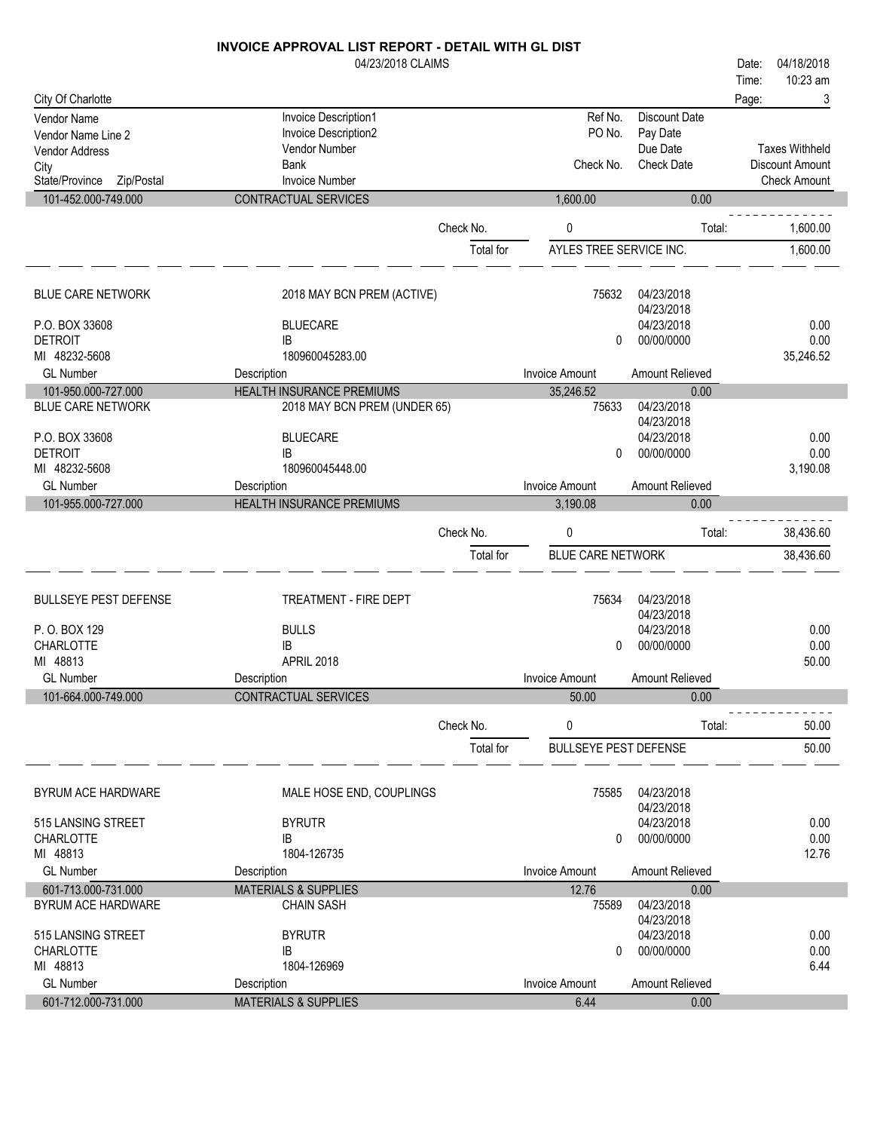#### 04/23/2018 CLAIMS City Of Charlotte Time: Date: 04/18/2018 Page: 3 Vendor Name **Invoice Description1** Medical School Charles Account Date Vendor Name Line 2 (No. 2013)<br>
Vendor Name Line 2 (No. 2014) Invoice Description 2 (No. 2014) PO No. 2014 PO No. 2016 Vendor Name Line 2 Invoice Description<br>1 Vendor Address Politics Poince Poince Poince Poince Poince Poince Poince Poince Poince Poince Poince Poince P Due Date Vendor Address Vendor Number Vendor Number of Vendor Vendor Vendor Vendor Vendor Vendor Vendor Vendor Vendor V<br>City Sank Taxes Withheld

10:23 am

| City<br>State/Province Zip/Postal | Bank<br><b>Invoice Number</b>    |           | Check No.                    | <b>Check Date</b>        | Discount Amount<br><b>Check Amount</b> |
|-----------------------------------|----------------------------------|-----------|------------------------------|--------------------------|----------------------------------------|
| 101-452.000-749.000               | CONTRACTUAL SERVICES             |           | 1,600.00                     | 0.00                     |                                        |
|                                   |                                  | Check No. | 0                            | Total:                   | 1.600.00                               |
|                                   |                                  | Total for | AYLES TREE SERVICE INC.      |                          | 1,600.00                               |
| <b>BLUE CARE NETWORK</b>          | 2018 MAY BCN PREM (ACTIVE)       |           | 75632                        | 04/23/2018<br>04/23/2018 |                                        |
| P.O. BOX 33608                    | <b>BLUECARE</b>                  |           |                              | 04/23/2018               | 0.00                                   |
| <b>DETROIT</b>                    | IB                               |           | 0                            | 00/00/0000               | 0.00                                   |
| MI 48232-5608                     | 180960045283.00                  |           |                              |                          | 35,246.52                              |
| <b>GL Number</b>                  | Description                      |           | <b>Invoice Amount</b>        | Amount Relieved          |                                        |
| 101-950.000-727.000               | <b>HEALTH INSURANCE PREMIUMS</b> |           | 35,246.52                    | 0.00                     |                                        |
| <b>BLUE CARE NETWORK</b>          | 2018 MAY BCN PREM (UNDER 65)     |           | 75633                        | 04/23/2018<br>04/23/2018 |                                        |
| P.O. BOX 33608                    | <b>BLUECARE</b>                  |           |                              | 04/23/2018               | 0.00                                   |
| <b>DETROIT</b>                    | <b>IB</b>                        |           | 0                            | 00/00/0000               | 0.00                                   |
| MI 48232-5608                     | 180960045448.00                  |           |                              |                          | 3,190.08                               |
| <b>GL Number</b>                  | Description                      |           | <b>Invoice Amount</b>        | Amount Relieved          |                                        |
| 101-955.000-727.000               | HEALTH INSURANCE PREMIUMS        |           | 3,190.08                     | 0.00                     |                                        |
|                                   |                                  | Check No. | 0                            | Total:                   | 38,436.60                              |
|                                   |                                  | Total for | <b>BLUE CARE NETWORK</b>     |                          | 38,436.60                              |
| <b>BULLSEYE PEST DEFENSE</b>      | TREATMENT - FIRE DEPT            |           | 75634                        | 04/23/2018<br>04/23/2018 |                                        |
| P.O.BOX 129                       | <b>BULLS</b>                     |           |                              | 04/23/2018               | 0.00                                   |
| <b>CHARLOTTE</b>                  | IB                               |           | 0                            | 00/00/0000               | 0.00                                   |
| MI 48813                          | APRIL 2018                       |           |                              |                          | 50.00                                  |
| <b>GL Number</b>                  | Description                      |           | <b>Invoice Amount</b>        | Amount Relieved          |                                        |
| 101-664.000-749.000               | <b>CONTRACTUAL SERVICES</b>      |           | 50.00                        | 0.00                     |                                        |
|                                   |                                  | Check No. | 0                            | Total:                   | 50.00                                  |
|                                   |                                  |           |                              |                          |                                        |
|                                   |                                  | Total for | <b>BULLSEYE PEST DEFENSE</b> |                          | 50.00                                  |

| BYRUM ACE HARDWARE                     | MALE HOSE END, COUPLINGS        | 75585          | 04/23/2018<br>04/23/2018 |              |
|----------------------------------------|---------------------------------|----------------|--------------------------|--------------|
| 515 LANSING STREET<br><b>CHARLOTTE</b> | <b>BYRUTR</b><br>IB             | 0              | 04/23/2018<br>00/00/0000 | 0.00<br>0.00 |
| MI 48813                               | 1804-126735                     |                |                          | 12.76        |
| <b>GL Number</b>                       | Description                     | Invoice Amount | <b>Amount Relieved</b>   |              |
| 601-713.000-731.000                    | <b>MATERIALS &amp; SUPPLIES</b> | 12.76          | 0.00                     |              |
| BYRUM ACE HARDWARE                     | <b>CHAIN SASH</b>               | 75589          | 04/23/2018<br>04/23/2018 |              |
| 515 LANSING STREET                     | <b>BYRUTR</b>                   |                | 04/23/2018               | 0.00         |
| <b>CHARLOTTE</b>                       | IB                              | 0              | 00/00/0000               | 0.00         |
| MI 48813                               | 1804-126969                     |                |                          | 6.44         |
| <b>GL Number</b>                       | Description                     | Invoice Amount | Amount Relieved          |              |
| 601-712.000-731.000                    | <b>MATERIALS &amp; SUPPLIES</b> | 6.44           | 0.00                     |              |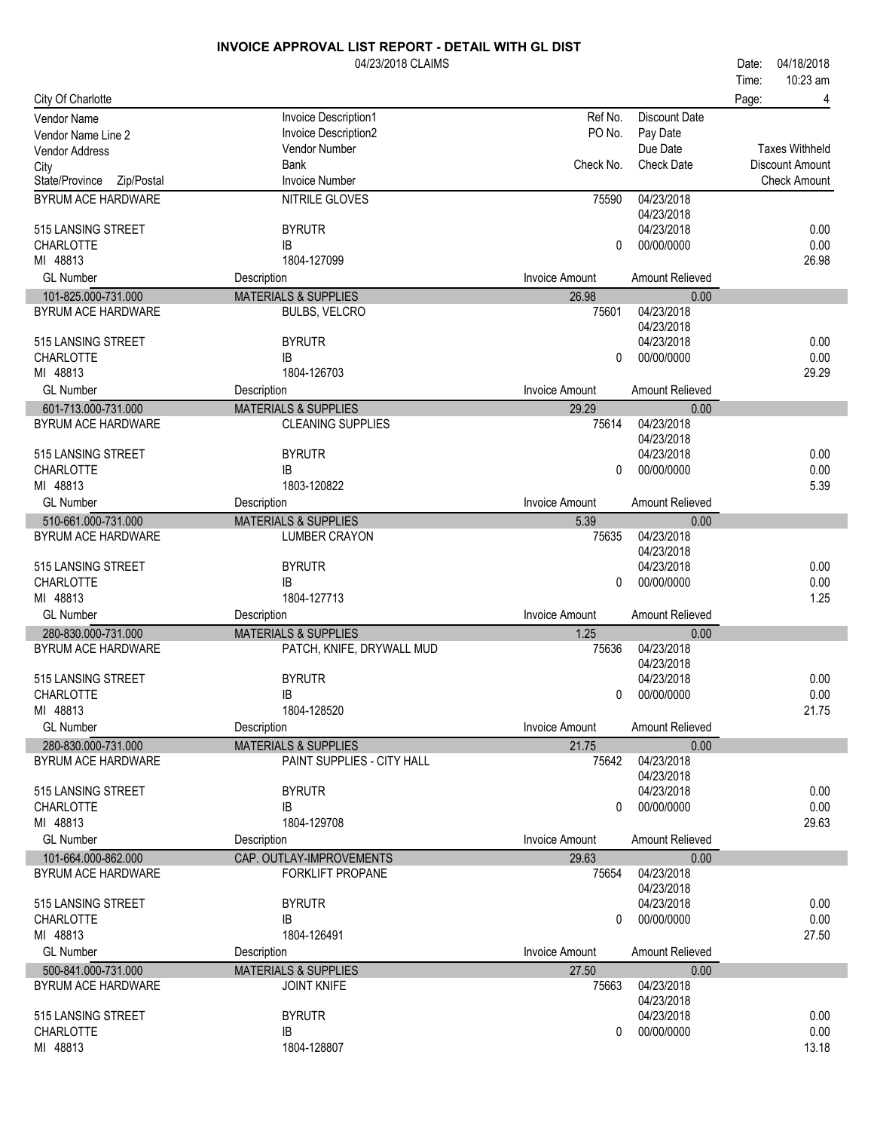|                                           | 04/23/2018 CLAIMS                                     |                       |                          | 04/18/2018<br>Date:   |
|-------------------------------------------|-------------------------------------------------------|-----------------------|--------------------------|-----------------------|
|                                           |                                                       |                       |                          | 10:23 am<br>Time:     |
| City Of Charlotte                         |                                                       |                       |                          | Page:<br>4            |
| Vendor Name                               | Invoice Description1                                  | Ref No.               | <b>Discount Date</b>     |                       |
| Vendor Name Line 2                        | Invoice Description2                                  | PO No.                | Pay Date                 |                       |
| <b>Vendor Address</b>                     | Vendor Number                                         |                       | Due Date                 | <b>Taxes Withheld</b> |
| City                                      | <b>Bank</b>                                           | Check No.             | <b>Check Date</b>        | Discount Amount       |
| State/Province Zip/Postal                 | <b>Invoice Number</b>                                 |                       |                          | <b>Check Amount</b>   |
| <b>BYRUM ACE HARDWARE</b>                 | NITRILE GLOVES                                        | 75590                 | 04/23/2018               |                       |
|                                           |                                                       |                       | 04/23/2018               |                       |
| 515 LANSING STREET                        | <b>BYRUTR</b>                                         |                       | 04/23/2018               | 0.00                  |
| <b>CHARLOTTE</b>                          | IB                                                    | 0                     | 00/00/0000               | 0.00                  |
| MI 48813                                  | 1804-127099                                           |                       |                          | 26.98                 |
| <b>GL Number</b>                          | Description                                           | <b>Invoice Amount</b> | Amount Relieved          |                       |
| 101-825.000-731.000                       | <b>MATERIALS &amp; SUPPLIES</b>                       | 26.98                 | 0.00                     |                       |
| BYRUM ACE HARDWARE                        | <b>BULBS, VELCRO</b>                                  | 75601                 | 04/23/2018               |                       |
|                                           |                                                       |                       | 04/23/2018               |                       |
| 515 LANSING STREET                        | <b>BYRUTR</b>                                         |                       | 04/23/2018               | 0.00                  |
| <b>CHARLOTTE</b>                          | ΙB                                                    | 0                     | 00/00/0000               | 0.00                  |
| MI 48813                                  | 1804-126703                                           |                       |                          | 29.29                 |
| <b>GL Number</b>                          | Description                                           | <b>Invoice Amount</b> | Amount Relieved          |                       |
| 601-713.000-731.000                       | <b>MATERIALS &amp; SUPPLIES</b>                       | 29.29                 | 0.00                     |                       |
| <b>BYRUM ACE HARDWARE</b>                 | <b>CLEANING SUPPLIES</b>                              | 75614                 | 04/23/2018               |                       |
|                                           |                                                       |                       | 04/23/2018               |                       |
| 515 LANSING STREET                        | <b>BYRUTR</b>                                         |                       | 04/23/2018               | 0.00                  |
| <b>CHARLOTTE</b>                          | IB                                                    | 0                     | 00/00/0000               | 0.00                  |
| MI 48813                                  | 1803-120822                                           |                       |                          | 5.39                  |
| <b>GL Number</b>                          | Description                                           | <b>Invoice Amount</b> | Amount Relieved          |                       |
| 510-661.000-731.000                       | <b>MATERIALS &amp; SUPPLIES</b>                       | 5.39                  | 0.00                     |                       |
| BYRUM ACE HARDWARE                        | <b>LUMBER CRAYON</b>                                  | 75635                 | 04/23/2018               |                       |
|                                           |                                                       |                       | 04/23/2018               |                       |
| 515 LANSING STREET                        | <b>BYRUTR</b>                                         |                       | 04/23/2018               | 0.00                  |
| <b>CHARLOTTE</b>                          | IB                                                    | $\mathbf{0}$          | 00/00/0000               | 0.00                  |
| MI 48813                                  | 1804-127713                                           |                       |                          | 1.25                  |
| <b>GL Number</b>                          | Description                                           | <b>Invoice Amount</b> | Amount Relieved          |                       |
| 280-830.000-731.000                       | <b>MATERIALS &amp; SUPPLIES</b>                       | 1.25                  | 0.00                     |                       |
| <b>BYRUM ACE HARDWARE</b>                 | PATCH, KNIFE, DRYWALL MUD                             | 75636                 | 04/23/2018               |                       |
|                                           |                                                       |                       | 04/23/2018               |                       |
| 515 LANSING STREET                        | <b>BYRUTR</b>                                         |                       | 04/23/2018               | 0.00                  |
| CHARLOTTE                                 | IB                                                    |                       | 0 00/00/0000             | 0.00                  |
| MI 48813                                  | 1804-128520                                           |                       |                          | 21.75                 |
| <b>GL</b> Number                          | Description                                           | <b>Invoice Amount</b> | Amount Relieved          |                       |
| 280-830.000-731.000                       | <b>MATERIALS &amp; SUPPLIES</b>                       | 21.75                 | 0.00                     |                       |
| <b>BYRUM ACE HARDWARE</b>                 | PAINT SUPPLIES - CITY HALL                            | 75642                 | 04/23/2018               |                       |
| 515 LANSING STREET                        | <b>BYRUTR</b>                                         |                       | 04/23/2018<br>04/23/2018 | 0.00                  |
| <b>CHARLOTTE</b>                          | IB                                                    | $\mathbf{0}$          | 00/00/0000               | 0.00                  |
| MI 48813                                  | 1804-129708                                           |                       |                          | 29.63                 |
| <b>GL Number</b>                          |                                                       |                       |                          |                       |
|                                           | Description                                           | <b>Invoice Amount</b> | Amount Relieved          |                       |
| 101-664.000-862.000                       | CAP. OUTLAY-IMPROVEMENTS                              | 29.63<br>75654        | 0.00<br>04/23/2018       |                       |
| BYRUM ACE HARDWARE                        | <b>FORKLIFT PROPANE</b>                               |                       | 04/23/2018               |                       |
| 515 LANSING STREET                        | <b>BYRUTR</b>                                         |                       | 04/23/2018               | 0.00                  |
| <b>CHARLOTTE</b>                          | IB                                                    | $\mathbf{0}$          | 00/00/0000               | 0.00                  |
| MI 48813                                  | 1804-126491                                           |                       |                          | 27.50                 |
| <b>GL Number</b>                          | Description                                           | <b>Invoice Amount</b> | Amount Relieved          |                       |
|                                           |                                                       |                       |                          |                       |
| 500-841.000-731.000<br>BYRUM ACE HARDWARE | <b>MATERIALS &amp; SUPPLIES</b><br><b>JOINT KNIFE</b> | 27.50<br>75663        | 0.00<br>04/23/2018       |                       |
|                                           |                                                       |                       | 04/23/2018               |                       |
| 515 LANSING STREET                        | <b>BYRUTR</b>                                         |                       | 04/23/2018               | 0.00                  |
| <b>CHARLOTTE</b>                          | IB                                                    | 0                     | 00/00/0000               | 0.00                  |
| MI 48813                                  | 1804-128807                                           |                       |                          | 13.18                 |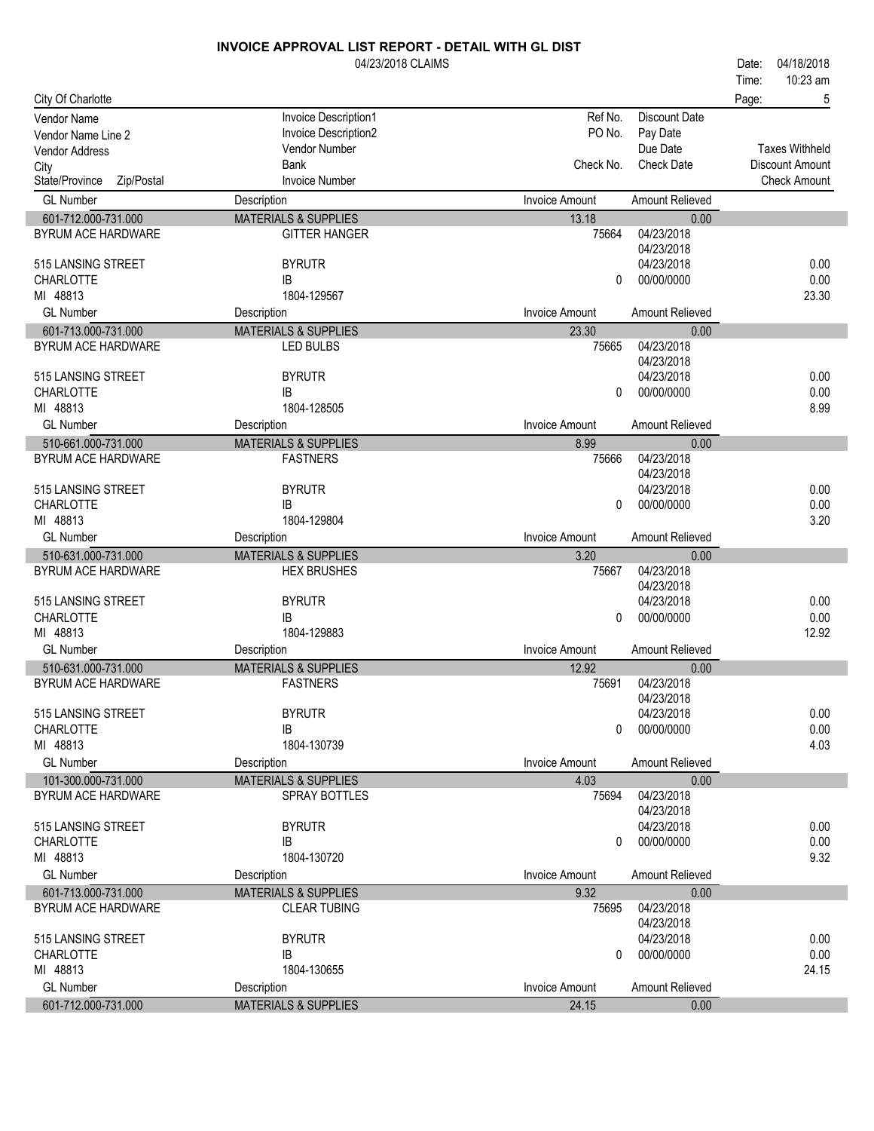|                              | <b>INVOICE APPROVAL LIST REPORT - DETAIL WITH GL DIST</b> |                       |                          |                        |
|------------------------------|-----------------------------------------------------------|-----------------------|--------------------------|------------------------|
|                              | 04/23/2018 CLAIMS                                         |                       |                          | 04/18/2018<br>Date:    |
|                              |                                                           |                       |                          | 10:23 am<br>Time:      |
| City Of Charlotte            |                                                           |                       |                          | Page:<br>5             |
| <b>Vendor Name</b>           | Invoice Description1                                      | Ref No.               | Discount Date            |                        |
| Vendor Name Line 2           | Invoice Description2                                      | PO No.                | Pay Date                 |                        |
| <b>Vendor Address</b>        | Vendor Number                                             |                       | Due Date                 | <b>Taxes Withheld</b>  |
| City                         | <b>Bank</b>                                               | Check No.             | <b>Check Date</b>        | <b>Discount Amount</b> |
| State/Province<br>Zip/Postal | <b>Invoice Number</b>                                     |                       |                          | <b>Check Amount</b>    |
| <b>GL Number</b>             | Description                                               | <b>Invoice Amount</b> | Amount Relieved          |                        |
| 601-712.000-731.000          | <b>MATERIALS &amp; SUPPLIES</b>                           | 13.18                 | 0.00                     |                        |
| <b>BYRUM ACE HARDWARE</b>    | <b>GITTER HANGER</b>                                      | 75664                 | 04/23/2018               |                        |
|                              |                                                           |                       | 04/23/2018               |                        |
| 515 LANSING STREET           | <b>BYRUTR</b>                                             |                       | 04/23/2018               | 0.00                   |
| <b>CHARLOTTE</b>             | IB                                                        | 0                     | 00/00/0000               | 0.00                   |
| MI 48813                     | 1804-129567                                               |                       |                          | 23.30                  |
| <b>GL Number</b>             | Description                                               | <b>Invoice Amount</b> | Amount Relieved          |                        |
| 601-713.000-731.000          | <b>MATERIALS &amp; SUPPLIES</b>                           | 23.30                 | 0.00                     |                        |
| BYRUM ACE HARDWARE           | LED BULBS                                                 | 75665                 | 04/23/2018               |                        |
|                              |                                                           |                       | 04/23/2018               |                        |
| 515 LANSING STREET           | <b>BYRUTR</b>                                             |                       | 04/23/2018               | 0.00                   |
| <b>CHARLOTTE</b>             | IB                                                        | $\Omega$              | 00/00/0000               | 0.00                   |
| MI 48813                     | 1804-128505                                               |                       |                          | 8.99                   |
| <b>GL Number</b>             | Description                                               | Invoice Amount        | Amount Relieved          |                        |
| 510-661.000-731.000          | <b>MATERIALS &amp; SUPPLIES</b>                           | 8.99                  | 0.00                     |                        |
| <b>BYRUM ACE HARDWARE</b>    | <b>FASTNERS</b>                                           | 75666                 | 04/23/2018               |                        |
|                              |                                                           |                       | 04/23/2018               |                        |
| 515 LANSING STREET           | <b>BYRUTR</b>                                             |                       | 04/23/2018               | 0.00                   |
| <b>CHARLOTTE</b>             | IB                                                        | 0                     | 00/00/0000               | 0.00                   |
| MI 48813                     | 1804-129804                                               |                       |                          | 3.20                   |
| <b>GL Number</b>             | Description                                               | <b>Invoice Amount</b> | Amount Relieved          |                        |
| 510-631.000-731.000          | <b>MATERIALS &amp; SUPPLIES</b>                           | 3.20                  | 0.00                     |                        |
| BYRUM ACE HARDWARE           | <b>HEX BRUSHES</b>                                        | 75667                 | 04/23/2018               |                        |
|                              |                                                           |                       | 04/23/2018               |                        |
| 515 LANSING STREET           | <b>BYRUTR</b>                                             |                       | 04/23/2018               | 0.00                   |
| <b>CHARLOTTE</b>             | IB                                                        | 0                     | 00/00/0000               | 0.00                   |
| MI 48813                     | 1804-129883                                               |                       |                          | 12.92                  |
| <b>GL Number</b>             | Description                                               | <b>Invoice Amount</b> | Amount Relieved          |                        |
| 510-631.000-731.000          | <b>MATERIALS &amp; SUPPLIES</b>                           | 12.92                 | 0.00                     |                        |
| <b>BYRUM ACE HARDWARE</b>    | <b>FASTNERS</b>                                           | 75691                 | 04/23/2018               |                        |
| 515 LANSING STREET           | <b>BYRUTR</b>                                             |                       | 04/23/2018<br>04/23/2018 | 0.00                   |
| CHARLOTTE                    | IB                                                        | 0                     | 00/00/0000               | 0.00                   |
| MI 48813                     | 1804-130739                                               |                       |                          | 4.03                   |
| <b>GL Number</b>             | Description                                               | Invoice Amount        | Amount Relieved          |                        |
| 101-300.000-731.000          | <b>MATERIALS &amp; SUPPLIES</b>                           | 4.03                  | 0.00                     |                        |
| BYRUM ACE HARDWARE           | SPRAY BOTTLES                                             | 75694                 | 04/23/2018               |                        |
|                              |                                                           |                       | 04/23/2018               |                        |
| 515 LANSING STREET           | <b>BYRUTR</b>                                             |                       | 04/23/2018               | 0.00                   |
| <b>CHARLOTTE</b>             | IB                                                        | 0                     | 00/00/0000               | 0.00                   |
| MI 48813                     | 1804-130720                                               |                       |                          | 9.32                   |
| <b>GL Number</b>             | Description                                               | Invoice Amount        | Amount Relieved          |                        |
| 601-713.000-731.000          | <b>MATERIALS &amp; SUPPLIES</b>                           | 9.32                  | 0.00                     |                        |
| BYRUM ACE HARDWARE           | <b>CLEAR TUBING</b>                                       | 75695                 | 04/23/2018               |                        |
|                              |                                                           |                       | 04/23/2018               |                        |
| 515 LANSING STREET           | <b>BYRUTR</b>                                             |                       | 04/23/2018               | 0.00                   |
| <b>CHARLOTTE</b>             | IB                                                        | 0                     | 00/00/0000               | 0.00                   |
| MI 48813                     | 1804-130655                                               |                       |                          | 24.15                  |
| <b>GL Number</b>             | Description                                               | <b>Invoice Amount</b> | Amount Relieved          |                        |
| 601-712.000-731.000          | <b>MATERIALS &amp; SUPPLIES</b>                           | 24.15                 | 0.00                     |                        |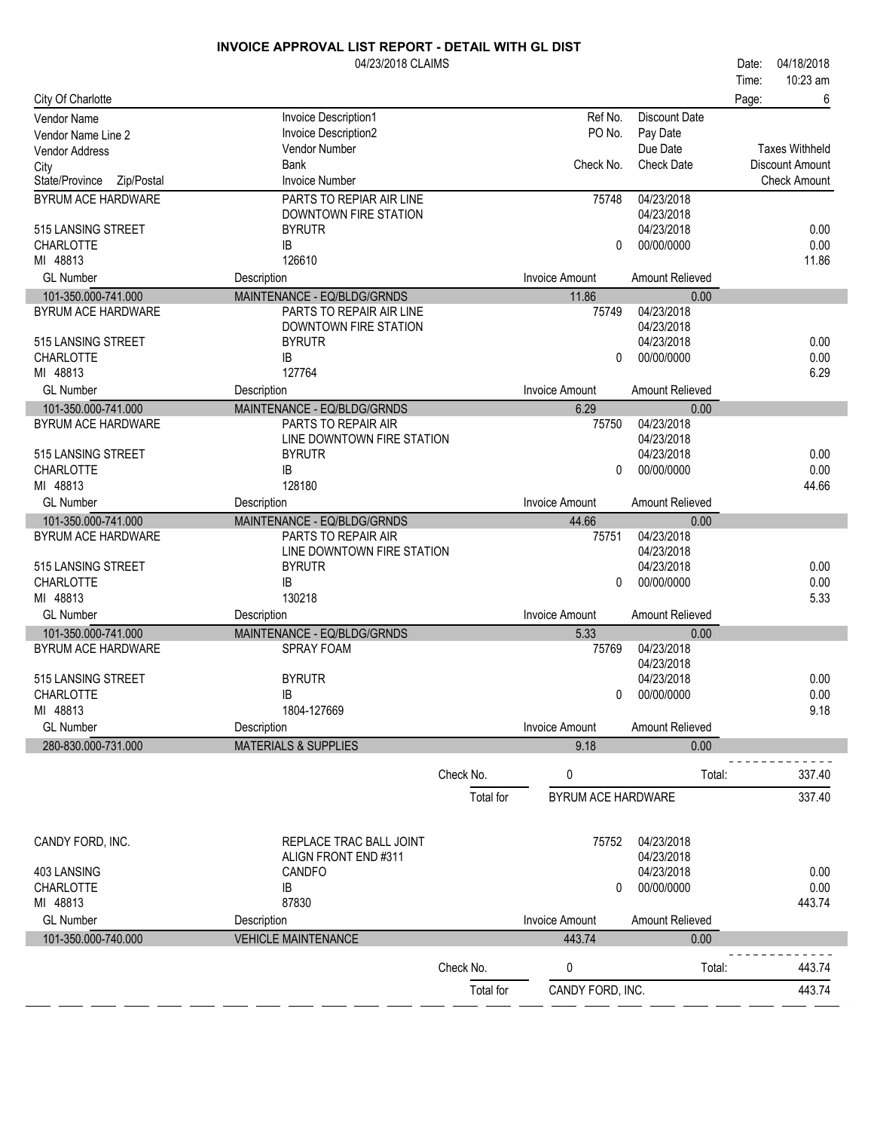|                                        | 04/23/2018 CLAIMS                     |           |                       |                          | Date: | 04/18/2018            |
|----------------------------------------|---------------------------------------|-----------|-----------------------|--------------------------|-------|-----------------------|
|                                        |                                       |           |                       |                          | Time: | 10:23 am              |
| City Of Charlotte                      |                                       |           |                       |                          | Page: | 6                     |
| <b>Vendor Name</b>                     | Invoice Description1                  |           | Ref No.               | <b>Discount Date</b>     |       |                       |
| Vendor Name Line 2                     | Invoice Description2<br>Vendor Number |           | PO No.                | Pay Date<br>Due Date     |       | <b>Taxes Withheld</b> |
| <b>Vendor Address</b>                  | <b>Bank</b>                           |           | Check No.             | <b>Check Date</b>        |       | Discount Amount       |
| City<br>State/Province Zip/Postal      | <b>Invoice Number</b>                 |           |                       |                          |       | <b>Check Amount</b>   |
| BYRUM ACE HARDWARE                     | PARTS TO REPIAR AIR LINE              |           | 75748                 | 04/23/2018               |       |                       |
|                                        | DOWNTOWN FIRE STATION                 |           |                       | 04/23/2018               |       |                       |
| 515 LANSING STREET                     | <b>BYRUTR</b>                         |           |                       | 04/23/2018               |       | 0.00                  |
| <b>CHARLOTTE</b>                       | IB                                    |           | $\mathbf{0}$          | 00/00/0000               |       | 0.00                  |
| MI 48813                               | 126610                                |           |                       |                          |       | 11.86                 |
| <b>GL Number</b>                       | Description                           |           | <b>Invoice Amount</b> | Amount Relieved          |       |                       |
| 101-350.000-741.000                    | MAINTENANCE - EQ/BLDG/GRNDS           |           | 11.86                 | 0.00                     |       |                       |
| <b>BYRUM ACE HARDWARE</b>              | PARTS TO REPAIR AIR LINE              |           | 75749                 | 04/23/2018               |       |                       |
|                                        | DOWNTOWN FIRE STATION                 |           |                       | 04/23/2018               |       |                       |
| 515 LANSING STREET                     | <b>BYRUTR</b>                         |           |                       | 04/23/2018               |       | 0.00                  |
| <b>CHARLOTTE</b><br>MI 48813           | IB<br>127764                          |           | $\Omega$              | 00/00/0000               |       | 0.00<br>6.29          |
| <b>GL Number</b>                       | Description                           |           | <b>Invoice Amount</b> | Amount Relieved          |       |                       |
| 101-350.000-741.000                    | MAINTENANCE - EQ/BLDG/GRNDS           |           | 6.29                  | 0.00                     |       |                       |
| BYRUM ACE HARDWARE                     | PARTS TO REPAIR AIR                   |           | 75750                 | 04/23/2018               |       |                       |
|                                        | LINE DOWNTOWN FIRE STATION            |           |                       | 04/23/2018               |       |                       |
| 515 LANSING STREET                     | <b>BYRUTR</b>                         |           |                       | 04/23/2018               |       | 0.00                  |
| <b>CHARLOTTE</b>                       | IB                                    |           | $\mathbf{0}$          | 00/00/0000               |       | 0.00                  |
| MI 48813                               | 128180                                |           |                       |                          |       | 44.66                 |
| <b>GL Number</b>                       | Description                           |           | <b>Invoice Amount</b> | Amount Relieved          |       |                       |
| 101-350.000-741.000                    | MAINTENANCE - EQ/BLDG/GRNDS           |           | 44.66                 | 0.00                     |       |                       |
| <b>BYRUM ACE HARDWARE</b>              | PARTS TO REPAIR AIR                   |           | 75751                 | 04/23/2018               |       |                       |
|                                        | LINE DOWNTOWN FIRE STATION            |           |                       | 04/23/2018               |       |                       |
| 515 LANSING STREET<br><b>CHARLOTTE</b> | <b>BYRUTR</b><br>IB                   |           | $\Omega$              | 04/23/2018<br>00/00/0000 |       | 0.00<br>0.00          |
| MI 48813                               | 130218                                |           |                       |                          |       | 5.33                  |
| <b>GL Number</b>                       | Description                           |           | <b>Invoice Amount</b> | Amount Relieved          |       |                       |
| 101-350.000-741.000                    | MAINTENANCE - EQ/BLDG/GRNDS           |           | 5.33                  | 0.00                     |       |                       |
| BYRUM ACE HARDWARE                     | <b>SPRAY FOAM</b>                     |           | 75769                 | 04/23/2018               |       |                       |
|                                        |                                       |           |                       | 04/23/2018               |       |                       |
| 515 LANSING STREET                     | <b>BYRUTR</b>                         |           |                       | 04/23/2018               |       | 0.00                  |
| CHARLOTTE                              | ΙB                                    |           | 0                     | 00/00/0000               |       | 0.00                  |
| MI 48813                               | 1804-127669                           |           |                       |                          |       | 9.18                  |
| <b>GL Number</b>                       | Description                           |           | <b>Invoice Amount</b> | Amount Relieved          |       |                       |
| 280-830.000-731.000                    | <b>MATERIALS &amp; SUPPLIES</b>       |           | 9.18                  | 0.00                     |       |                       |
|                                        |                                       | Check No. | 0                     | Total:                   |       | 337.40                |
|                                        |                                       | Total for | BYRUM ACE HARDWARE    |                          |       | 337.40                |
|                                        |                                       |           |                       |                          |       |                       |
|                                        |                                       |           |                       |                          |       |                       |
| CANDY FORD, INC.                       | REPLACE TRAC BALL JOINT               |           | 75752                 | 04/23/2018               |       |                       |
| 403 LANSING                            | ALIGN FRONT END #311<br><b>CANDFO</b> |           |                       | 04/23/2018<br>04/23/2018 |       | 0.00                  |
| <b>CHARLOTTE</b>                       | IB                                    |           | 0                     | 00/00/0000               |       | 0.00                  |
| MI 48813                               | 87830                                 |           |                       |                          |       | 443.74                |
| <b>GL Number</b>                       | Description                           |           | <b>Invoice Amount</b> | Amount Relieved          |       |                       |
| 101-350.000-740.000                    | <b>VEHICLE MAINTENANCE</b>            |           | 443.74                | 0.00                     |       |                       |
|                                        |                                       |           |                       |                          |       |                       |
|                                        |                                       | Check No. | 0                     | Total:                   |       | 443.74                |
|                                        |                                       | Total for | CANDY FORD, INC.      |                          |       | 443.74                |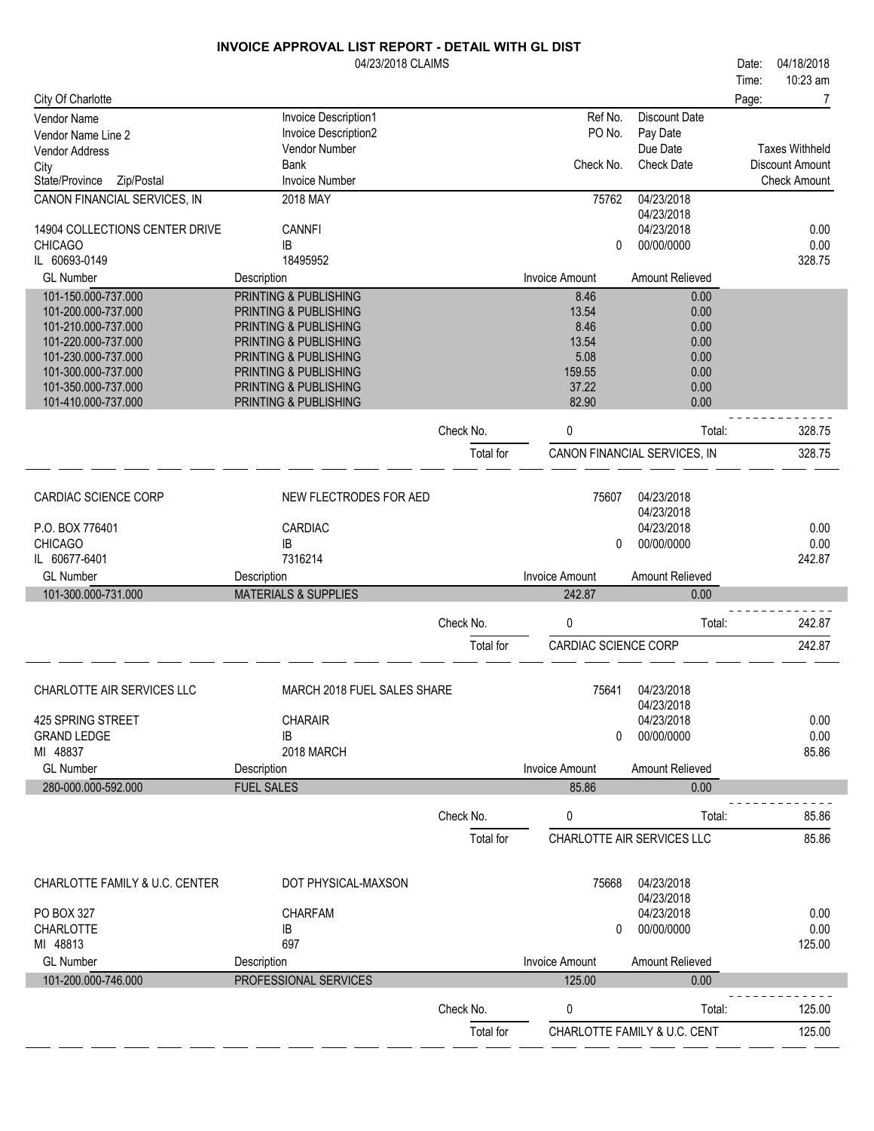|                                            | 04/23/2018 CLAIMS                              |           |                       |                                  | Date: | 04/18/2018            |
|--------------------------------------------|------------------------------------------------|-----------|-----------------------|----------------------------------|-------|-----------------------|
|                                            |                                                |           |                       |                                  | Time: | 10:23 am              |
| City Of Charlotte                          |                                                |           |                       |                                  | Page: | 7                     |
| Vendor Name<br>Vendor Name Line 2          | Invoice Description1<br>Invoice Description2   |           | Ref No.<br>PO No.     | <b>Discount Date</b><br>Pay Date |       |                       |
| Vendor Address                             | Vendor Number                                  |           |                       | Due Date                         |       | <b>Taxes Withheld</b> |
| City                                       | <b>Bank</b>                                    |           | Check No.             | <b>Check Date</b>                |       | Discount Amount       |
| Zip/Postal<br>State/Province               | <b>Invoice Number</b>                          |           |                       |                                  |       | <b>Check Amount</b>   |
| CANON FINANCIAL SERVICES, IN               | 2018 MAY                                       |           | 75762                 | 04/23/2018<br>04/23/2018         |       |                       |
| 14904 COLLECTIONS CENTER DRIVE             | <b>CANNFI</b>                                  |           |                       | 04/23/2018                       |       | 0.00                  |
| <b>CHICAGO</b>                             | IB                                             |           | 0                     | 00/00/0000                       |       | 0.00                  |
| IL 60693-0149                              | 18495952                                       |           |                       |                                  |       | 328.75                |
| <b>GL Number</b>                           | Description                                    |           | <b>Invoice Amount</b> | Amount Relieved                  |       |                       |
| 101-150.000-737.000                        | PRINTING & PUBLISHING                          |           | 8.46                  | 0.00                             |       |                       |
| 101-200.000-737.000                        | PRINTING & PUBLISHING                          |           | 13.54                 | 0.00                             |       |                       |
| 101-210.000-737.000<br>101-220.000-737.000 | PRINTING & PUBLISHING<br>PRINTING & PUBLISHING |           | 8.46<br>13.54         | 0.00<br>0.00                     |       |                       |
| 101-230.000-737.000                        | PRINTING & PUBLISHING                          |           | 5.08                  | 0.00                             |       |                       |
| 101-300.000-737.000                        | PRINTING & PUBLISHING                          |           | 159.55                | 0.00                             |       |                       |
| 101-350.000-737.000                        | PRINTING & PUBLISHING                          |           | 37.22                 | 0.00                             |       |                       |
| 101-410.000-737.000                        | PRINTING & PUBLISHING                          |           | 82.90                 | 0.00                             |       |                       |
|                                            |                                                | Check No. | 0                     | Total:                           |       | 328.75                |
|                                            |                                                | Total for |                       | CANON FINANCIAL SERVICES, IN     |       | 328.75                |
|                                            |                                                |           |                       |                                  |       |                       |
| CARDIAC SCIENCE CORP                       | NEW FLECTRODES FOR AED                         |           | 75607                 | 04/23/2018<br>04/23/2018         |       |                       |
| P.O. BOX 776401                            | CARDIAC                                        |           |                       | 04/23/2018                       |       | 0.00                  |
| <b>CHICAGO</b>                             | IB                                             |           | $\mathbf{0}$          | 00/00/0000                       |       | 0.00                  |
| IL 60677-6401                              | 7316214                                        |           |                       |                                  |       | 242.87                |
| <b>GL Number</b>                           | Description                                    |           | <b>Invoice Amount</b> | Amount Relieved                  |       |                       |
| 101-300.000-731.000                        | <b>MATERIALS &amp; SUPPLIES</b>                |           | 242.87                | 0.00                             |       |                       |
|                                            |                                                | Check No. | 0                     | Total:                           |       | 242.87                |
|                                            |                                                | Total for | CARDIAC SCIENCE CORP  |                                  |       | 242.87                |
|                                            |                                                |           |                       |                                  |       |                       |
| CHARLOTTE AIR SERVICES LLC                 | MARCH 2018 FUEL SALES SHARE                    |           | 75641                 | 04/23/2018<br>04/23/2018         |       |                       |
| 425 SPRING STREET                          | <b>CHARAIR</b>                                 |           |                       | 04/23/2018                       |       | 0.00                  |
| <b>GRAND LEDGE</b>                         | IB                                             |           | 0                     | 00/00/0000                       |       | 0.00                  |
| MI 48837                                   | 2018 MARCH                                     |           |                       |                                  |       | 85.86                 |
| <b>GL Number</b>                           | Description                                    |           | <b>Invoice Amount</b> | Amount Relieved                  |       |                       |
| 280-000.000-592.000                        | <b>FUEL SALES</b>                              |           | 85.86                 | 0.00                             |       |                       |
|                                            |                                                | Check No. | 0                     | Total:                           |       | 85.86                 |
|                                            |                                                | Total for |                       | CHARLOTTE AIR SERVICES LLC       |       | 85.86                 |
|                                            |                                                |           |                       |                                  |       |                       |
| CHARLOTTE FAMILY & U.C. CENTER             | DOT PHYSICAL-MAXSON                            |           | 75668                 | 04/23/2018<br>04/23/2018         |       |                       |
| PO BOX 327                                 | <b>CHARFAM</b>                                 |           |                       | 04/23/2018                       |       | 0.00                  |
| <b>CHARLOTTE</b>                           | $\sf IB$                                       |           | 0                     | 00/00/0000                       |       | 0.00                  |
| MI 48813                                   | 697                                            |           |                       |                                  |       | 125.00                |
| <b>GL Number</b>                           | Description                                    |           | <b>Invoice Amount</b> | Amount Relieved                  |       |                       |
| 101-200.000-746.000                        | PROFESSIONAL SERVICES                          |           | 125.00                | 0.00                             |       |                       |
|                                            |                                                | Check No. | 0                     | Total:                           |       | 125.00                |
|                                            |                                                | Total for |                       | CHARLOTTE FAMILY & U.C. CENT     |       | 125.00                |
|                                            |                                                |           |                       |                                  |       |                       |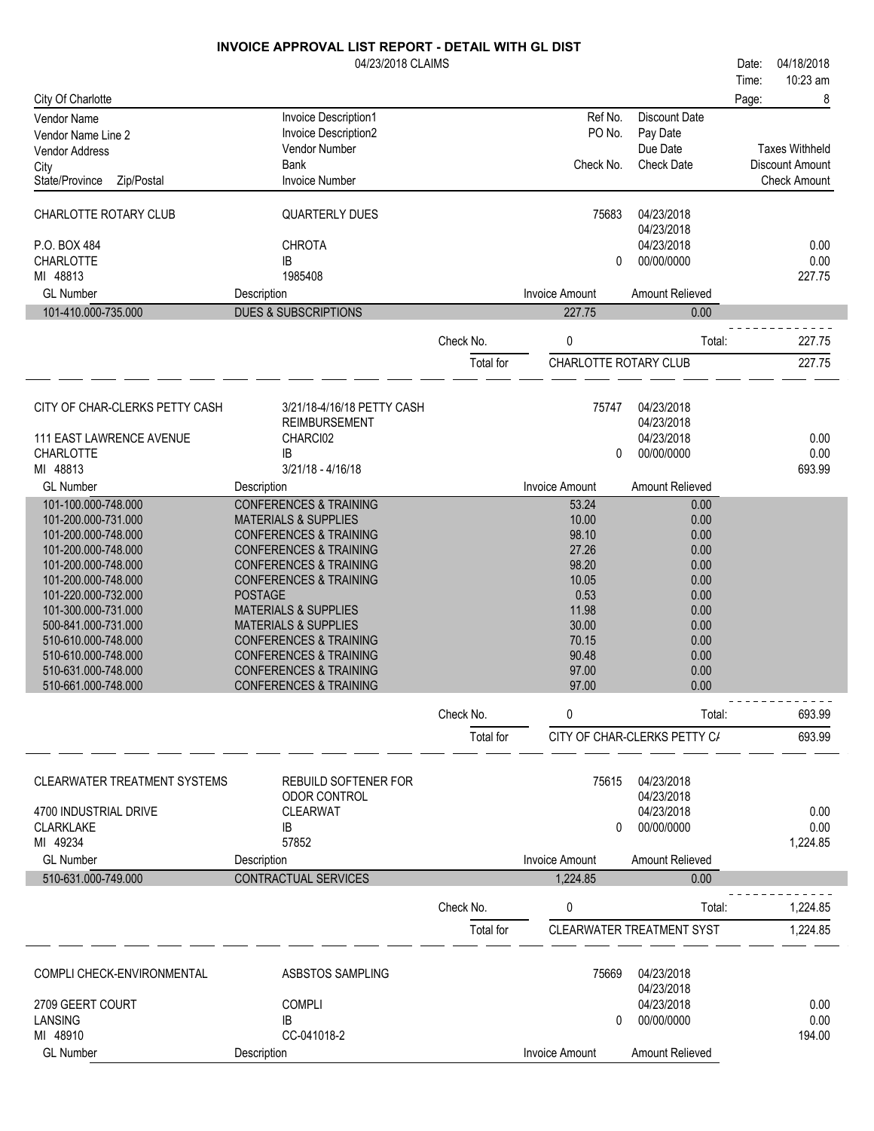|                                            | 04/23/2018 CLAIMS                                                      |           |                       |                                  | Date: | 04/18/2018            |
|--------------------------------------------|------------------------------------------------------------------------|-----------|-----------------------|----------------------------------|-------|-----------------------|
|                                            |                                                                        |           |                       |                                  | Time: | 10:23 am              |
| City Of Charlotte                          |                                                                        |           |                       |                                  | Page: | 8                     |
| <b>Vendor Name</b>                         | Invoice Description1                                                   |           | Ref No.               | <b>Discount Date</b>             |       |                       |
| Vendor Name Line 2                         | Invoice Description2<br>Vendor Number                                  |           | PO No.                | Pay Date<br>Due Date             |       | <b>Taxes Withheld</b> |
| Vendor Address                             | Bank                                                                   |           | Check No.             | <b>Check Date</b>                |       | Discount Amount       |
| City<br>Zip/Postal<br>State/Province       | <b>Invoice Number</b>                                                  |           |                       |                                  |       | <b>Check Amount</b>   |
|                                            |                                                                        |           |                       |                                  |       |                       |
| CHARLOTTE ROTARY CLUB                      | <b>QUARTERLY DUES</b>                                                  |           | 75683                 | 04/23/2018                       |       |                       |
| P.O. BOX 484                               | <b>CHROTA</b>                                                          |           |                       | 04/23/2018<br>04/23/2018         |       | 0.00                  |
| CHARLOTTE                                  | IB                                                                     |           | 0                     | 00/00/0000                       |       | 0.00                  |
| MI 48813                                   | 1985408                                                                |           |                       |                                  |       | 227.75                |
| <b>GL Number</b>                           | Description                                                            |           | <b>Invoice Amount</b> | Amount Relieved                  |       |                       |
| 101-410.000-735.000                        | <b>DUES &amp; SUBSCRIPTIONS</b>                                        |           | 227.75                | 0.00                             |       |                       |
|                                            |                                                                        | Check No. | 0                     | Total:                           |       | 227.75                |
|                                            |                                                                        | Total for | CHARLOTTE ROTARY CLUB |                                  |       | 227.75                |
|                                            |                                                                        |           |                       |                                  |       |                       |
| CITY OF CHAR-CLERKS PETTY CASH             | 3/21/18-4/16/18 PETTY CASH                                             |           | 75747                 | 04/23/2018                       |       |                       |
|                                            | <b>REIMBURSEMENT</b>                                                   |           |                       | 04/23/2018                       |       |                       |
| <b>111 EAST LAWRENCE AVENUE</b>            | CHARCI02                                                               |           |                       | 04/23/2018                       |       | 0.00                  |
| <b>CHARLOTTE</b>                           | IB                                                                     |           | 0                     | 00/00/0000                       |       | 0.00                  |
| MI 48813                                   | $3/21/18 - 4/16/18$                                                    |           |                       |                                  |       | 693.99                |
| <b>GL Number</b>                           | Description                                                            |           | <b>Invoice Amount</b> | Amount Relieved                  |       |                       |
| 101-100.000-748.000<br>101-200.000-731.000 | <b>CONFERENCES &amp; TRAINING</b><br><b>MATERIALS &amp; SUPPLIES</b>   |           | 53.24<br>10.00        | 0.00<br>0.00                     |       |                       |
| 101-200.000-748.000                        | <b>CONFERENCES &amp; TRAINING</b>                                      |           | 98.10                 | 0.00                             |       |                       |
| 101-200.000-748.000                        | <b>CONFERENCES &amp; TRAINING</b>                                      |           | 27.26                 | 0.00                             |       |                       |
| 101-200.000-748.000                        | <b>CONFERENCES &amp; TRAINING</b>                                      |           | 98.20                 | 0.00                             |       |                       |
| 101-200.000-748.000                        | <b>CONFERENCES &amp; TRAINING</b>                                      |           | 10.05                 | 0.00                             |       |                       |
| 101-220.000-732.000                        | <b>POSTAGE</b>                                                         |           | 0.53                  | 0.00                             |       |                       |
| 101-300.000-731.000                        | <b>MATERIALS &amp; SUPPLIES</b>                                        |           | 11.98                 | 0.00                             |       |                       |
| 500-841.000-731.000                        | <b>MATERIALS &amp; SUPPLIES</b>                                        |           | 30.00                 | 0.00                             |       |                       |
| 510-610.000-748.000<br>510-610.000-748.000 | <b>CONFERENCES &amp; TRAINING</b>                                      |           | 70.15<br>90.48        | 0.00                             |       |                       |
| 510-631.000-748.000                        | <b>CONFERENCES &amp; TRAINING</b><br><b>CONFERENCES &amp; TRAINING</b> |           | 97.00                 | 0.00<br>0.00                     |       |                       |
| 510-661.000-748.000                        | <b>CONFERENCES &amp; TRAINING</b>                                      |           | 97.00                 | 0.00                             |       |                       |
|                                            |                                                                        | Check No. | 0                     | Total:                           |       | 693.99                |
|                                            |                                                                        |           |                       | CITY OF CHAR-CLERKS PETTY C/     |       |                       |
|                                            |                                                                        | Total for |                       |                                  |       | 693.99                |
| CLEARWATER TREATMENT SYSTEMS               | <b>REBUILD SOFTENER FOR</b>                                            |           | 75615                 | 04/23/2018                       |       |                       |
|                                            | ODOR CONTROL                                                           |           |                       | 04/23/2018                       |       |                       |
| 4700 INDUSTRIAL DRIVE                      | <b>CLEARWAT</b>                                                        |           |                       | 04/23/2018                       |       | 0.00                  |
| <b>CLARKLAKE</b>                           | IB                                                                     |           | 0                     | 00/00/0000                       |       | 0.00                  |
| MI 49234                                   | 57852                                                                  |           |                       |                                  |       | 1,224.85              |
| <b>GL Number</b>                           | Description                                                            |           | <b>Invoice Amount</b> | Amount Relieved                  |       |                       |
| 510-631.000-749.000                        | CONTRACTUAL SERVICES                                                   |           | 1,224.85              | 0.00                             |       |                       |
|                                            |                                                                        | Check No. | 0                     | Total:                           |       | 1,224.85              |
|                                            |                                                                        | Total for |                       | <b>CLEARWATER TREATMENT SYST</b> |       | 1,224.85              |
|                                            |                                                                        |           |                       |                                  |       |                       |
| COMPLI CHECK-ENVIRONMENTAL                 | ASBSTOS SAMPLING                                                       |           | 75669                 | 04/23/2018<br>04/23/2018         |       |                       |
| 2709 GEERT COURT                           | <b>COMPLI</b>                                                          |           |                       | 04/23/2018                       |       | 0.00                  |
| LANSING                                    | IB                                                                     |           | 0                     | 00/00/0000                       |       | 0.00                  |
| MI 48910                                   | CC-041018-2                                                            |           |                       |                                  |       | 194.00                |
| <b>GL Number</b>                           | Description                                                            |           | <b>Invoice Amount</b> | Amount Relieved                  |       |                       |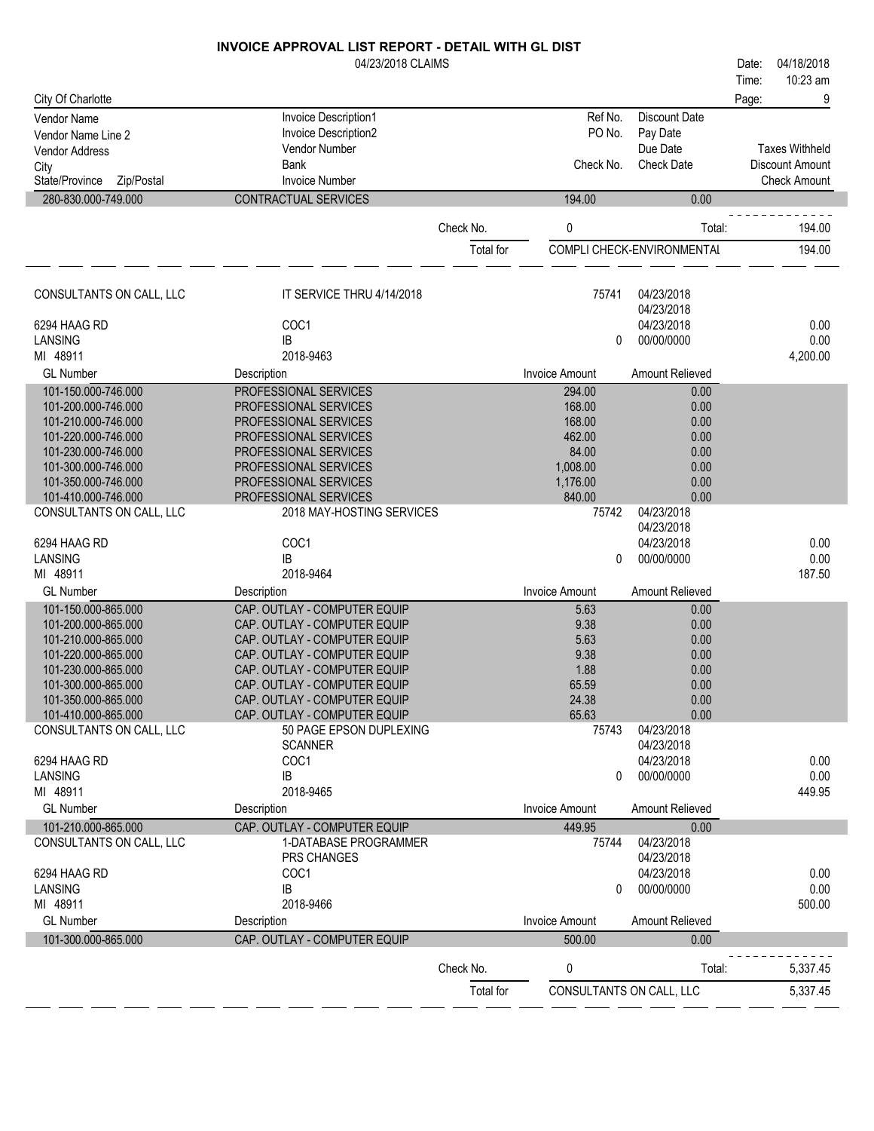|                                            | 04/23/2018 CLAIMS                                            |           |                          |                            | 04/18/2018<br>Date:   |
|--------------------------------------------|--------------------------------------------------------------|-----------|--------------------------|----------------------------|-----------------------|
|                                            |                                                              |           |                          |                            | 10:23 am<br>Time:     |
| City Of Charlotte                          |                                                              |           |                          |                            | 9<br>Page:            |
| Vendor Name                                | Invoice Description1                                         |           | Ref No.                  | <b>Discount Date</b>       |                       |
| Vendor Name Line 2                         | Invoice Description2                                         |           | PO No.                   | Pay Date                   |                       |
| Vendor Address                             | <b>Vendor Number</b>                                         |           |                          | Due Date                   | <b>Taxes Withheld</b> |
| City                                       | Bank                                                         |           | Check No.                | <b>Check Date</b>          | Discount Amount       |
| State/Province<br>Zip/Postal               | <b>Invoice Number</b>                                        |           |                          |                            | <b>Check Amount</b>   |
| 280-830.000-749.000                        | CONTRACTUAL SERVICES                                         |           | 194.00                   | 0.00                       |                       |
|                                            |                                                              | Check No. | 0                        | Total:                     | 194.00                |
|                                            |                                                              | Total for |                          | COMPLI CHECK-ENVIRONMENTAL | 194.00                |
| CONSULTANTS ON CALL, LLC                   | IT SERVICE THRU 4/14/2018                                    |           | 75741                    | 04/23/2018<br>04/23/2018   |                       |
| 6294 HAAG RD                               | COC <sub>1</sub>                                             |           |                          | 04/23/2018                 | 0.00                  |
| LANSING                                    | IB                                                           |           | 0                        | 00/00/0000                 | 0.00                  |
| MI 48911                                   | 2018-9463                                                    |           |                          |                            | 4,200.00              |
| <b>GL Number</b>                           | Description                                                  |           | <b>Invoice Amount</b>    | Amount Relieved            |                       |
| 101-150.000-746.000                        | PROFESSIONAL SERVICES                                        |           | 294.00                   | 0.00                       |                       |
| 101-200.000-746.000                        | PROFESSIONAL SERVICES                                        |           | 168.00                   | 0.00                       |                       |
| 101-210.000-746.000                        | PROFESSIONAL SERVICES                                        |           | 168.00                   | 0.00                       |                       |
| 101-220.000-746.000                        | PROFESSIONAL SERVICES                                        |           | 462.00                   | 0.00                       |                       |
| 101-230.000-746.000                        | PROFESSIONAL SERVICES                                        |           | 84.00<br>1,008.00        | 0.00<br>0.00               |                       |
| 101-300.000-746.000<br>101-350.000-746.000 | PROFESSIONAL SERVICES<br>PROFESSIONAL SERVICES               |           | 1,176.00                 | 0.00                       |                       |
| 101-410.000-746.000                        | PROFESSIONAL SERVICES                                        |           | 840.00                   | 0.00                       |                       |
| CONSULTANTS ON CALL, LLC                   | 2018 MAY-HOSTING SERVICES                                    |           | 75742                    | 04/23/2018                 |                       |
|                                            |                                                              |           |                          | 04/23/2018                 |                       |
| 6294 HAAG RD                               | COC1                                                         |           |                          | 04/23/2018                 | 0.00                  |
| <b>LANSING</b>                             | IB                                                           |           | 0                        | 00/00/0000                 | 0.00                  |
| MI 48911                                   | 2018-9464                                                    |           |                          |                            | 187.50                |
| <b>GL Number</b>                           | Description                                                  |           | <b>Invoice Amount</b>    | Amount Relieved            |                       |
| 101-150.000-865.000                        | CAP. OUTLAY - COMPUTER EQUIP                                 |           | 5.63                     | 0.00                       |                       |
| 101-200.000-865.000                        | CAP. OUTLAY - COMPUTER EQUIP                                 |           | 9.38                     | 0.00                       |                       |
| 101-210.000-865.000                        | CAP. OUTLAY - COMPUTER EQUIP                                 |           | 5.63                     | 0.00                       |                       |
| 101-220.000-865.000                        | CAP. OUTLAY - COMPUTER EQUIP                                 |           | 9.38                     | 0.00                       |                       |
| 101-230.000-865.000<br>101-300.000-865.000 | CAP. OUTLAY - COMPUTER EQUIP<br>CAP. OUTLAY - COMPUTER EQUIP |           | 1.88<br>65.59            | 0.00<br>0.00               |                       |
| 101-350.000-865.000                        | CAP. OUTLAY - COMPUTER EQUIP                                 |           | 24.38                    | 0.00                       |                       |
| 101-410.000-865.000                        | CAP. OUTLAY - COMPUTER EQUIP                                 |           | 65.63                    | 0.00                       |                       |
| CONSULTANTS ON CALL, LLC                   | 50 PAGE EPSON DUPLEXING                                      |           | 75743                    | 04/23/2018                 |                       |
|                                            | <b>SCANNER</b>                                               |           |                          | 04/23/2018                 |                       |
| 6294 HAAG RD                               | COC1                                                         |           |                          | 04/23/2018                 | 0.00                  |
| <b>LANSING</b>                             | IB                                                           |           | 0                        | 00/00/0000                 | 0.00                  |
| MI 48911                                   | 2018-9465                                                    |           |                          |                            | 449.95                |
| <b>GL Number</b>                           | Description                                                  |           | <b>Invoice Amount</b>    | Amount Relieved            |                       |
| 101-210.000-865.000                        | CAP. OUTLAY - COMPUTER EQUIP                                 |           | 449.95                   | 0.00                       |                       |
| CONSULTANTS ON CALL, LLC                   | 1-DATABASE PROGRAMMER                                        |           | 75744                    | 04/23/2018                 |                       |
|                                            | PRS CHANGES                                                  |           |                          | 04/23/2018                 |                       |
| 6294 HAAG RD<br><b>LANSING</b>             | COC1<br>IB                                                   |           | 0                        | 04/23/2018<br>00/00/0000   | 0.00<br>0.00          |
| MI 48911                                   | 2018-9466                                                    |           |                          |                            | 500.00                |
| <b>GL Number</b>                           | Description                                                  |           | <b>Invoice Amount</b>    | Amount Relieved            |                       |
| 101-300.000-865.000                        | CAP. OUTLAY - COMPUTER EQUIP                                 |           | 500.00                   | 0.00                       |                       |
|                                            |                                                              |           |                          |                            |                       |
|                                            |                                                              | Check No. | 0                        | Total:                     | 5,337.45              |
|                                            |                                                              | Total for | CONSULTANTS ON CALL, LLC |                            | 5,337.45              |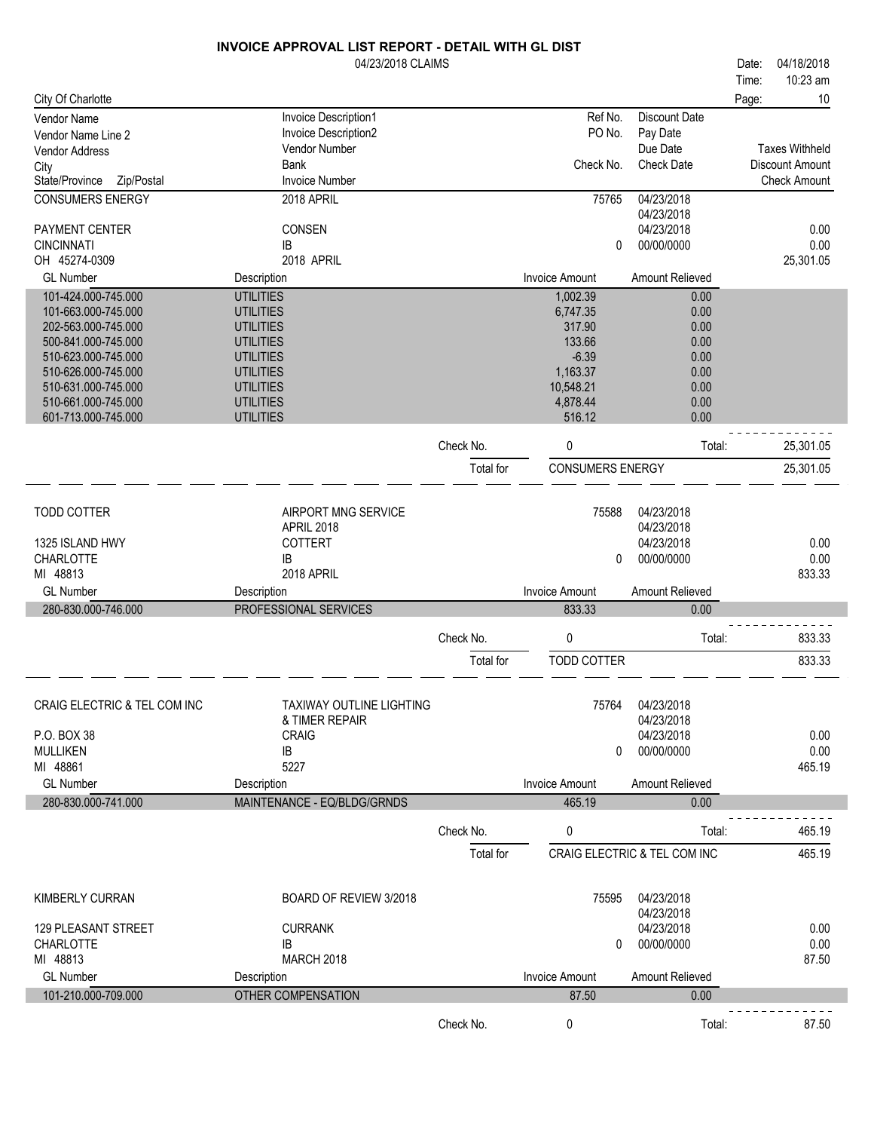|                              | 04/23/2018 CLAIMS           |           |                         |                              | Date: | 04/18/2018            |
|------------------------------|-----------------------------|-----------|-------------------------|------------------------------|-------|-----------------------|
|                              |                             |           |                         |                              | Time: | 10:23 am              |
| City Of Charlotte            |                             |           |                         |                              | Page: | 10                    |
| Vendor Name                  | Invoice Description1        |           | Ref No.                 | <b>Discount Date</b>         |       |                       |
| Vendor Name Line 2           | Invoice Description2        |           | PO No.                  | Pay Date                     |       |                       |
| <b>Vendor Address</b>        | Vendor Number               |           |                         | Due Date                     |       | <b>Taxes Withheld</b> |
| City                         | <b>Bank</b>                 |           | Check No.               | <b>Check Date</b>            |       | Discount Amount       |
| Zip/Postal<br>State/Province | <b>Invoice Number</b>       |           |                         |                              |       | <b>Check Amount</b>   |
| <b>CONSUMERS ENERGY</b>      | 2018 APRIL                  |           | 75765                   | 04/23/2018<br>04/23/2018     |       |                       |
| PAYMENT CENTER               | CONSEN                      |           |                         | 04/23/2018                   |       | 0.00                  |
| <b>CINCINNATI</b>            | IB                          |           | 0                       | 00/00/0000                   |       | 0.00                  |
| OH 45274-0309                | 2018 APRIL                  |           |                         |                              |       | 25,301.05             |
| <b>GL Number</b>             | Description                 |           | <b>Invoice Amount</b>   | Amount Relieved              |       |                       |
| 101-424.000-745.000          | <b>UTILITIES</b>            |           | 1,002.39                | 0.00                         |       |                       |
| 101-663.000-745.000          | <b>UTILITIES</b>            |           | 6,747.35                | 0.00                         |       |                       |
| 202-563.000-745.000          | <b>UTILITIES</b>            |           | 317.90                  | 0.00                         |       |                       |
| 500-841.000-745.000          | <b>UTILITIES</b>            |           | 133.66                  | 0.00                         |       |                       |
| 510-623.000-745.000          | <b>UTILITIES</b>            |           | $-6.39$                 | 0.00                         |       |                       |
| 510-626.000-745.000          | <b>UTILITIES</b>            |           | 1,163.37                | 0.00                         |       |                       |
| 510-631.000-745.000          | <b>UTILITIES</b>            |           | 10,548.21               | 0.00                         |       |                       |
| 510-661.000-745.000          | <b>UTILITIES</b>            |           | 4,878.44                | 0.00                         |       |                       |
| 601-713.000-745.000          | <b>UTILITIES</b>            |           | 516.12                  | 0.00                         |       |                       |
|                              |                             | Check No. | 0                       | Total:                       |       | 25,301.05             |
|                              |                             | Total for | <b>CONSUMERS ENERGY</b> |                              |       | 25,301.05             |
|                              |                             |           |                         |                              |       |                       |
|                              |                             |           |                         |                              |       |                       |
| <b>TODD COTTER</b>           | AIRPORT MNG SERVICE         |           | 75588                   | 04/23/2018                   |       |                       |
|                              | APRIL 2018                  |           |                         | 04/23/2018                   |       |                       |
| 1325 ISLAND HWY              | <b>COTTERT</b>              |           |                         | 04/23/2018                   |       | 0.00                  |
| CHARLOTTE                    | IB                          |           | 0                       | 00/00/0000                   |       | 0.00                  |
| MI 48813                     | 2018 APRIL                  |           |                         |                              |       | 833.33                |
| <b>GL Number</b>             | Description                 |           | <b>Invoice Amount</b>   | Amount Relieved              |       |                       |
| 280-830.000-746.000          | PROFESSIONAL SERVICES       |           | 833.33                  | 0.00                         |       |                       |
|                              |                             | Check No. | 0                       | Total:                       |       | 833.33                |
|                              |                             |           |                         |                              |       |                       |
|                              |                             | Total for | TODD COTTER             |                              |       | 833.33                |
|                              |                             |           |                         |                              |       |                       |
| CRAIG ELECTRIC & TEL COM INC | TAXIWAY OUTLINE LIGHTING    |           | 75764                   | 04/23/2018                   |       |                       |
|                              | & TIMER REPAIR              |           |                         | 04/23/2018                   |       |                       |
| P.O. BOX 38                  | <b>CRAIG</b>                |           |                         | 04/23/2018                   |       | 0.00                  |
| <b>MULLIKEN</b>              | IB                          |           | 0                       | 00/00/0000                   |       | 0.00                  |
| MI 48861                     | 5227                        |           |                         |                              |       | 465.19                |
| <b>GL Number</b>             | Description                 |           | <b>Invoice Amount</b>   | Amount Relieved              |       |                       |
| 280-830.000-741.000          | MAINTENANCE - EQ/BLDG/GRNDS |           | 465.19                  | 0.00                         |       |                       |
|                              |                             | Check No. | 0                       | Total:                       |       | 465.19                |
|                              |                             |           |                         |                              |       |                       |
|                              |                             | Total for |                         | CRAIG ELECTRIC & TEL COM INC |       | 465.19                |
|                              |                             |           |                         |                              |       |                       |
| <b>KIMBERLY CURRAN</b>       | BOARD OF REVIEW 3/2018      |           | 75595                   | 04/23/2018                   |       |                       |
|                              |                             |           |                         | 04/23/2018                   |       |                       |
| <b>129 PLEASANT STREET</b>   | <b>CURRANK</b>              |           |                         | 04/23/2018                   |       | 0.00                  |
| CHARLOTTE                    | IB                          |           | 0                       | 00/00/0000                   |       | 0.00                  |
| MI 48813                     | <b>MARCH 2018</b>           |           |                         |                              |       | 87.50                 |
| <b>GL Number</b>             | Description                 |           | <b>Invoice Amount</b>   | Amount Relieved              |       |                       |
| 101-210.000-709.000          | OTHER COMPENSATION          |           | 87.50                   | 0.00                         |       |                       |
|                              |                             | Check No. | 0                       | Total:                       |       | 87.50                 |
|                              |                             |           |                         |                              |       |                       |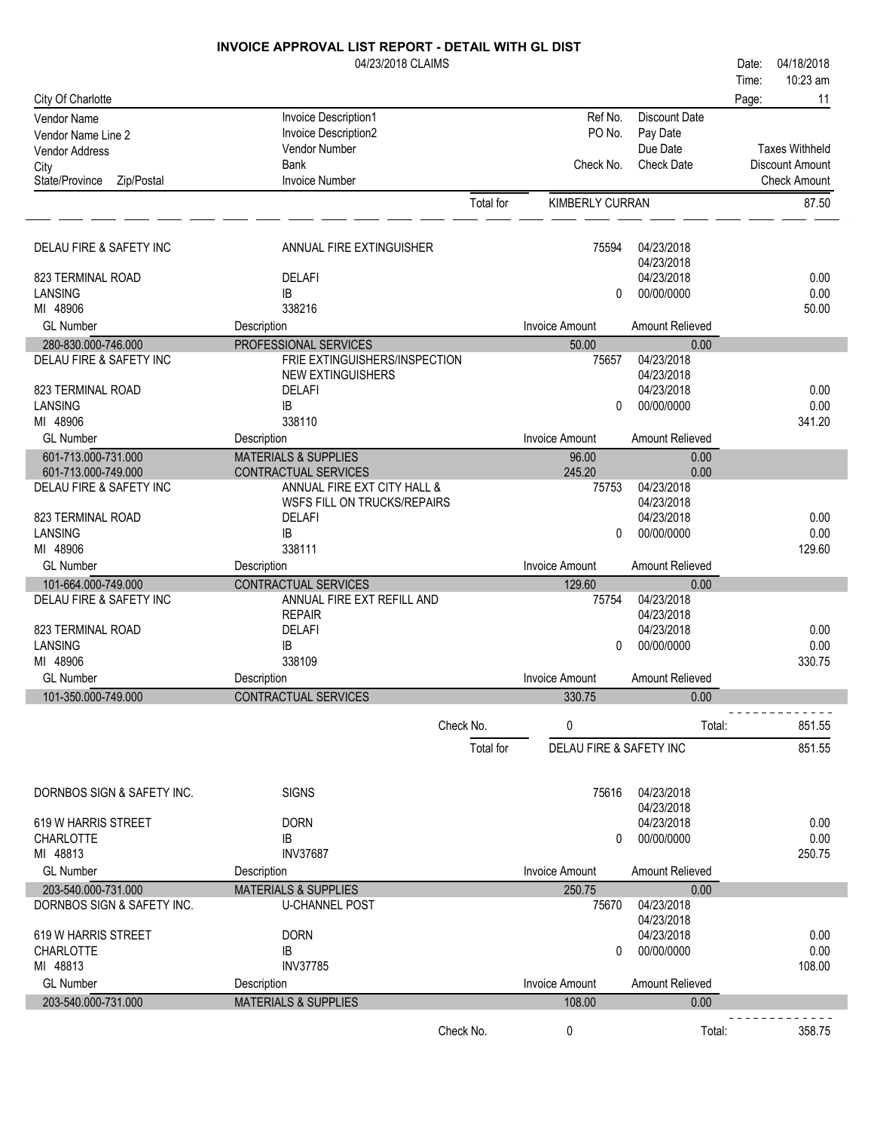|                              | 04/23/2018 CLAIMS               |           |                                    |                          | Date: | 04/18/2018             |
|------------------------------|---------------------------------|-----------|------------------------------------|--------------------------|-------|------------------------|
|                              |                                 |           |                                    |                          | Time: | 10:23 am               |
| City Of Charlotte            |                                 |           |                                    |                          | Page: | 11                     |
| <b>Vendor Name</b>           | Invoice Description1            |           | Ref No.                            | <b>Discount Date</b>     |       |                        |
| Vendor Name Line 2           | Invoice Description2            |           | PO No.                             | Pay Date                 |       |                        |
| <b>Vendor Address</b>        | Vendor Number                   |           |                                    | Due Date                 |       | <b>Taxes Withheld</b>  |
| City                         | Bank                            |           | Check No.                          | <b>Check Date</b>        |       | <b>Discount Amount</b> |
| State/Province<br>Zip/Postal | <b>Invoice Number</b>           |           |                                    |                          |       | <b>Check Amount</b>    |
|                              |                                 | Total for | KIMBERLY CURRAN                    |                          |       | 87.50                  |
|                              |                                 |           |                                    |                          |       |                        |
| DELAU FIRE & SAFETY INC      | ANNUAL FIRE EXTINGUISHER        |           | 75594                              | 04/23/2018               |       |                        |
|                              |                                 |           |                                    | 04/23/2018               |       |                        |
| 823 TERMINAL ROAD            | <b>DELAFI</b>                   |           |                                    | 04/23/2018               |       | 0.00                   |
| LANSING                      | IB                              |           | $\Omega$                           | 00/00/0000               |       | 0.00                   |
| MI 48906                     | 338216                          |           |                                    |                          |       | 50.00                  |
| <b>GL Number</b>             | Description                     |           | <b>Invoice Amount</b>              | Amount Relieved          |       |                        |
| 280-830.000-746.000          | PROFESSIONAL SERVICES           |           | 50.00                              | 0.00                     |       |                        |
| DELAU FIRE & SAFETY INC      | FRIE EXTINGUISHERS/INSPECTION   |           | 75657                              | 04/23/2018               |       |                        |
| 823 TERMINAL ROAD            | <b>NEW EXTINGUISHERS</b>        |           |                                    | 04/23/2018<br>04/23/2018 |       | 0.00                   |
| LANSING                      | <b>DELAFI</b><br>IB             |           | $\Omega$                           | 00/00/0000               |       | 0.00                   |
| MI 48906                     | 338110                          |           |                                    |                          |       | 341.20                 |
| <b>GL Number</b>             | Description                     |           | <b>Invoice Amount</b>              | Amount Relieved          |       |                        |
| 601-713.000-731.000          | <b>MATERIALS &amp; SUPPLIES</b> |           | 96.00                              | 0.00                     |       |                        |
| 601-713.000-749.000          | CONTRACTUAL SERVICES            |           | 245.20                             | 0.00                     |       |                        |
| DELAU FIRE & SAFETY INC      | ANNUAL FIRE EXT CITY HALL &     |           | 75753                              | 04/23/2018               |       |                        |
|                              | WSFS FILL ON TRUCKS/REPAIRS     |           |                                    | 04/23/2018               |       |                        |
| 823 TERMINAL ROAD            | <b>DELAFI</b>                   |           |                                    | 04/23/2018               |       | 0.00                   |
| LANSING                      | IB                              |           | $\mathbf{0}$                       | 00/00/0000               |       | 0.00                   |
| MI 48906                     | 338111                          |           |                                    |                          |       | 129.60                 |
| <b>GL Number</b>             | Description                     |           | <b>Invoice Amount</b>              | Amount Relieved          |       |                        |
| 101-664.000-749.000          | CONTRACTUAL SERVICES            |           | 129.60                             | 0.00                     |       |                        |
| DELAU FIRE & SAFETY INC      | ANNUAL FIRE EXT REFILL AND      |           | 75754                              | 04/23/2018<br>04/23/2018 |       |                        |
| 823 TERMINAL ROAD            | <b>REPAIR</b><br><b>DELAFI</b>  |           |                                    | 04/23/2018               |       | 0.00                   |
| LANSING                      | IB                              |           | $\Omega$                           | 00/00/0000               |       | 0.00                   |
| MI 48906                     | 338109                          |           |                                    |                          |       | 330.75                 |
| <b>GL Number</b>             | Description                     |           | <b>Invoice Amount</b>              | Amount Relieved          |       |                        |
| 101-350.000-749.000          | CONTRACTUAL SERVICES            |           | 330.75                             | 0.00                     |       |                        |
|                              |                                 |           |                                    |                          |       |                        |
|                              | Check No.                       |           | 0                                  | Total:                   |       | 851.55                 |
|                              |                                 | Total for | <b>DELAU FIRE &amp; SAFETY INC</b> |                          |       | 851.55                 |
|                              |                                 |           |                                    |                          |       |                        |
|                              |                                 |           |                                    |                          |       |                        |
| DORNBOS SIGN & SAFETY INC.   | <b>SIGNS</b>                    |           | 75616                              | 04/23/2018               |       |                        |
| 619 W HARRIS STREET          | <b>DORN</b>                     |           |                                    | 04/23/2018<br>04/23/2018 |       | 0.00                   |
| <b>CHARLOTTE</b>             | IB                              |           | 0                                  | 00/00/0000               |       | 0.00                   |
| MI 48813                     | <b>INV37687</b>                 |           |                                    |                          |       | 250.75                 |
| <b>GL Number</b>             | Description                     |           | <b>Invoice Amount</b>              | Amount Relieved          |       |                        |
| 203-540.000-731.000          | <b>MATERIALS &amp; SUPPLIES</b> |           | 250.75                             | 0.00                     |       |                        |
| DORNBOS SIGN & SAFETY INC.   | <b>U-CHANNEL POST</b>           |           | 75670                              | 04/23/2018               |       |                        |
|                              |                                 |           |                                    | 04/23/2018               |       |                        |
| 619 W HARRIS STREET          | <b>DORN</b>                     |           |                                    | 04/23/2018               |       | 0.00                   |
| <b>CHARLOTTE</b>             | IB                              |           | 0                                  | 00/00/0000               |       | 0.00                   |
| MI 48813                     | <b>INV37785</b>                 |           |                                    |                          |       | 108.00                 |
| <b>GL Number</b>             | Description                     |           | <b>Invoice Amount</b>              | Amount Relieved          |       |                        |
| 203-540.000-731.000          | <b>MATERIALS &amp; SUPPLIES</b> |           | 108.00                             | 0.00                     |       |                        |
|                              | Check No.                       |           | 0                                  | Total:                   |       | 358.75                 |
|                              |                                 |           |                                    |                          |       |                        |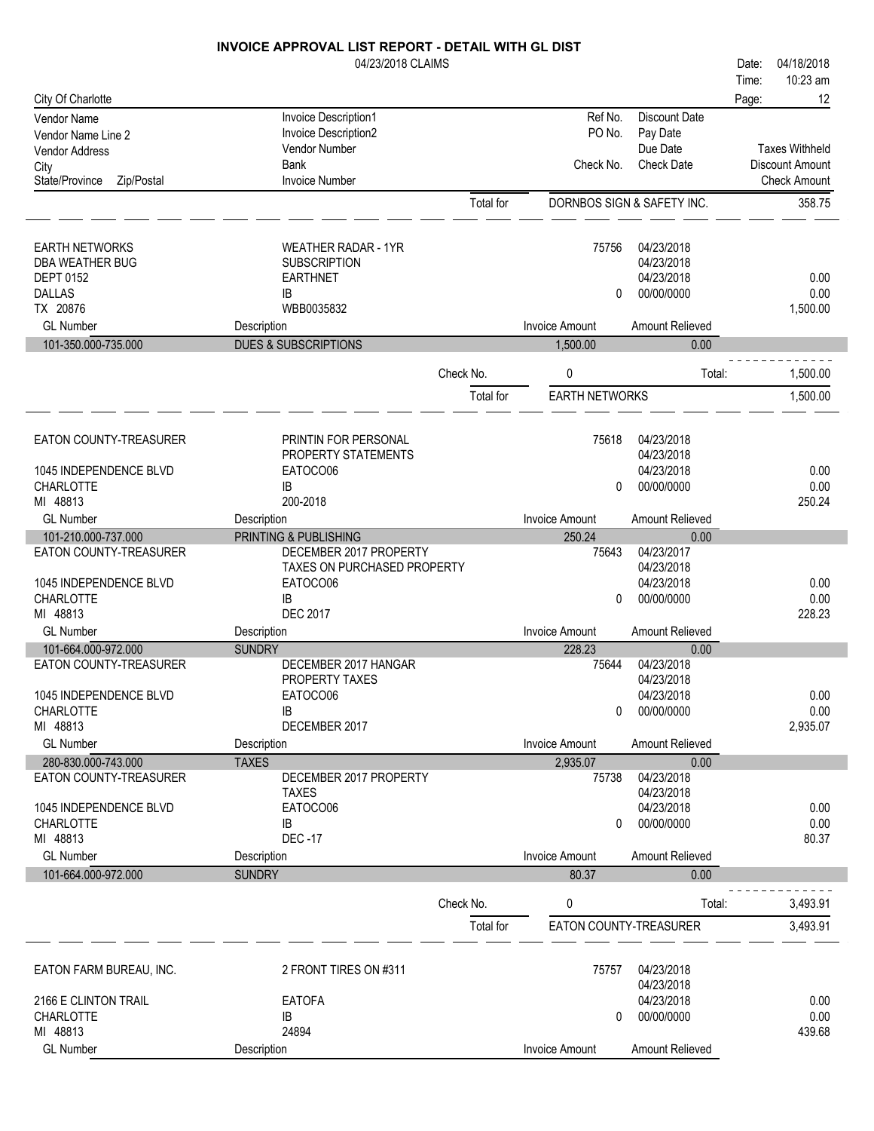|                                            | 04/23/2018 CLAIMS                      |           |                        |                            | Date: | 04/18/2018             |
|--------------------------------------------|----------------------------------------|-----------|------------------------|----------------------------|-------|------------------------|
|                                            |                                        |           |                        |                            | Time: | 10:23 am               |
| City Of Charlotte                          |                                        |           |                        |                            | Page: | 12                     |
| Vendor Name                                | Invoice Description1                   |           | Ref No.                | <b>Discount Date</b>       |       |                        |
| Vendor Name Line 2                         | Invoice Description2<br>Vendor Number  |           | PO No.                 | Pay Date<br>Due Date       |       | <b>Taxes Withheld</b>  |
| <b>Vendor Address</b>                      | <b>Bank</b>                            |           | Check No.              | <b>Check Date</b>          |       | <b>Discount Amount</b> |
| City<br>Zip/Postal<br>State/Province       | <b>Invoice Number</b>                  |           |                        |                            |       | <b>Check Amount</b>    |
|                                            |                                        | Total for |                        | DORNBOS SIGN & SAFETY INC. |       | 358.75                 |
|                                            |                                        |           |                        |                            |       |                        |
| <b>EARTH NETWORKS</b>                      | <b>WEATHER RADAR - 1YR</b>             |           | 75756                  | 04/23/2018                 |       |                        |
| DBA WEATHER BUG                            | <b>SUBSCRIPTION</b>                    |           |                        | 04/23/2018                 |       |                        |
| <b>DEPT 0152</b>                           | <b>EARTHNET</b>                        |           |                        | 04/23/2018                 |       | 0.00                   |
| <b>DALLAS</b>                              | IB                                     |           | 0                      | 00/00/0000                 |       | 0.00                   |
| TX 20876                                   | WBB0035832                             |           |                        |                            |       | 1,500.00               |
| <b>GL Number</b>                           | Description                            |           | <b>Invoice Amount</b>  | Amount Relieved            |       |                        |
| 101-350.000-735.000                        | <b>DUES &amp; SUBSCRIPTIONS</b>        |           | 1,500.00               | 0.00                       |       |                        |
|                                            |                                        | Check No. | 0                      | Total:                     |       | 1,500.00               |
|                                            |                                        | Total for | <b>EARTH NETWORKS</b>  |                            |       | 1,500.00               |
| EATON COUNTY-TREASURER                     | PRINTIN FOR PERSONAL                   |           | 75618                  | 04/23/2018                 |       |                        |
|                                            | PROPERTY STATEMENTS                    |           |                        | 04/23/2018                 |       |                        |
| 1045 INDEPENDENCE BLVD                     | EATOCO06                               |           |                        | 04/23/2018                 |       | 0.00                   |
| <b>CHARLOTTE</b>                           | IB                                     |           | $\mathbf{0}$           | 00/00/0000                 |       | 0.00                   |
| MI 48813                                   | 200-2018                               |           |                        |                            |       | 250.24                 |
| <b>GL Number</b>                           | Description                            |           | <b>Invoice Amount</b>  | Amount Relieved            |       |                        |
| 101-210.000-737.000                        | PRINTING & PUBLISHING                  |           | 250.24                 | 0.00                       |       |                        |
| EATON COUNTY-TREASURER                     | DECEMBER 2017 PROPERTY                 |           | 75643                  | 04/23/2017                 |       |                        |
|                                            | TAXES ON PURCHASED PROPERTY            |           |                        | 04/23/2018<br>04/23/2018   |       |                        |
| 1045 INDEPENDENCE BLVD<br><b>CHARLOTTE</b> | EATOCO06<br>IB                         |           | 0                      | 00/00/0000                 |       | 0.00<br>0.00           |
| MI 48813                                   | <b>DEC 2017</b>                        |           |                        |                            |       | 228.23                 |
| <b>GL Number</b>                           | Description                            |           | <b>Invoice Amount</b>  | Amount Relieved            |       |                        |
| 101-664.000-972.000                        | <b>SUNDRY</b>                          |           | 228.23                 | 0.00                       |       |                        |
| EATON COUNTY-TREASURER                     | DECEMBER 2017 HANGAR                   |           | 75644                  | 04/23/2018                 |       |                        |
|                                            | PROPERTY TAXES                         |           |                        | 04/23/2018                 |       |                        |
| 1045 INDEPENDENCE BLVD                     | EATOCO06                               |           |                        | 04/23/2018                 |       | 0.00                   |
| <b>CHARLOTTE</b>                           | IB                                     |           | 0                      | 00/00/0000                 |       | 0.00                   |
| MI 48813                                   | DECEMBER 2017                          |           |                        |                            |       | 2,935.07               |
| <b>GL Number</b>                           | Description                            |           | <b>Invoice Amount</b>  | Amount Relieved            |       |                        |
| 280-830.000-743.000                        | <b>TAXES</b>                           |           | 2,935.07               | 0.00<br>04/23/2018         |       |                        |
| EATON COUNTY-TREASURER                     | DECEMBER 2017 PROPERTY<br><b>TAXES</b> |           | 75738                  | 04/23/2018                 |       |                        |
| 1045 INDEPENDENCE BLVD                     | EATOCO06                               |           |                        | 04/23/2018                 |       | 0.00                   |
| <b>CHARLOTTE</b>                           | IB                                     |           | 0                      | 00/00/0000                 |       | 0.00                   |
| MI 48813                                   | <b>DEC-17</b>                          |           |                        |                            |       | 80.37                  |
| <b>GL Number</b>                           | Description                            |           | <b>Invoice Amount</b>  | Amount Relieved            |       |                        |
| 101-664.000-972.000                        | <b>SUNDRY</b>                          |           | 80.37                  | 0.00                       |       |                        |
|                                            |                                        | Check No. | 0                      | Total:                     |       | 3,493.91               |
|                                            |                                        | Total for | EATON COUNTY-TREASURER |                            |       | 3,493.91               |
|                                            |                                        |           |                        |                            |       |                        |
| EATON FARM BUREAU, INC.                    | 2 FRONT TIRES ON #311                  |           | 75757                  | 04/23/2018<br>04/23/2018   |       |                        |
| 2166 E CLINTON TRAIL                       | <b>EATOFA</b>                          |           |                        | 04/23/2018                 |       | 0.00                   |
| <b>CHARLOTTE</b>                           | IB                                     |           | 0                      | 00/00/0000                 |       | 0.00                   |
| MI 48813                                   | 24894                                  |           |                        |                            |       | 439.68                 |
| <b>GL Number</b>                           | Description                            |           | <b>Invoice Amount</b>  | Amount Relieved            |       |                        |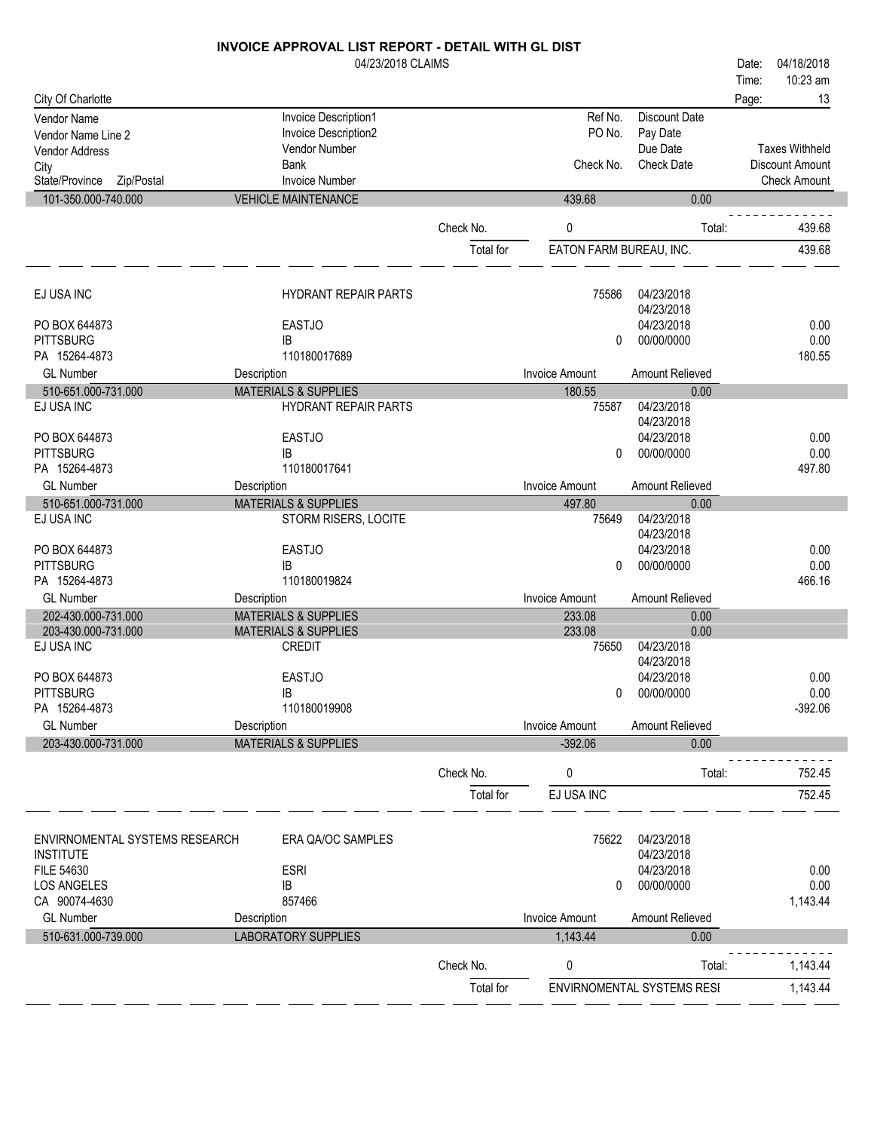| 1/23/2018 CLAIMS |  |
|------------------|--|
|------------------|--|

|                                                    | 04/23/2018 CLAIMS                            |           |                         |                            | 04/18/2018<br>Date:   |
|----------------------------------------------------|----------------------------------------------|-----------|-------------------------|----------------------------|-----------------------|
|                                                    |                                              |           |                         |                            | 10:23 am<br>Time:     |
| City Of Charlotte                                  |                                              |           |                         |                            | 13<br>Page:           |
| Vendor Name                                        | Invoice Description1<br>Invoice Description2 |           | Ref No.<br>PO No.       | <b>Discount Date</b>       |                       |
| Vendor Name Line 2<br><b>Vendor Address</b>        | Vendor Number                                |           |                         | Pay Date<br>Due Date       | <b>Taxes Withheld</b> |
| City                                               | Bank                                         |           | Check No.               | <b>Check Date</b>          | Discount Amount       |
| State/Province<br>Zip/Postal                       | <b>Invoice Number</b>                        |           |                         |                            | <b>Check Amount</b>   |
| 101-350.000-740.000                                | <b>VEHICLE MAINTENANCE</b>                   |           | 439.68                  | 0.00                       |                       |
|                                                    |                                              |           |                         |                            |                       |
|                                                    |                                              | Check No. | 0                       | Total:                     | 439.68                |
|                                                    |                                              | Total for | EATON FARM BUREAU, INC. |                            | 439.68                |
| EJ USA INC                                         | <b>HYDRANT REPAIR PARTS</b>                  |           | 75586                   | 04/23/2018                 |                       |
|                                                    |                                              |           |                         | 04/23/2018                 |                       |
| PO BOX 644873                                      | <b>EASTJO</b>                                |           |                         | 04/23/2018                 | 0.00                  |
| <b>PITTSBURG</b><br>PA 15264-4873                  | IB<br>110180017689                           |           | $\mathbf{0}$            | 00/00/0000                 | 0.00<br>180.55        |
| <b>GL Number</b>                                   | Description                                  |           | <b>Invoice Amount</b>   | Amount Relieved            |                       |
| 510-651.000-731.000                                | <b>MATERIALS &amp; SUPPLIES</b>              |           | 180.55                  | 0.00                       |                       |
| EJ USA INC                                         | <b>HYDRANT REPAIR PARTS</b>                  |           | 75587                   | 04/23/2018                 |                       |
|                                                    |                                              |           |                         | 04/23/2018                 |                       |
| PO BOX 644873                                      | <b>EASTJO</b>                                |           |                         | 04/23/2018                 | 0.00                  |
| <b>PITTSBURG</b>                                   | IB                                           |           | $\mathbf{0}$            | 00/00/0000                 | 0.00                  |
| PA 15264-4873                                      | 110180017641                                 |           |                         |                            | 497.80                |
| <b>GL Number</b>                                   | Description                                  |           | <b>Invoice Amount</b>   | Amount Relieved            |                       |
| 510-651.000-731.000                                | <b>MATERIALS &amp; SUPPLIES</b>              |           | 497.80                  | 0.00                       |                       |
| EJ USA INC                                         | STORM RISERS, LOCITE                         |           | 75649                   | 04/23/2018<br>04/23/2018   |                       |
| PO BOX 644873                                      | <b>EASTJO</b>                                |           |                         | 04/23/2018                 | 0.00                  |
| <b>PITTSBURG</b>                                   | IB                                           |           | $\Omega$                | 00/00/0000                 | 0.00                  |
| PA 15264-4873                                      | 110180019824                                 |           |                         |                            | 466.16                |
| <b>GL Number</b>                                   | Description                                  |           | <b>Invoice Amount</b>   | Amount Relieved            |                       |
| 202-430.000-731.000                                | <b>MATERIALS &amp; SUPPLIES</b>              |           | 233.08                  | 0.00                       |                       |
| 203-430.000-731.000                                | <b>MATERIALS &amp; SUPPLIES</b>              |           | 233.08                  | 0.00                       |                       |
| EJ USA INC                                         | <b>CREDIT</b>                                |           | 75650                   | 04/23/2018                 |                       |
| PO BOX 644873                                      | <b>EASTJO</b>                                |           |                         | 04/23/2018<br>04/23/2018   | 0.00                  |
| <b>PITTSBURG</b>                                   | <b>IB</b>                                    |           | 0                       | 00/00/0000                 | 0.00                  |
| PA 15264-4873                                      | 110180019908                                 |           |                         |                            | $-392.06$             |
| <b>GL Number</b>                                   | Description                                  |           | <b>Invoice Amount</b>   | Amount Relieved            |                       |
| 203-430.000-731.000                                | <b>MATERIALS &amp; SUPPLIES</b>              |           | $-392.06$               | 0.00                       |                       |
|                                                    |                                              |           |                         |                            |                       |
|                                                    |                                              | Check No. | 0                       | Total:                     | 752.45                |
|                                                    |                                              | Total for | EJ USA INC              |                            | 752.45                |
| ENVIRNOMENTAL SYSTEMS RESEARCH<br><b>INSTITUTE</b> | ERA QA/OC SAMPLES                            |           | 75622                   | 04/23/2018<br>04/23/2018   |                       |
| FILE 54630                                         | <b>ESRI</b>                                  |           |                         | 04/23/2018                 | 0.00                  |
| <b>LOS ANGELES</b>                                 | IB                                           |           | 0                       | 00/00/0000                 | 0.00                  |
| CA 90074-4630                                      | 857466                                       |           |                         |                            | 1,143.44              |
| <b>GL Number</b>                                   | Description                                  |           | <b>Invoice Amount</b>   | Amount Relieved            |                       |
| 510-631.000-739.000                                | <b>LABORATORY SUPPLIES</b>                   |           | 1,143.44                | 0.00                       |                       |
|                                                    |                                              | Check No. | 0                       | Total:                     | 1,143.44              |
|                                                    |                                              | Total for |                         | ENVIRNOMENTAL SYSTEMS RESI | 1,143.44              |
|                                                    |                                              |           |                         |                            |                       |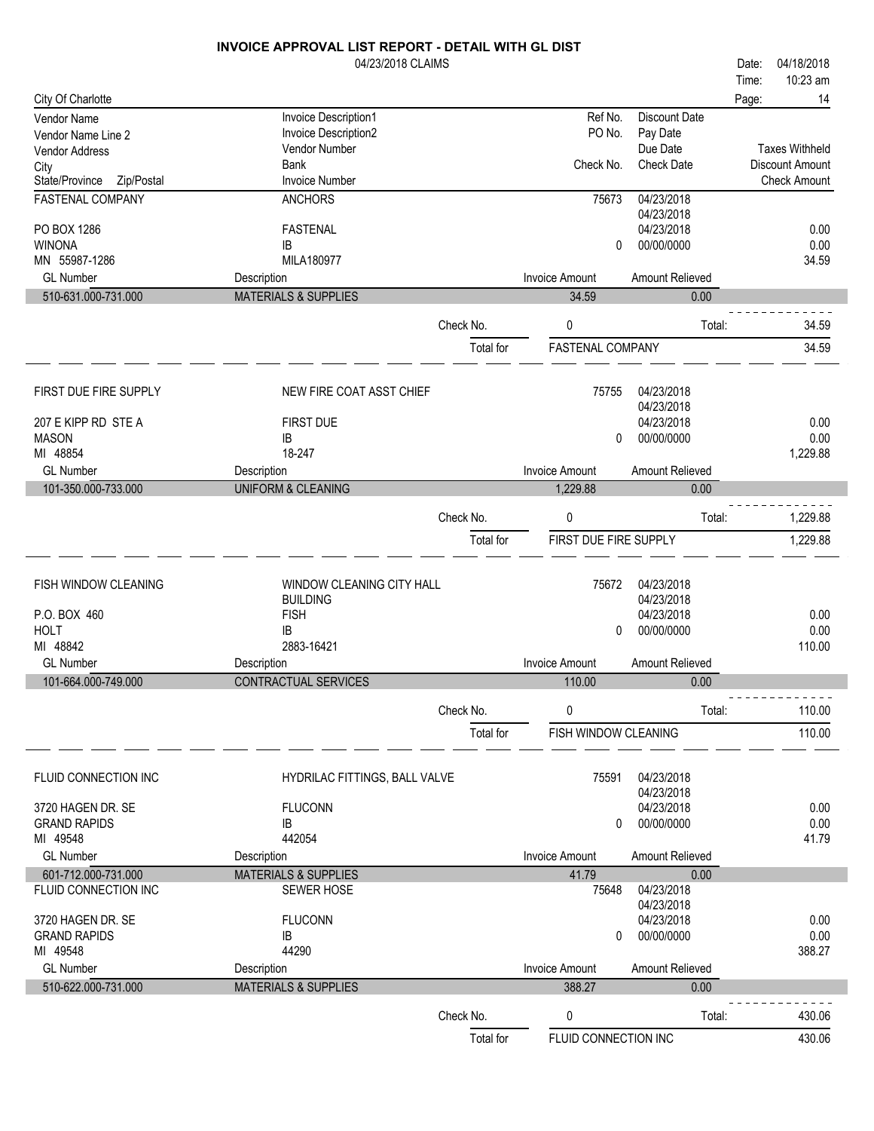|                                             | 04/23/2018 CLAIMS                     |           |                       |                      | 04/18/2018<br>Date:    |    |
|---------------------------------------------|---------------------------------------|-----------|-----------------------|----------------------|------------------------|----|
|                                             |                                       |           |                       |                      | 10:23 am<br>Time:      |    |
| City Of Charlotte                           |                                       |           |                       |                      | Page:                  | 14 |
| Vendor Name                                 | Invoice Description1                  |           | Ref No.               | <b>Discount Date</b> |                        |    |
| Vendor Name Line 2                          | Invoice Description2<br>Vendor Number |           | PO No.                | Pay Date<br>Due Date | <b>Taxes Withheld</b>  |    |
| <b>Vendor Address</b>                       | <b>Bank</b>                           |           | Check No.             | <b>Check Date</b>    | <b>Discount Amount</b> |    |
| City<br>State/Province<br>Zip/Postal        | <b>Invoice Number</b>                 |           |                       |                      | <b>Check Amount</b>    |    |
| FASTENAL COMPANY                            | <b>ANCHORS</b>                        |           | 75673                 | 04/23/2018           |                        |    |
|                                             |                                       |           |                       | 04/23/2018           |                        |    |
| PO BOX 1286                                 | <b>FASTENAL</b>                       |           |                       | 04/23/2018           | 0.00                   |    |
| <b>WINONA</b>                               | IB                                    |           | 0                     | 00/00/0000           | 0.00                   |    |
| MN 55987-1286                               | MILA180977                            |           |                       |                      | 34.59                  |    |
| <b>GL Number</b>                            | Description                           |           | <b>Invoice Amount</b> | Amount Relieved      |                        |    |
| 510-631.000-731.000                         | <b>MATERIALS &amp; SUPPLIES</b>       |           | 34.59                 | 0.00                 |                        |    |
|                                             |                                       | Check No. | 0                     | Total:               | 34.59                  |    |
|                                             |                                       |           |                       |                      |                        |    |
|                                             |                                       | Total for | FASTENAL COMPANY      |                      | 34.59                  |    |
| FIRST DUE FIRE SUPPLY                       | NEW FIRE COAT ASST CHIEF              |           | 75755                 | 04/23/2018           |                        |    |
|                                             |                                       |           |                       | 04/23/2018           |                        |    |
| 207 E KIPP RD STE A                         | <b>FIRST DUE</b>                      |           |                       | 04/23/2018           | 0.00                   |    |
| <b>MASON</b>                                | IB                                    |           | $\mathbf{0}$          | 00/00/0000           | 0.00                   |    |
| MI 48854                                    | 18-247                                |           |                       |                      | 1,229.88               |    |
| <b>GL Number</b>                            | Description                           |           | <b>Invoice Amount</b> | Amount Relieved      |                        |    |
| 101-350.000-733.000                         | UNIFORM & CLEANING                    |           | 1,229.88              | 0.00                 |                        |    |
|                                             |                                       | Check No. | 0                     | Total:               | 1,229.88               |    |
|                                             |                                       | Total for | FIRST DUE FIRE SUPPLY |                      | 1,229.88               |    |
|                                             |                                       |           |                       |                      |                        |    |
| FISH WINDOW CLEANING                        | <b>WINDOW CLEANING CITY HALL</b>      |           | 75672                 | 04/23/2018           |                        |    |
|                                             | <b>BUILDING</b>                       |           |                       | 04/23/2018           |                        |    |
| P.O. BOX 460                                | <b>FISH</b>                           |           |                       | 04/23/2018           | 0.00                   |    |
| <b>HOLT</b>                                 | <b>IB</b>                             |           | 0                     | 00/00/0000           | 0.00                   |    |
| MI 48842                                    | 2883-16421                            |           |                       |                      | 110.00                 |    |
| <b>GL Number</b>                            | Description                           |           | <b>Invoice Amount</b> | Amount Relieved      |                        |    |
| 101-664.000-749.000                         | <b>CONTRACTUAL SERVICES</b>           |           | 110.00                | 0.00                 |                        |    |
|                                             |                                       | Check No. | 0                     | Total:               | 110.00                 |    |
|                                             |                                       |           | FISH WINDOW CLEANING  |                      | 110.00                 |    |
|                                             |                                       | Total for |                       |                      |                        |    |
| FLUID CONNECTION INC                        | HYDRILAC FITTINGS, BALL VALVE         |           | 75591                 | 04/23/2018           |                        |    |
|                                             |                                       |           |                       | 04/23/2018           |                        |    |
| 3720 HAGEN DR. SE                           | <b>FLUCONN</b>                        |           |                       | 04/23/2018           | 0.00                   |    |
| <b>GRAND RAPIDS</b>                         | IB                                    |           | 0                     | 00/00/0000           | 0.00                   |    |
| MI 49548                                    | 442054                                |           |                       |                      | 41.79                  |    |
| <b>GL Number</b>                            | Description                           |           | <b>Invoice Amount</b> | Amount Relieved      |                        |    |
| 601-712.000-731.000<br>FLUID CONNECTION INC | <b>MATERIALS &amp; SUPPLIES</b>       |           | 41.79<br>75648        | 0.00<br>04/23/2018   |                        |    |
|                                             | <b>SEWER HOSE</b>                     |           |                       | 04/23/2018           |                        |    |
| 3720 HAGEN DR. SE                           | <b>FLUCONN</b>                        |           |                       | 04/23/2018           | 0.00                   |    |
| <b>GRAND RAPIDS</b>                         | IB                                    |           | 0                     | 00/00/0000           | 0.00                   |    |
| MI 49548                                    | 44290                                 |           |                       |                      | 388.27                 |    |
| <b>GL Number</b>                            | Description                           |           | <b>Invoice Amount</b> | Amount Relieved      |                        |    |
| 510-622.000-731.000                         | <b>MATERIALS &amp; SUPPLIES</b>       |           | 388.27                | 0.00                 |                        |    |
|                                             |                                       |           |                       |                      |                        |    |
|                                             |                                       | Check No. | 0                     | Total:               | 430.06                 |    |
|                                             |                                       | Total for | FLUID CONNECTION INC  |                      | 430.06                 |    |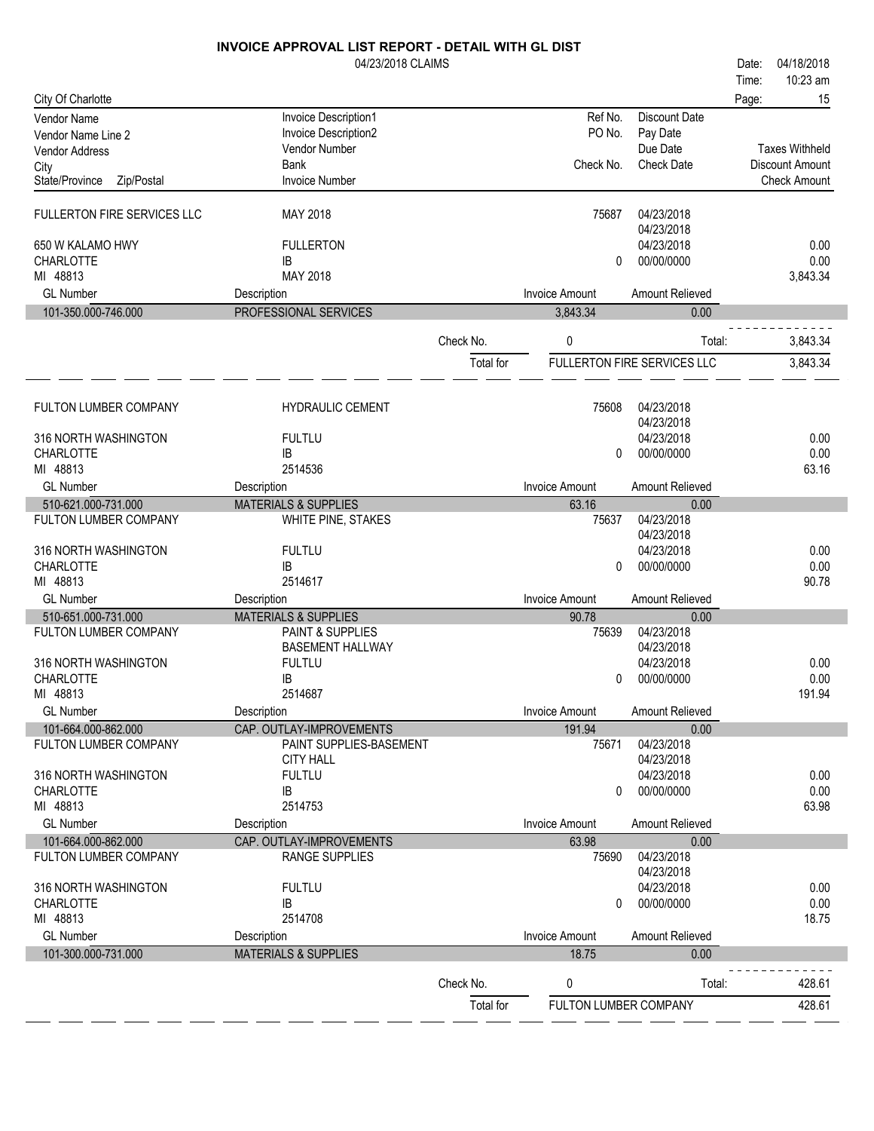|                                              | 04/23/2018 CLAIMS                                 |           |                       |                             | 04/18/2018<br>Date:    |
|----------------------------------------------|---------------------------------------------------|-----------|-----------------------|-----------------------------|------------------------|
|                                              |                                                   |           |                       |                             | 10:23 am<br>Time:      |
| City Of Charlotte                            |                                                   |           |                       |                             | 15<br>Page:            |
| Vendor Name                                  | Invoice Description1                              |           | Ref No.               | <b>Discount Date</b>        |                        |
| Vendor Name Line 2                           | Invoice Description2                              |           | PO No.                | Pay Date                    |                        |
| <b>Vendor Address</b>                        | Vendor Number                                     |           |                       | Due Date                    | <b>Taxes Withheld</b>  |
| City                                         | <b>Bank</b>                                       |           | Check No.             | <b>Check Date</b>           | <b>Discount Amount</b> |
| Zip/Postal<br>State/Province                 | <b>Invoice Number</b>                             |           |                       |                             | <b>Check Amount</b>    |
| <b>FULLERTON FIRE SERVICES LLC</b>           | MAY 2018                                          |           | 75687                 | 04/23/2018                  |                        |
|                                              |                                                   |           |                       | 04/23/2018                  |                        |
| 650 W KALAMO HWY                             | <b>FULLERTON</b>                                  |           |                       | 04/23/2018                  | 0.00                   |
| <b>CHARLOTTE</b>                             | IB                                                |           | 0                     | 00/00/0000                  | 0.00                   |
| MI 48813                                     | MAY 2018                                          |           |                       |                             | 3,843.34               |
| <b>GL Number</b>                             | Description                                       |           | <b>Invoice Amount</b> | Amount Relieved             |                        |
| 101-350.000-746.000                          | PROFESSIONAL SERVICES                             |           | 3,843.34              | 0.00                        |                        |
|                                              |                                                   | Check No. | 0                     | Total:                      | 3,843.34               |
|                                              |                                                   |           |                       |                             |                        |
|                                              |                                                   | Total for |                       | FULLERTON FIRE SERVICES LLC | 3,843.34               |
|                                              |                                                   |           |                       |                             |                        |
| FULTON LUMBER COMPANY                        | <b>HYDRAULIC CEMENT</b>                           |           | 75608                 | 04/23/2018                  |                        |
|                                              |                                                   |           |                       | 04/23/2018                  |                        |
| 316 NORTH WASHINGTON                         | <b>FULTLU</b>                                     |           |                       | 04/23/2018                  | 0.00                   |
| <b>CHARLOTTE</b><br>MI 48813                 | IB                                                |           | 0                     | 00/00/0000                  | 0.00                   |
| <b>GL Number</b>                             | 2514536                                           |           | <b>Invoice Amount</b> | Amount Relieved             | 63.16                  |
| 510-621.000-731.000                          | Description<br><b>MATERIALS &amp; SUPPLIES</b>    |           | 63.16                 | 0.00                        |                        |
| FULTON LUMBER COMPANY                        | WHITE PINE, STAKES                                |           | 75637                 | 04/23/2018                  |                        |
|                                              |                                                   |           |                       | 04/23/2018                  |                        |
| 316 NORTH WASHINGTON                         | <b>FULTLU</b>                                     |           |                       | 04/23/2018                  | 0.00                   |
| <b>CHARLOTTE</b>                             | IB                                                |           | 0                     | 00/00/0000                  | 0.00                   |
| MI 48813                                     | 2514617                                           |           |                       |                             | 90.78                  |
| <b>GL Number</b>                             | Description                                       |           | <b>Invoice Amount</b> | Amount Relieved             |                        |
| 510-651.000-731.000                          | <b>MATERIALS &amp; SUPPLIES</b>                   |           | 90.78                 | 0.00                        |                        |
| FULTON LUMBER COMPANY                        | PAINT & SUPPLIES                                  |           | 75639                 | 04/23/2018                  |                        |
| 316 NORTH WASHINGTON                         | <b>BASEMENT HALLWAY</b><br><b>FULTLU</b>          |           |                       | 04/23/2018<br>04/23/2018    | 0.00                   |
| <b>CHARLOTTE</b>                             | IB                                                |           | 0                     | 00/00/0000                  | 0.00                   |
| MI 48813                                     | 2514687                                           |           |                       |                             | 191.94                 |
| <b>GL Number</b>                             | Description                                       |           | <b>Invoice Amount</b> | Amount Relieved             |                        |
| 101-664.000-862.000                          | CAP. OUTLAY-IMPROVEMENTS                          |           | 191.94                | 0.00                        |                        |
| FULTON LUMBER COMPANY                        | PAINT SUPPLIES-BASEMENT                           |           | 75671                 | 04/23/2018                  |                        |
|                                              | <b>CITY HALL</b>                                  |           |                       | 04/23/2018                  |                        |
| 316 NORTH WASHINGTON                         | <b>FULTLU</b>                                     |           |                       | 04/23/2018                  | 0.00                   |
| CHARLOTTE                                    | IB                                                |           | 0                     | 00/00/0000                  | 0.00                   |
| MI 48813                                     | 2514753                                           |           |                       |                             | 63.98                  |
| <b>GL Number</b>                             | Description                                       |           | <b>Invoice Amount</b> | Amount Relieved             |                        |
| 101-664.000-862.000<br>FULTON LUMBER COMPANY | CAP. OUTLAY-IMPROVEMENTS<br><b>RANGE SUPPLIES</b> |           | 63.98<br>75690        | 0.00<br>04/23/2018          |                        |
|                                              |                                                   |           |                       | 04/23/2018                  |                        |
| 316 NORTH WASHINGTON                         | <b>FULTLU</b>                                     |           |                       | 04/23/2018                  | 0.00                   |
| <b>CHARLOTTE</b>                             | IB                                                |           | 0                     | 00/00/0000                  | 0.00                   |
| MI 48813                                     | 2514708                                           |           |                       |                             | 18.75                  |
| <b>GL Number</b>                             | Description                                       |           | <b>Invoice Amount</b> | Amount Relieved             |                        |
| 101-300.000-731.000                          | <b>MATERIALS &amp; SUPPLIES</b>                   |           | 18.75                 | 0.00                        |                        |
|                                              |                                                   |           |                       |                             |                        |
|                                              |                                                   | Check No. | 0                     | Total:                      | 428.61                 |
|                                              |                                                   | Total for | FULTON LUMBER COMPANY |                             | 428.61                 |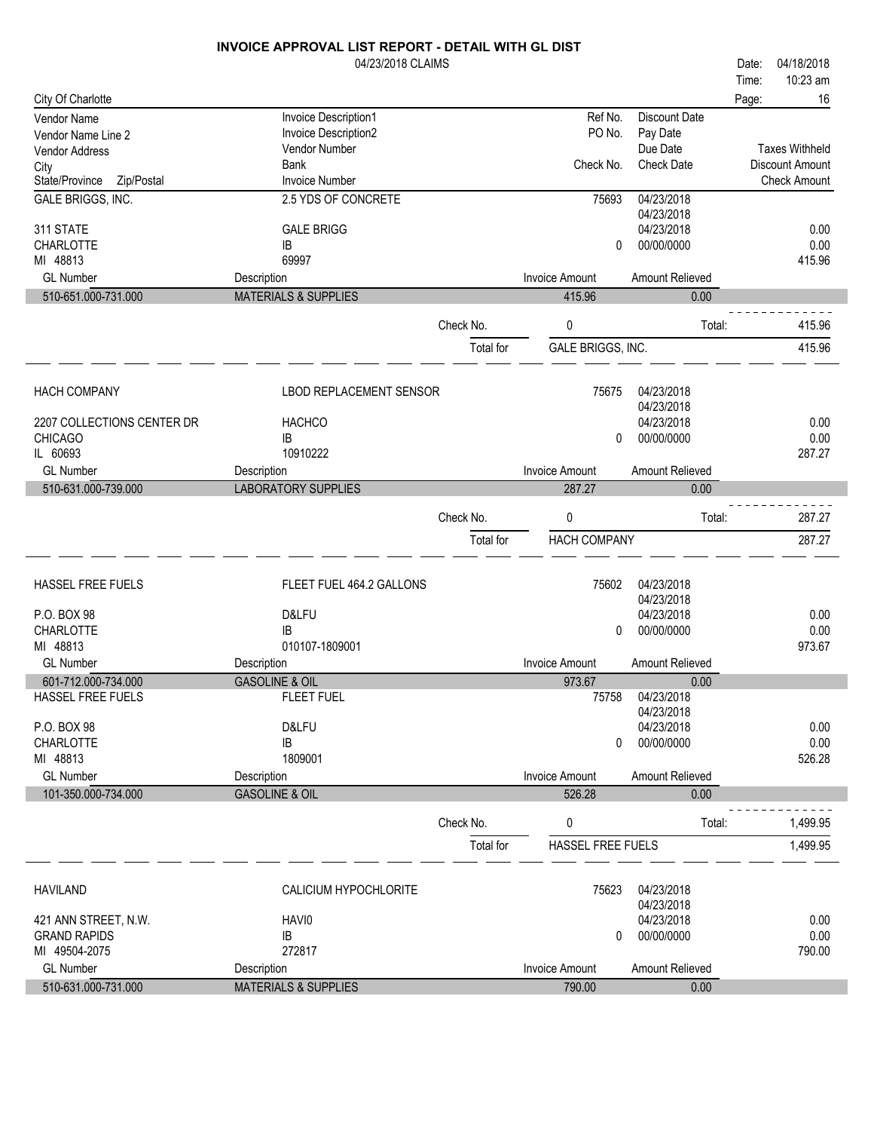|                              | 04/23/2018 CLAIMS               |           |                       |                          | Date: | 04/18/2018             |
|------------------------------|---------------------------------|-----------|-----------------------|--------------------------|-------|------------------------|
|                              |                                 |           |                       |                          | Time: | 10:23 am               |
| City Of Charlotte            |                                 |           |                       |                          | Page: | 16                     |
| Vendor Name                  | Invoice Description1            |           | Ref No.               | <b>Discount Date</b>     |       |                        |
| Vendor Name Line 2           | Invoice Description2            |           | PO No.                | Pay Date                 |       |                        |
| Vendor Address               | Vendor Number                   |           |                       | Due Date                 |       | <b>Taxes Withheld</b>  |
| City                         | <b>Bank</b>                     |           | Check No.             | <b>Check Date</b>        |       | <b>Discount Amount</b> |
| State/Province<br>Zip/Postal | <b>Invoice Number</b>           |           |                       |                          |       | <b>Check Amount</b>    |
| GALE BRIGGS, INC.            | 2.5 YDS OF CONCRETE             |           | 75693                 | 04/23/2018<br>04/23/2018 |       |                        |
| 311 STATE                    | <b>GALE BRIGG</b>               |           |                       | 04/23/2018               |       | 0.00                   |
| CHARLOTTE                    | IB                              |           | 0                     | 00/00/0000               |       | 0.00                   |
| MI 48813                     | 69997                           |           |                       |                          |       | 415.96                 |
| <b>GL Number</b>             | Description                     |           | <b>Invoice Amount</b> | Amount Relieved          |       |                        |
| 510-651.000-731.000          | <b>MATERIALS &amp; SUPPLIES</b> |           | 415.96                | 0.00                     |       |                        |
|                              |                                 |           |                       |                          |       |                        |
|                              |                                 | Check No. | 0                     | Total:                   |       | 415.96                 |
|                              |                                 | Total for | GALE BRIGGS, INC.     |                          |       | 415.96                 |
|                              |                                 |           |                       |                          |       |                        |
|                              |                                 |           |                       |                          |       |                        |
| <b>HACH COMPANY</b>          | <b>LBOD REPLACEMENT SENSOR</b>  |           | 75675                 | 04/23/2018<br>04/23/2018 |       |                        |
| 2207 COLLECTIONS CENTER DR   | <b>HACHCO</b>                   |           |                       | 04/23/2018               |       | 0.00                   |
| <b>CHICAGO</b>               | IB                              |           | 0                     | 00/00/0000               |       | 0.00                   |
| IL 60693                     | 10910222                        |           |                       |                          |       | 287.27                 |
| <b>GL Number</b>             | Description                     |           | <b>Invoice Amount</b> | Amount Relieved          |       |                        |
| 510-631.000-739.000          | <b>LABORATORY SUPPLIES</b>      |           | 287.27                | 0.00                     |       |                        |
|                              |                                 |           |                       |                          |       |                        |
|                              |                                 | Check No. | 0                     | Total:                   |       | 287.27                 |
|                              |                                 | Total for | <b>HACH COMPANY</b>   |                          |       | 287.27                 |
|                              |                                 |           |                       |                          |       |                        |
| <b>HASSEL FREE FUELS</b>     | FLEET FUEL 464.2 GALLONS        |           | 75602                 | 04/23/2018               |       |                        |
|                              |                                 |           |                       | 04/23/2018               |       |                        |
| P.O. BOX 98                  | D&LFU                           |           |                       | 04/23/2018               |       | 0.00                   |
| CHARLOTTE                    | IB                              |           | 0                     | 00/00/0000               |       | 0.00                   |
| MI 48813                     | 010107-1809001                  |           |                       |                          |       | 973.67                 |
| <b>GL Number</b>             | Description                     |           | <b>Invoice Amount</b> | Amount Relieved          |       |                        |
| 601-712.000-734.000          | <b>GASOLINE &amp; OIL</b>       |           | 973.67                | 0.00                     |       |                        |
| HASSEL FREE FUELS            | <b>FLEET FUEL</b>               |           | 75758                 | 04/23/2018               |       |                        |
| P.O. BOX 98                  | D&LFU                           |           |                       | 04/23/2018<br>04/23/2018 |       | 0.00                   |
| <b>CHARLOTTE</b>             | IB                              |           | $\mathbf{0}$          | 00/00/0000               |       | 0.00                   |
| MI 48813                     | 1809001                         |           |                       |                          |       | 526.28                 |
| <b>GL Number</b>             | Description                     |           | <b>Invoice Amount</b> | Amount Relieved          |       |                        |
| 101-350.000-734.000          | <b>GASOLINE &amp; OIL</b>       |           | 526.28                | 0.00                     |       |                        |
|                              |                                 |           |                       |                          |       |                        |
|                              |                                 | Check No. | 0                     | Total:                   |       | 1,499.95               |
|                              |                                 | Total for | HASSEL FREE FUELS     |                          |       | 1,499.95               |
|                              |                                 |           |                       |                          |       |                        |
| <b>HAVILAND</b>              | CALICIUM HYPOCHLORITE           |           | 75623                 | 04/23/2018               |       |                        |
|                              |                                 |           |                       | 04/23/2018               |       |                        |
| 421 ANN STREET, N.W.         | HAVI0                           |           |                       | 04/23/2018               |       | 0.00                   |
| <b>GRAND RAPIDS</b>          | IB                              |           | 0                     | 00/00/0000               |       | 0.00                   |
| MI 49504-2075                | 272817                          |           |                       |                          |       | 790.00                 |
| <b>GL Number</b>             | Description                     |           | <b>Invoice Amount</b> | Amount Relieved          |       |                        |
| 510-631.000-731.000          | <b>MATERIALS &amp; SUPPLIES</b> |           | 790.00                | 0.00                     |       |                        |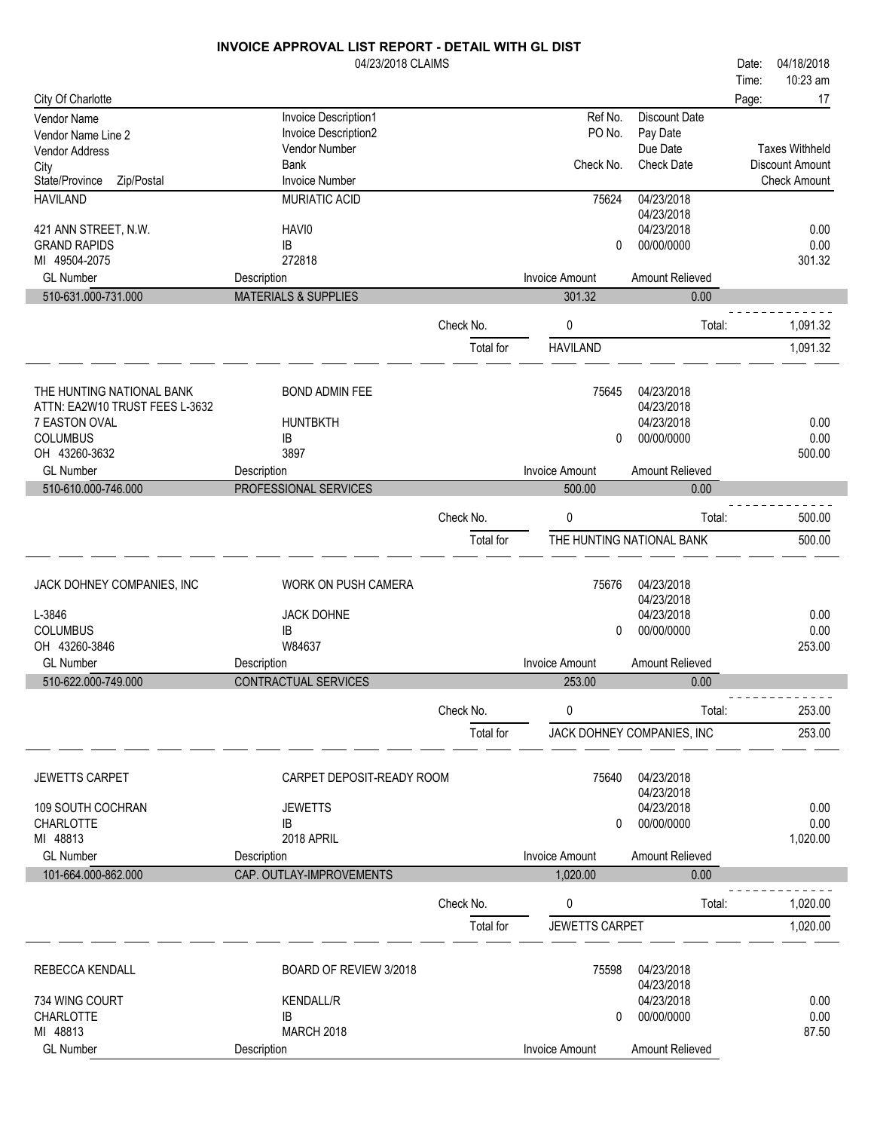|                                | 04/23/2018 CLAIMS               |           |                       |                            | 04/18/2018<br>Date:    |
|--------------------------------|---------------------------------|-----------|-----------------------|----------------------------|------------------------|
|                                |                                 |           |                       |                            | 10:23 am<br>Time:      |
| City Of Charlotte              |                                 |           |                       |                            | 17<br>Page:            |
| Vendor Name                    | Invoice Description1            |           | Ref No.               | <b>Discount Date</b>       |                        |
| Vendor Name Line 2             | Invoice Description2            |           | PO No.                | Pay Date                   |                        |
| <b>Vendor Address</b>          | Vendor Number                   |           |                       | Due Date                   | <b>Taxes Withheld</b>  |
| City                           | <b>Bank</b>                     |           | Check No.             | <b>Check Date</b>          | <b>Discount Amount</b> |
| State/Province<br>Zip/Postal   | <b>Invoice Number</b>           |           |                       |                            | <b>Check Amount</b>    |
| <b>HAVILAND</b>                | MURIATIC ACID                   |           | 75624                 | 04/23/2018<br>04/23/2018   |                        |
| 421 ANN STREET, N.W.           | HAVI0                           |           |                       | 04/23/2018                 | 0.00                   |
| <b>GRAND RAPIDS</b>            | IB                              |           | 0                     | 00/00/0000                 | 0.00                   |
| MI 49504-2075                  | 272818                          |           |                       |                            | 301.32                 |
| <b>GL Number</b>               | Description                     |           | <b>Invoice Amount</b> | Amount Relieved            |                        |
| 510-631.000-731.000            | <b>MATERIALS &amp; SUPPLIES</b> |           | 301.32                | 0.00                       |                        |
|                                |                                 |           |                       |                            |                        |
|                                |                                 | Check No. | 0                     | Total:                     | 1,091.32               |
|                                |                                 | Total for | <b>HAVILAND</b>       |                            | 1,091.32               |
|                                |                                 |           |                       |                            |                        |
| THE HUNTING NATIONAL BANK      | <b>BOND ADMIN FEE</b>           |           | 75645                 | 04/23/2018                 |                        |
| ATTN: EA2W10 TRUST FEES L-3632 |                                 |           |                       | 04/23/2018                 |                        |
| 7 EASTON OVAL                  | <b>HUNTBKTH</b>                 |           |                       | 04/23/2018                 | 0.00                   |
| <b>COLUMBUS</b>                | IB                              |           | 0                     | 00/00/0000                 | 0.00                   |
| OH 43260-3632                  | 3897                            |           |                       |                            | 500.00                 |
| <b>GL Number</b>               | Description                     |           | <b>Invoice Amount</b> | Amount Relieved            |                        |
| 510-610.000-746.000            | PROFESSIONAL SERVICES           |           | 500.00                | 0.00                       |                        |
|                                |                                 |           |                       |                            |                        |
|                                |                                 | Check No. | 0                     | Total:                     | 500.00                 |
|                                |                                 | Total for |                       | THE HUNTING NATIONAL BANK  | 500.00                 |
|                                |                                 |           |                       |                            |                        |
| JACK DOHNEY COMPANIES, INC     | <b>WORK ON PUSH CAMERA</b>      |           | 75676                 | 04/23/2018                 |                        |
|                                |                                 |           |                       | 04/23/2018                 |                        |
| L-3846                         | <b>JACK DOHNE</b>               |           |                       | 04/23/2018                 | 0.00                   |
| <b>COLUMBUS</b>                | IB                              |           | 0                     | 00/00/0000                 | 0.00                   |
| OH 43260-3846                  | W84637                          |           |                       |                            | 253.00                 |
| <b>GL Number</b>               | Description                     |           | <b>Invoice Amount</b> | Amount Relieved            |                        |
| 510-622.000-749.000            | CONTRACTUAL SERVICES            |           | 253.00                | 0.00                       |                        |
|                                |                                 | Check No. | 0                     | Total:                     | 253.00                 |
|                                |                                 |           |                       | JACK DOHNEY COMPANIES, INC | 253.00                 |
|                                |                                 | Total for |                       |                            |                        |
|                                |                                 |           |                       |                            |                        |
| <b>JEWETTS CARPET</b>          | CARPET DEPOSIT-READY ROOM       |           | 75640                 | 04/23/2018                 |                        |
|                                |                                 |           |                       | 04/23/2018                 |                        |
| 109 SOUTH COCHRAN              | <b>JEWETTS</b>                  |           |                       | 04/23/2018                 | 0.00                   |
| <b>CHARLOTTE</b>               | IB                              |           | 0                     | 00/00/0000                 | 0.00                   |
| MI 48813                       | 2018 APRIL                      |           |                       |                            | 1,020.00               |
| <b>GL Number</b>               | Description                     |           | <b>Invoice Amount</b> | Amount Relieved            |                        |
| 101-664.000-862.000            | CAP. OUTLAY-IMPROVEMENTS        |           | 1,020.00              | 0.00                       |                        |
|                                |                                 | Check No. | 0                     | Total:                     | 1,020.00               |
|                                |                                 | Total for | <b>JEWETTS CARPET</b> |                            | 1,020.00               |
|                                |                                 |           |                       |                            |                        |
| <b>REBECCA KENDALL</b>         | BOARD OF REVIEW 3/2018          |           | 75598                 | 04/23/2018                 |                        |
|                                |                                 |           |                       | 04/23/2018                 |                        |
| 734 WING COURT                 | <b>KENDALL/R</b>                |           |                       | 04/23/2018                 | 0.00                   |
| <b>CHARLOTTE</b>               | IB                              |           | 0                     | 00/00/0000                 | 0.00                   |
| MI 48813                       | <b>MARCH 2018</b>               |           |                       |                            | 87.50                  |
| <b>GL Number</b>               | Description                     |           | <b>Invoice Amount</b> | Amount Relieved            |                        |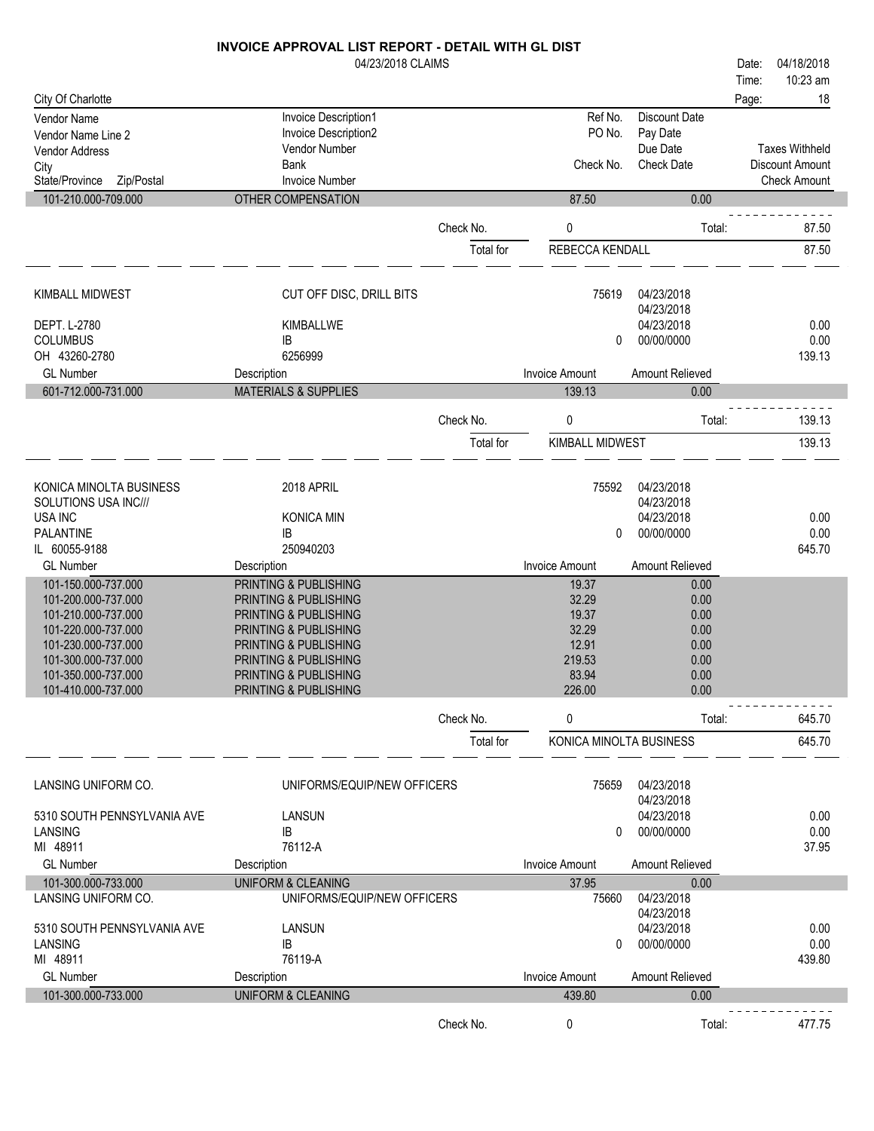|                              | 04/23/2018 CLAIMS               |           |                         |                          | Date: | 04/18/2018            |
|------------------------------|---------------------------------|-----------|-------------------------|--------------------------|-------|-----------------------|
|                              |                                 |           |                         |                          | Time: | 10:23 am              |
| City Of Charlotte            |                                 |           |                         |                          | Page: | 18                    |
| <b>Vendor Name</b>           | Invoice Description1            |           | Ref No.                 | Discount Date            |       |                       |
| Vendor Name Line 2           | Invoice Description2            |           | PO No.                  | Pay Date                 |       |                       |
| Vendor Address               | Vendor Number                   |           |                         | Due Date                 |       | <b>Taxes Withheld</b> |
| City                         | <b>Bank</b>                     |           | Check No.               | <b>Check Date</b>        |       | Discount Amount       |
| State/Province<br>Zip/Postal | <b>Invoice Number</b>           |           |                         |                          |       | <b>Check Amount</b>   |
| 101-210.000-709.000          | OTHER COMPENSATION              |           | 87.50                   | 0.00                     |       |                       |
|                              |                                 | Check No. | 0                       | Total:                   |       | 87.50                 |
|                              |                                 |           |                         |                          |       |                       |
|                              |                                 | Total for | REBECCA KENDALL         |                          |       | 87.50                 |
| <b>KIMBALL MIDWEST</b>       | CUT OFF DISC, DRILL BITS        |           | 75619                   | 04/23/2018               |       |                       |
|                              |                                 |           |                         | 04/23/2018               |       |                       |
| DEPT. L-2780                 | KIMBALLWE                       |           |                         | 04/23/2018               |       | 0.00                  |
| <b>COLUMBUS</b>              | IB                              |           | 0                       | 00/00/0000               |       | 0.00                  |
| OH 43260-2780                | 6256999                         |           |                         |                          |       | 139.13                |
| <b>GL Number</b>             | Description                     |           | <b>Invoice Amount</b>   | Amount Relieved          |       |                       |
| 601-712.000-731.000          | <b>MATERIALS &amp; SUPPLIES</b> |           | 139.13                  | 0.00                     |       |                       |
|                              |                                 | Check No. | 0                       | Total:                   |       | 139.13                |
|                              |                                 | Total for | <b>KIMBALL MIDWEST</b>  |                          |       | 139.13                |
|                              |                                 |           |                         |                          |       |                       |
| KONICA MINOLTA BUSINESS      | 2018 APRIL                      |           | 75592                   | 04/23/2018               |       |                       |
| SOLUTIONS USA INC///         |                                 |           |                         | 04/23/2018               |       |                       |
| <b>USA INC</b>               | <b>KONICA MIN</b>               |           |                         | 04/23/2018               |       | 0.00                  |
| <b>PALANTINE</b>             | IB                              |           | 0                       | 00/00/0000               |       | 0.00                  |
| IL 60055-9188                | 250940203                       |           |                         |                          |       | 645.70                |
| <b>GL Number</b>             | Description                     |           | <b>Invoice Amount</b>   | Amount Relieved          |       |                       |
| 101-150.000-737.000          | PRINTING & PUBLISHING           |           | 19.37                   | 0.00                     |       |                       |
| 101-200.000-737.000          | PRINTING & PUBLISHING           |           | 32.29                   | 0.00                     |       |                       |
| 101-210.000-737.000          | PRINTING & PUBLISHING           |           | 19.37                   | 0.00                     |       |                       |
| 101-220.000-737.000          | PRINTING & PUBLISHING           |           | 32.29                   | 0.00                     |       |                       |
| 101-230.000-737.000          | PRINTING & PUBLISHING           |           | 12.91                   | 0.00                     |       |                       |
| 101-300.000-737.000          | PRINTING & PUBLISHING           |           | 219.53                  | 0.00                     |       |                       |
| 101-350.000-737.000          | PRINTING & PUBLISHING           |           | 83.94                   | 0.00                     |       |                       |
| 101-410.000-737.000          | PRINTING & PUBLISHING           |           | 226.00                  | 0.00                     |       |                       |
|                              |                                 | Check No. | 0                       | Total:                   |       | 645.70                |
|                              |                                 | Total for | KONICA MINOLTA BUSINESS |                          |       | 645.70                |
|                              |                                 |           |                         |                          |       |                       |
| LANSING UNIFORM CO.          | UNIFORMS/EQUIP/NEW OFFICERS     |           | 75659                   | 04/23/2018<br>04/23/2018 |       |                       |
| 5310 SOUTH PENNSYLVANIA AVE  | <b>LANSUN</b>                   |           |                         | 04/23/2018               |       | 0.00                  |
| LANSING                      | IB                              |           | 0                       | 00/00/0000               |       | 0.00                  |
| MI 48911                     | 76112-A                         |           |                         |                          |       | 37.95                 |
| <b>GL Number</b>             | Description                     |           | <b>Invoice Amount</b>   | Amount Relieved          |       |                       |
| 101-300.000-733.000          | <b>UNIFORM &amp; CLEANING</b>   |           | 37.95                   | 0.00                     |       |                       |
| LANSING UNIFORM CO.          | UNIFORMS/EQUIP/NEW OFFICERS     |           | 75660                   | 04/23/2018               |       |                       |
|                              |                                 |           |                         | 04/23/2018               |       |                       |
| 5310 SOUTH PENNSYLVANIA AVE  | LANSUN                          |           |                         | 04/23/2018               |       | 0.00                  |
|                              |                                 |           |                         |                          |       |                       |

|                     | -------            |           |                | ---------       |        |
|---------------------|--------------------|-----------|----------------|-----------------|--------|
| LANSING             | IB                 |           |                | 00/00/0000      | 0.00   |
| 48911<br>МI         | 76119-A            |           |                |                 | 439.80 |
| <b>GL Number</b>    | Description        |           | Invoice Amount | Amount Relieved |        |
| 101-300.000-733.000 | UNIFORM & CLEANING |           | 439.80         | 0.00            |        |
|                     |                    |           |                |                 |        |
|                     |                    | Check No. |                | Total:          | 477.75 |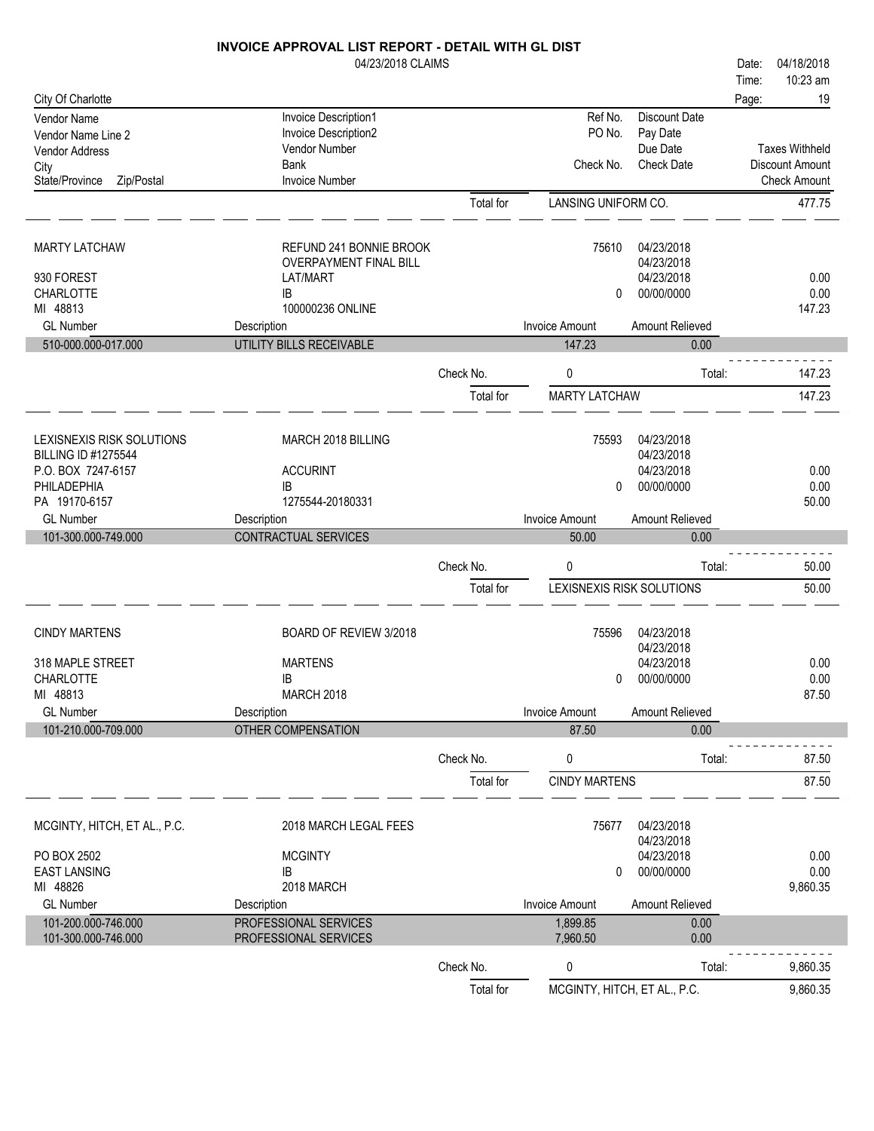|                              | INVOICE APPROVAL LIST REPORT - DETAIL WITH GL DIST |                        |                                   |                   |                        |
|------------------------------|----------------------------------------------------|------------------------|-----------------------------------|-------------------|------------------------|
|                              | 04/23/2018 CLAIMS                                  |                        |                                   |                   | 04/18/2018<br>Date:    |
|                              |                                                    |                        |                                   |                   | 10:23 am<br>Time:      |
| City Of Charlotte            |                                                    |                        |                                   |                   | 19<br>Page:            |
| Vendor Name                  | Invoice Description1                               |                        | Ref No.                           | Discount Date     |                        |
| Vendor Name Line 2           | Invoice Description2                               |                        | PO No.                            | Pay Date          |                        |
| Vendor Address               | Vendor Number                                      |                        |                                   | Due Date          | <b>Taxes Withheld</b>  |
| City                         | <b>Bank</b>                                        |                        | Check No.                         | <b>Check Date</b> | <b>Discount Amount</b> |
| State/Province<br>Zip/Postal | <b>Invoice Number</b>                              |                        |                                   |                   | <b>Check Amount</b>    |
|                              |                                                    | Total for              | LANSING UNIFORM CO.               |                   | 477.75                 |
| <b>MARTY LATCHAW</b>         | REFUND 241 BONNIE BROOK                            |                        | 75610                             | 04/23/2018        |                        |
|                              | OVERPAYMENT FINAL BILL                             |                        |                                   | 04/23/2018        |                        |
| 930 FOREST                   | LAT/MART                                           |                        |                                   | 04/23/2018        | 0.00                   |
| <b>CHARLOTTE</b>             | IB                                                 |                        | 0                                 | 00/00/0000        | 0.00                   |
| MI 48813                     | 100000236 ONLINE                                   |                        |                                   |                   | 147.23                 |
| <b>GL Number</b>             | Description                                        |                        | <b>Invoice Amount</b>             | Amount Relieved   |                        |
| 510-000.000-017.000          | <b>UTILITY BILLS RECEIVABLE</b>                    |                        | 147.23                            | 0.00              |                        |
|                              |                                                    | Check No.              | 0                                 | Total:            | 147.23                 |
|                              |                                                    | Total for              | <b>MARTY LATCHAW</b>              |                   | 147.23                 |
|                              |                                                    |                        |                                   |                   |                        |
| LEXISNEXIS RISK SOLUTIONS    | MARCH 2018 BILLING                                 |                        | 75593                             | 04/23/2018        |                        |
| <b>BILLING ID #1275544</b>   |                                                    |                        |                                   | 04/23/2018        |                        |
| P.O. BOX 7247-6157           | <b>ACCURINT</b>                                    |                        |                                   | 04/23/2018        | 0.00                   |
| PHILADEPHIA                  | IB                                                 |                        | 0                                 | 00/00/0000        | 0.00                   |
| PA 19170-6157                | 1275544-20180331                                   |                        |                                   |                   | 50.00                  |
| <b>GL Number</b>             | Description                                        |                        | <b>Invoice Amount</b>             | Amount Relieved   |                        |
|                              |                                                    |                        |                                   |                   |                        |
| 101-300.000-749.000          | CONTRACTUAL SERVICES                               |                        | 50.00                             | 0.00              |                        |
|                              |                                                    | Check No.              | 0                                 | Total:            | 50.00                  |
|                              |                                                    | Total for              | LEXISNEXIS RISK SOLUTIONS         |                   | 50.00                  |
|                              |                                                    |                        |                                   |                   |                        |
| <b>CINDY MARTENS</b>         | BOARD OF REVIEW 3/2018                             |                        | 75596                             | 04/23/2018        |                        |
|                              |                                                    |                        |                                   | 04/23/2018        |                        |
| 318 MAPLE STREET             | <b>MARTENS</b>                                     |                        |                                   | 04/23/2018        | 0.00                   |
| CHARLOTTE                    | IB                                                 |                        | $\mathbf{0}$                      | 00/00/0000        | 0.00                   |
| MI 48813                     | <b>MARCH 2018</b>                                  |                        |                                   |                   | 87.50                  |
| <b>GL Number</b>             | Description                                        |                        | <b>Invoice Amount</b>             | Amount Relieved   |                        |
| 101-210.000-709.000          | <b>OTHER COMPENSATION</b>                          |                        | 87.50                             | 0.00              |                        |
|                              |                                                    |                        |                                   |                   |                        |
|                              |                                                    | Check No.<br>Total for | 0<br><b>CINDY MARTENS</b>         | Total:            | 87.50<br>87.50         |
|                              |                                                    |                        |                                   |                   |                        |
| MCGINTY, HITCH, ET AL., P.C. | 2018 MARCH LEGAL FEES                              |                        | 75677                             | 04/23/2018        |                        |
|                              |                                                    |                        |                                   | 04/23/2018        |                        |
| PO BOX 2502                  | <b>MCGINTY</b>                                     |                        |                                   | 04/23/2018        | 0.00                   |
| <b>EAST LANSING</b>          | IB                                                 |                        | 0                                 | 00/00/0000        | 0.00                   |
| MI 48826                     | 2018 MARCH                                         |                        |                                   |                   | 9,860.35               |
| <b>GL Number</b>             | Description                                        |                        | Invoice Amount                    | Amount Relieved   |                        |
| 101-200.000-746.000          | PROFESSIONAL SERVICES                              |                        | 1,899.85                          | 0.00              |                        |
| 101-300.000-746.000          | PROFESSIONAL SERVICES                              |                        | 7,960.50                          | 0.00              |                        |
|                              |                                                    | Check No.<br>Total for | 0<br>MCGINTY, HITCH, ET AL., P.C. | Total:            | 9,860.35<br>9,860.35   |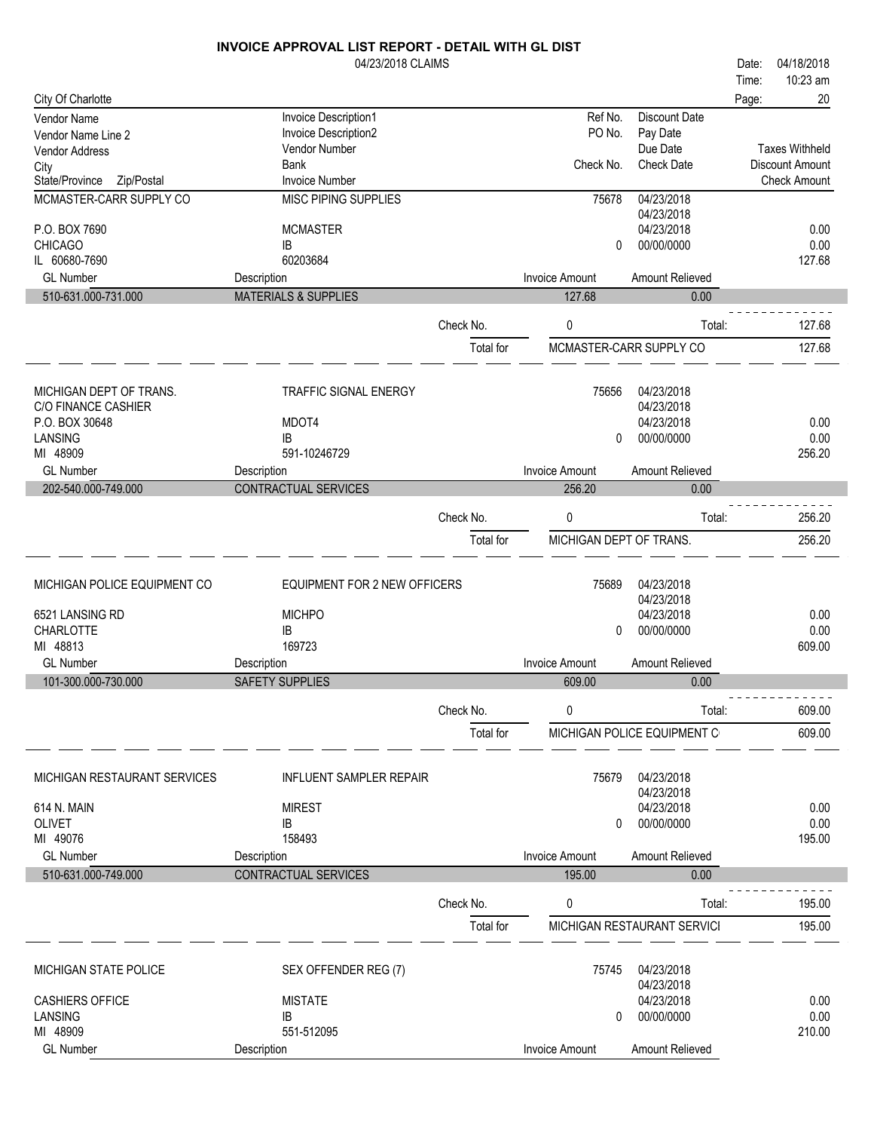|                                      | 04/23/2018 CLAIMS               |           |                         |                               | 04/18/2018<br>Date:                             |
|--------------------------------------|---------------------------------|-----------|-------------------------|-------------------------------|-------------------------------------------------|
|                                      |                                 |           |                         |                               | 10:23 am<br>Time:                               |
| City Of Charlotte                    |                                 |           |                         |                               | 20<br>Page:                                     |
| Vendor Name                          | Invoice Description1            |           | Ref No.                 | <b>Discount Date</b>          |                                                 |
| Vendor Name Line 2                   | Invoice Description2            |           | PO No.                  | Pay Date                      |                                                 |
| Vendor Address                       | Vendor Number<br><b>Bank</b>    |           | Check No.               | Due Date<br><b>Check Date</b> | <b>Taxes Withheld</b><br><b>Discount Amount</b> |
| City<br>State/Province<br>Zip/Postal | <b>Invoice Number</b>           |           |                         |                               | <b>Check Amount</b>                             |
| MCMASTER-CARR SUPPLY CO              | <b>MISC PIPING SUPPLIES</b>     |           | 75678                   | 04/23/2018                    |                                                 |
|                                      |                                 |           |                         | 04/23/2018                    |                                                 |
| P.O. BOX 7690                        | <b>MCMASTER</b>                 |           |                         | 04/23/2018                    | 0.00                                            |
| <b>CHICAGO</b>                       | IB                              |           | 0                       | 00/00/0000                    | 0.00                                            |
| IL 60680-7690                        | 60203684                        |           |                         |                               | 127.68                                          |
| <b>GL Number</b>                     | Description                     |           | <b>Invoice Amount</b>   | Amount Relieved               |                                                 |
| 510-631.000-731.000                  | <b>MATERIALS &amp; SUPPLIES</b> |           | 127.68                  | 0.00                          |                                                 |
|                                      |                                 |           |                         |                               |                                                 |
|                                      |                                 | Check No. | 0                       | Total:                        | 127.68                                          |
|                                      |                                 | Total for |                         | MCMASTER-CARR SUPPLY CO       | 127.68                                          |
|                                      |                                 |           |                         |                               |                                                 |
| MICHIGAN DEPT OF TRANS.              | <b>TRAFFIC SIGNAL ENERGY</b>    |           | 75656                   | 04/23/2018                    |                                                 |
| C/O FINANCE CASHIER                  |                                 |           |                         | 04/23/2018                    |                                                 |
| P.O. BOX 30648                       | MDOT4                           |           |                         | 04/23/2018                    | 0.00                                            |
| LANSING                              | IB                              |           | 0                       | 00/00/0000                    | 0.00                                            |
| MI 48909                             | 591-10246729                    |           |                         |                               | 256.20                                          |
| <b>GL Number</b>                     | Description                     |           | <b>Invoice Amount</b>   | Amount Relieved               |                                                 |
| 202-540.000-749.000                  | CONTRACTUAL SERVICES            |           | 256.20                  | 0.00                          |                                                 |
|                                      |                                 | Check No. | 0                       | Total:                        | 256.20                                          |
|                                      |                                 |           |                         |                               |                                                 |
|                                      |                                 | Total for | MICHIGAN DEPT OF TRANS. |                               | 256.20                                          |
|                                      |                                 |           |                         |                               |                                                 |
| MICHIGAN POLICE EQUIPMENT CO         | EQUIPMENT FOR 2 NEW OFFICERS    |           | 75689                   | 04/23/2018                    |                                                 |
|                                      |                                 |           |                         | 04/23/2018                    |                                                 |
| 6521 LANSING RD                      | <b>MICHPO</b>                   |           |                         | 04/23/2018                    | 0.00                                            |
| CHARLOTTE<br>MI 48813                | IB<br>169723                    |           | 0                       | 00/00/0000                    | 0.00<br>609.00                                  |
| <b>GL Number</b>                     | Description                     |           | <b>Invoice Amount</b>   | Amount Relieved               |                                                 |
| 101-300.000-730.000                  | <b>SAFETY SUPPLIES</b>          |           | 609.00                  | 0.00                          |                                                 |
|                                      |                                 |           |                         |                               |                                                 |
|                                      |                                 | Check No. | 0                       | Total:                        | 609.00                                          |
|                                      |                                 | Total for |                         | MICHIGAN POLICE EQUIPMENT C   | 609.00                                          |
|                                      |                                 |           |                         |                               |                                                 |
|                                      |                                 |           |                         |                               |                                                 |
| MICHIGAN RESTAURANT SERVICES         | <b>INFLUENT SAMPLER REPAIR</b>  |           | 75679                   | 04/23/2018                    |                                                 |
|                                      |                                 |           |                         | 04/23/2018                    |                                                 |
| 614 N. MAIN<br><b>OLIVET</b>         | <b>MIREST</b>                   |           |                         | 04/23/2018                    | 0.00                                            |
| MI 49076                             | IB<br>158493                    |           | 0                       | 00/00/0000                    | 0.00<br>195.00                                  |
| <b>GL Number</b>                     | Description                     |           | Invoice Amount          | Amount Relieved               |                                                 |
| 510-631.000-749.000                  | <b>CONTRACTUAL SERVICES</b>     |           | 195.00                  | 0.00                          |                                                 |
|                                      |                                 |           |                         |                               |                                                 |
|                                      |                                 | Check No. | 0                       | Total:                        | 195.00                                          |
|                                      |                                 | Total for |                         | MICHIGAN RESTAURANT SERVICI   | 195.00                                          |
|                                      |                                 |           |                         |                               |                                                 |
|                                      |                                 |           |                         |                               |                                                 |
| MICHIGAN STATE POLICE                | SEX OFFENDER REG (7)            |           | 75745                   | 04/23/2018<br>04/23/2018      |                                                 |
| <b>CASHIERS OFFICE</b>               | <b>MISTATE</b>                  |           |                         | 04/23/2018                    | 0.00                                            |
| LANSING                              | IB                              |           | 0                       | 00/00/0000                    | 0.00                                            |
| MI 48909                             | 551-512095                      |           |                         |                               | 210.00                                          |
| <b>GL Number</b>                     | Description                     |           | Invoice Amount          | Amount Relieved               |                                                 |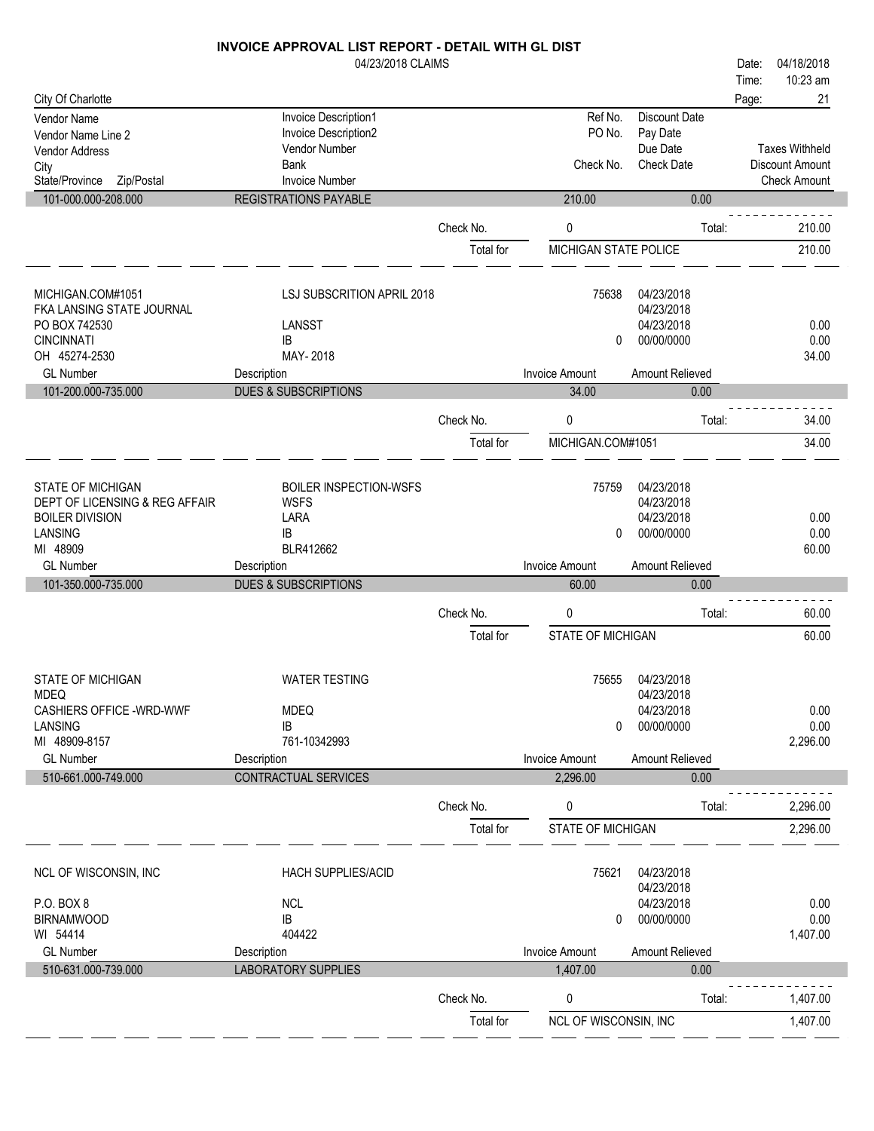#### 04/23/2018 CLAIMS INVOICE APPROVAL LIST REPORT - DETAIL WITH GL DIST City Of Charlotte Time: Date: 04/18/2018 Page: 21 Vendor Name Invoice Description 1 Ref No. Discount Date<br>
Vendor Name Invoice Description 2 Ref No. Discount Date<br>
Vendor Name Invoice Description 2 RO No. Pay Date

10:23 am

| Vendor Name Line 2                                  | <b>Invoice Description2</b>                    |           | PO No.                | Pay Date                 |                                        |
|-----------------------------------------------------|------------------------------------------------|-----------|-----------------------|--------------------------|----------------------------------------|
| Vendor Address                                      | Vendor Number                                  |           |                       | Due Date                 | <b>Taxes Withheld</b>                  |
| City                                                | <b>Bank</b>                                    |           | Check No.             | <b>Check Date</b>        | Discount Amount<br><b>Check Amount</b> |
| State/Province<br>Zip/Postal<br>101-000.000-208.000 | <b>Invoice Number</b><br>REGISTRATIONS PAYABLE |           | 210.00                | 0.00                     |                                        |
|                                                     |                                                |           |                       |                          |                                        |
|                                                     |                                                | Check No. | 0                     | Total:                   | 210.00                                 |
|                                                     |                                                | Total for | MICHIGAN STATE POLICE |                          | 210.00                                 |
|                                                     |                                                |           |                       |                          |                                        |
| MICHIGAN.COM#1051                                   | LSJ SUBSCRITION APRIL 2018                     |           | 75638                 | 04/23/2018               |                                        |
| FKA LANSING STATE JOURNAL                           |                                                |           |                       | 04/23/2018               |                                        |
| PO BOX 742530                                       | LANSST                                         |           |                       | 04/23/2018               | 0.00                                   |
| <b>CINCINNATI</b>                                   | IB                                             |           | $\mathbf{0}$          | 00/00/0000               | 0.00                                   |
| OH 45274-2530                                       | MAY-2018                                       |           |                       |                          | 34.00                                  |
| <b>GL Number</b>                                    | Description                                    |           | <b>Invoice Amount</b> | Amount Relieved          |                                        |
| 101-200.000-735.000                                 | <b>DUES &amp; SUBSCRIPTIONS</b>                |           | 34.00                 | 0.00                     |                                        |
|                                                     |                                                | Check No. | 0                     | Total:                   | 34.00                                  |
|                                                     |                                                | Total for | MICHIGAN.COM#1051     |                          | 34.00                                  |
|                                                     |                                                |           |                       |                          |                                        |
|                                                     |                                                |           |                       |                          |                                        |
| STATE OF MICHIGAN                                   | <b>BOILER INSPECTION-WSFS</b>                  |           | 75759                 | 04/23/2018               |                                        |
| DEPT OF LICENSING & REG AFFAIR                      | <b>WSFS</b>                                    |           |                       | 04/23/2018<br>04/23/2018 | 0.00                                   |
| <b>BOILER DIVISION</b><br>LANSING                   | LARA<br>IB                                     |           | 0                     | 00/00/0000               | 0.00                                   |
| MI 48909                                            | BLR412662                                      |           |                       |                          | 60.00                                  |
| <b>GL Number</b>                                    | Description                                    |           | <b>Invoice Amount</b> | Amount Relieved          |                                        |
|                                                     | <b>DUES &amp; SUBSCRIPTIONS</b>                |           | 60.00                 | 0.00                     |                                        |
|                                                     |                                                |           |                       |                          |                                        |
| 101-350.000-735.000                                 |                                                |           |                       |                          |                                        |
|                                                     |                                                | Check No. | 0                     | Total:                   | 60.00                                  |
|                                                     |                                                | Total for | STATE OF MICHIGAN     |                          | 60.00                                  |
|                                                     |                                                |           |                       |                          |                                        |
|                                                     |                                                |           |                       |                          |                                        |
| STATE OF MICHIGAN                                   | <b>WATER TESTING</b>                           |           | 75655                 | 04/23/2018               |                                        |
| <b>MDEQ</b><br>CASHIERS OFFICE - WRD-WWF            | <b>MDEQ</b>                                    |           |                       | 04/23/2018<br>04/23/2018 | 0.00                                   |
| LANSING                                             | IB                                             |           | 0                     | 00/00/0000               | 0.00                                   |
| MI 48909-8157                                       | 761-10342993                                   |           |                       |                          | 2,296.00                               |
| <b>GL Number</b>                                    | Description                                    |           | <b>Invoice Amount</b> | Amount Relieved          |                                        |
| 510-661.000-749.000                                 | CONTRACTUAL SERVICES                           |           | 2,296.00              | 0.00                     |                                        |
|                                                     |                                                |           |                       |                          |                                        |
|                                                     |                                                | Check No. | 0                     | Total:                   | 2,296.00                               |
|                                                     |                                                | Total for | STATE OF MICHIGAN     |                          | 2,296.00                               |
|                                                     |                                                |           |                       |                          |                                        |
| NCL OF WISCONSIN, INC                               | HACH SUPPLIES/ACID                             |           | 75621                 | 04/23/2018               |                                        |
|                                                     |                                                |           |                       | 04/23/2018               |                                        |
| P.O. BOX 8                                          | <b>NCL</b>                                     |           |                       | 04/23/2018               | 0.00                                   |
| <b>BIRNAMWOOD</b>                                   | IB                                             |           | 0                     | 00/00/0000               | 0.00                                   |
| WI 54414                                            | 404422                                         |           |                       |                          | 1,407.00                               |
| <b>GL Number</b>                                    | Description                                    |           | <b>Invoice Amount</b> | Amount Relieved          |                                        |
| 510-631.000-739.000                                 | <b>LABORATORY SUPPLIES</b>                     |           | 1,407.00              | 0.00                     |                                        |
|                                                     |                                                | Check No. | 0                     | Total:                   | 1,407.00                               |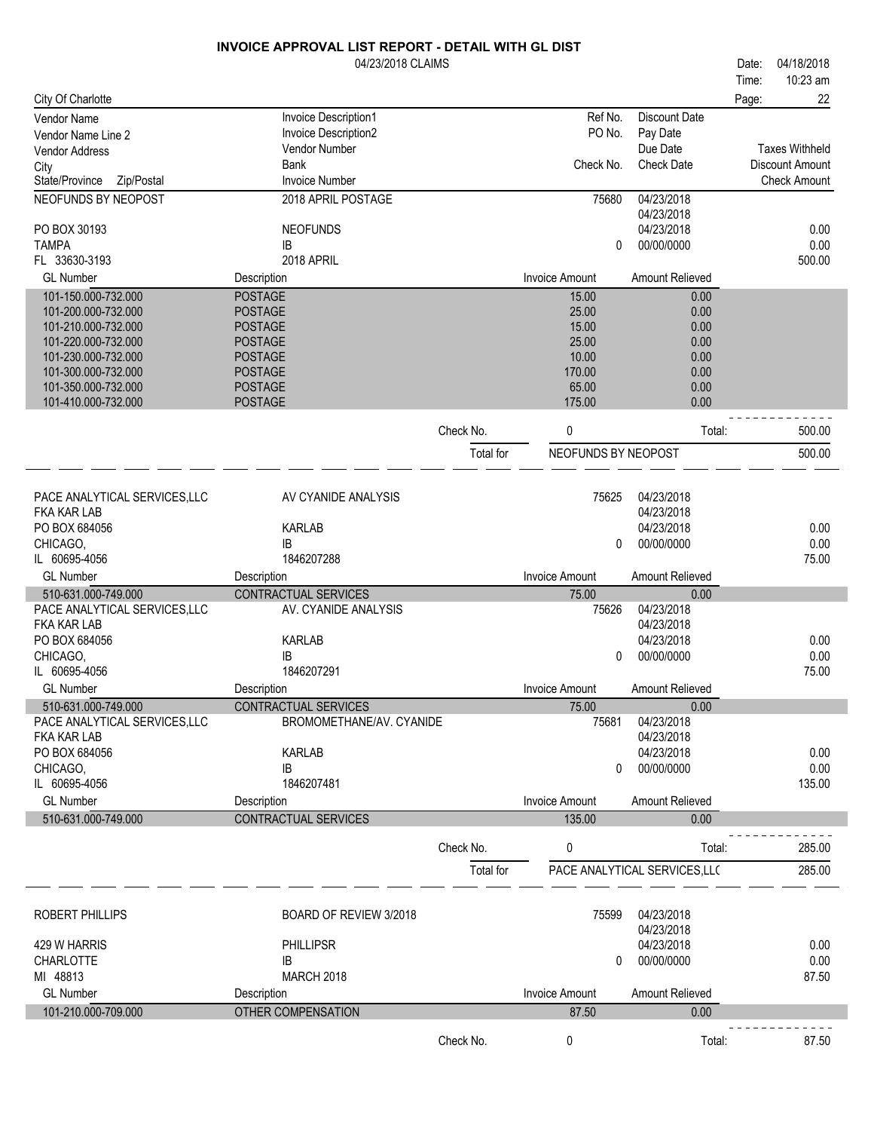|                                                     | 04/23/2018 CLAIMS                |           |                       |                               | Date: | 04/18/2018             |
|-----------------------------------------------------|----------------------------------|-----------|-----------------------|-------------------------------|-------|------------------------|
|                                                     |                                  |           |                       |                               | Time: | 10:23 am               |
| City Of Charlotte                                   |                                  |           |                       |                               | Page: | 22                     |
| <b>Vendor Name</b>                                  | Invoice Description1             |           | Ref No.               | <b>Discount Date</b>          |       |                        |
| Vendor Name Line 2                                  | Invoice Description2             |           | PO No.                | Pay Date                      |       |                        |
| <b>Vendor Address</b>                               | <b>Vendor Number</b>             |           |                       | Due Date                      |       | <b>Taxes Withheld</b>  |
| City                                                | <b>Bank</b>                      |           | Check No.             | <b>Check Date</b>             |       | <b>Discount Amount</b> |
| State/Province<br>Zip/Postal                        | <b>Invoice Number</b>            |           |                       |                               |       | <b>Check Amount</b>    |
| NEOFUNDS BY NEOPOST                                 | 2018 APRIL POSTAGE               |           | 75680                 | 04/23/2018                    |       |                        |
|                                                     |                                  |           |                       | 04/23/2018                    |       |                        |
| PO BOX 30193<br><b>TAMPA</b>                        | <b>NEOFUNDS</b><br>IB            |           |                       | 04/23/2018<br>00/00/0000      |       | 0.00                   |
| FL 33630-3193                                       | 2018 APRIL                       |           | 0                     |                               |       | 0.00<br>500.00         |
| <b>GL Number</b>                                    | Description                      |           | <b>Invoice Amount</b> | Amount Relieved               |       |                        |
|                                                     |                                  |           |                       |                               |       |                        |
| 101-150.000-732.000<br>101-200.000-732.000          | <b>POSTAGE</b><br><b>POSTAGE</b> |           | 15.00<br>25.00        | 0.00<br>0.00                  |       |                        |
| 101-210.000-732.000                                 | <b>POSTAGE</b>                   |           | 15.00                 | 0.00                          |       |                        |
| 101-220.000-732.000                                 | <b>POSTAGE</b>                   |           | 25.00                 | 0.00                          |       |                        |
| 101-230.000-732.000                                 | <b>POSTAGE</b>                   |           | 10.00                 | 0.00                          |       |                        |
| 101-300.000-732.000                                 | <b>POSTAGE</b>                   |           | 170.00                | 0.00                          |       |                        |
| 101-350.000-732.000                                 | <b>POSTAGE</b>                   |           | 65.00                 | 0.00                          |       |                        |
| 101-410.000-732.000                                 | <b>POSTAGE</b>                   |           | 175.00                | 0.00                          |       |                        |
|                                                     |                                  |           |                       |                               |       |                        |
|                                                     |                                  | Check No. | 0                     | Total:                        |       | 500.00                 |
|                                                     |                                  | Total for | NEOFUNDS BY NEOPOST   |                               |       | 500.00                 |
|                                                     |                                  |           |                       |                               |       |                        |
|                                                     |                                  |           |                       |                               |       |                        |
| PACE ANALYTICAL SERVICES, LLC<br><b>FKA KAR LAB</b> | AV CYANIDE ANALYSIS              |           | 75625                 | 04/23/2018<br>04/23/2018      |       |                        |
| PO BOX 684056                                       | <b>KARLAB</b>                    |           |                       | 04/23/2018                    |       | 0.00                   |
| CHICAGO,                                            | <b>IB</b>                        |           | 0                     | 00/00/0000                    |       | 0.00                   |
| IL 60695-4056                                       | 1846207288                       |           |                       |                               |       | 75.00                  |
| <b>GL Number</b>                                    | Description                      |           | <b>Invoice Amount</b> | Amount Relieved               |       |                        |
| 510-631.000-749.000                                 | <b>CONTRACTUAL SERVICES</b>      |           | 75.00                 | 0.00                          |       |                        |
| PACE ANALYTICAL SERVICES, LLC                       | AV. CYANIDE ANALYSIS             |           | 75626                 | 04/23/2018                    |       |                        |
| <b>FKA KAR LAB</b>                                  |                                  |           |                       | 04/23/2018                    |       |                        |
| PO BOX 684056                                       | <b>KARLAB</b>                    |           |                       | 04/23/2018                    |       | 0.00                   |
| CHICAGO,                                            | IB                               |           | 0                     | 00/00/0000                    |       | 0.00                   |
| IL 60695-4056                                       | 1846207291                       |           |                       |                               |       | 75.00                  |
| <b>GL Number</b>                                    | Description                      |           | <b>Invoice Amount</b> | <b>Amount Relieved</b>        |       |                        |
| 510-631.000-749.000                                 | CONTRACTUAL SERVICES             |           | 75.00                 | 0.00                          |       |                        |
| PACE ANALYTICAL SERVICES, LLC                       | BROMOMETHANE/AV. CYANIDE         |           | 75681                 | 04/23/2018                    |       |                        |
| FKA KAR LAB                                         |                                  |           |                       | 04/23/2018                    |       |                        |
| PO BOX 684056                                       | <b>KARLAB</b>                    |           |                       | 04/23/2018                    |       | 0.00                   |
| CHICAGO,                                            | IB                               |           | 0                     | 00/00/0000                    |       | 0.00                   |
| IL 60695-4056                                       | 1846207481                       |           |                       |                               |       | 135.00                 |
| <b>GL Number</b>                                    | Description                      |           | <b>Invoice Amount</b> | Amount Relieved               |       |                        |
| 510-631.000-749.000                                 | CONTRACTUAL SERVICES             |           | 135.00                | 0.00                          |       |                        |
|                                                     |                                  |           |                       |                               |       |                        |
|                                                     |                                  | Check No. | 0                     | Total:                        |       | 285.00                 |
|                                                     |                                  | Total for |                       | PACE ANALYTICAL SERVICES, LLC |       | 285.00                 |
|                                                     |                                  |           |                       |                               |       |                        |
|                                                     |                                  |           |                       |                               |       |                        |
| ROBERT PHILLIPS                                     | BOARD OF REVIEW 3/2018           |           | 75599                 | 04/23/2018<br>04/23/2018      |       |                        |
| 429 W HARRIS                                        | <b>PHILLIPSR</b>                 |           |                       | 04/23/2018                    |       | 0.00                   |
| <b>CHARLOTTE</b>                                    | IB                               |           | 0                     | 00/00/0000                    |       | 0.00                   |
| MI 48813                                            | <b>MARCH 2018</b>                |           |                       |                               |       | 87.50                  |
| <b>GL Number</b>                                    | Description                      |           | <b>Invoice Amount</b> | Amount Relieved               |       |                        |
| 101-210.000-709.000                                 | OTHER COMPENSATION               |           |                       | 0.00                          |       |                        |
|                                                     |                                  |           | 87.50                 |                               |       |                        |
|                                                     |                                  | Check No. | 0                     | Total:                        |       | 87.50                  |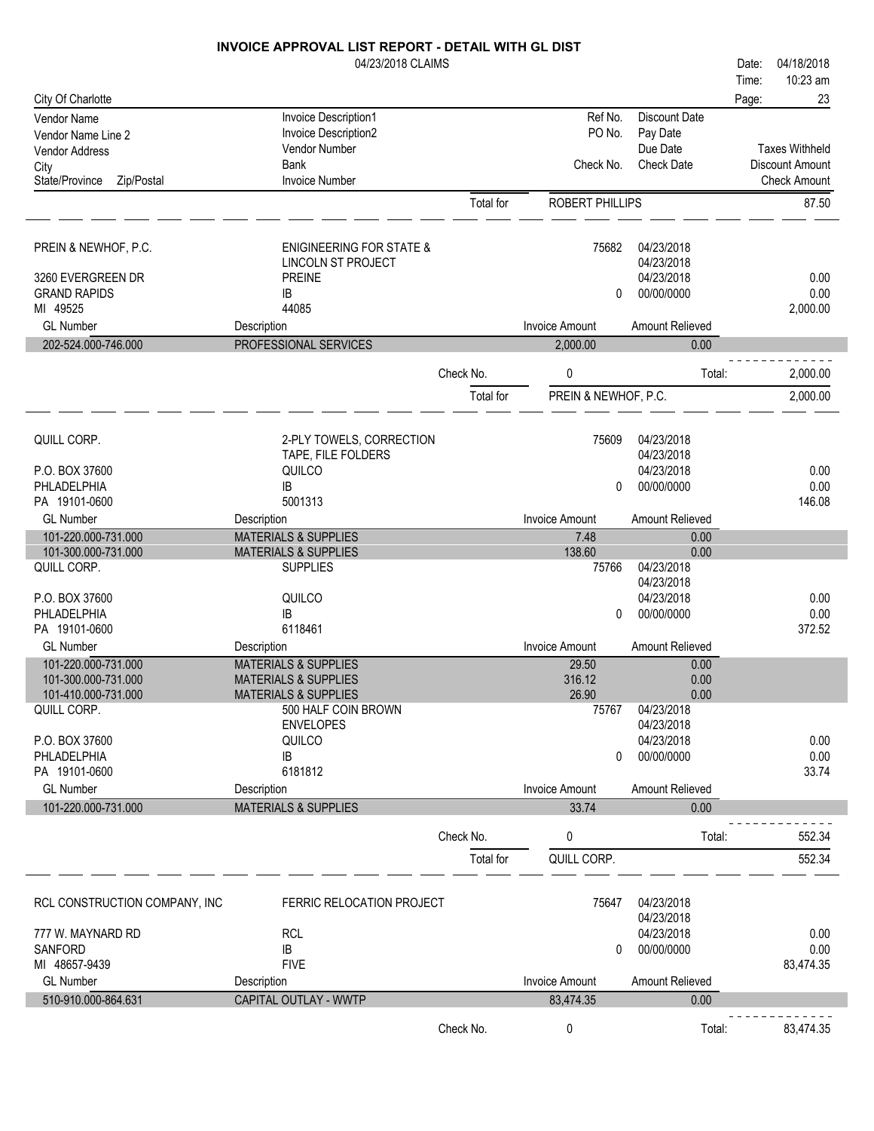|                                            | 04/23/2018 CLAIMS                                                  |           |                       |                          | Date: | 04/18/2018            |
|--------------------------------------------|--------------------------------------------------------------------|-----------|-----------------------|--------------------------|-------|-----------------------|
|                                            |                                                                    |           |                       |                          | Time: | 10:23 am              |
| City Of Charlotte                          |                                                                    |           |                       |                          | Page: | 23                    |
| Vendor Name                                | Invoice Description1                                               |           | Ref No.               | <b>Discount Date</b>     |       |                       |
| Vendor Name Line 2                         | Invoice Description2<br>Vendor Number                              |           | PO No.                | Pay Date<br>Due Date     |       | <b>Taxes Withheld</b> |
| Vendor Address<br>City                     | Bank                                                               |           | Check No.             | <b>Check Date</b>        |       | Discount Amount       |
| State/Province<br>Zip/Postal               | <b>Invoice Number</b>                                              |           |                       |                          |       | <b>Check Amount</b>   |
|                                            |                                                                    | Total for | ROBERT PHILLIPS       |                          |       | 87.50                 |
|                                            |                                                                    |           |                       |                          |       |                       |
|                                            |                                                                    |           |                       |                          |       |                       |
| PREIN & NEWHOF, P.C.                       | <b>ENIGINEERING FOR STATE &amp;</b>                                |           | 75682                 | 04/23/2018               |       |                       |
| 3260 EVERGREEN DR                          | LINCOLN ST PROJECT<br><b>PREINE</b>                                |           |                       | 04/23/2018<br>04/23/2018 |       | 0.00                  |
| <b>GRAND RAPIDS</b>                        | IB                                                                 |           | 0                     | 00/00/0000               |       | 0.00                  |
| MI 49525                                   | 44085                                                              |           |                       |                          |       | 2,000.00              |
| <b>GL Number</b>                           | Description                                                        |           | <b>Invoice Amount</b> | Amount Relieved          |       |                       |
| 202-524.000-746.000                        | PROFESSIONAL SERVICES                                              |           | 2,000.00              | 0.00                     |       |                       |
|                                            |                                                                    |           |                       |                          |       |                       |
|                                            |                                                                    | Check No. | 0                     | Total:                   |       | 2,000.00              |
|                                            |                                                                    | Total for | PREIN & NEWHOF, P.C.  |                          |       | 2,000.00              |
|                                            |                                                                    |           |                       |                          |       |                       |
| QUILL CORP.                                | 2-PLY TOWELS, CORRECTION                                           |           | 75609                 | 04/23/2018               |       |                       |
|                                            | TAPE, FILE FOLDERS                                                 |           |                       | 04/23/2018               |       |                       |
| P.O. BOX 37600                             | QUILCO                                                             |           |                       | 04/23/2018               |       | 0.00                  |
| PHLADELPHIA                                | IB                                                                 |           | 0                     | 00/00/0000               |       | 0.00                  |
| PA 19101-0600                              | 5001313                                                            |           |                       |                          |       | 146.08                |
| <b>GL Number</b>                           | Description                                                        |           | <b>Invoice Amount</b> | Amount Relieved          |       |                       |
| 101-220.000-731.000<br>101-300.000-731.000 | <b>MATERIALS &amp; SUPPLIES</b><br><b>MATERIALS &amp; SUPPLIES</b> |           | 7.48<br>138.60        | 0.00<br>0.00             |       |                       |
| QUILL CORP.                                | <b>SUPPLIES</b>                                                    |           | 75766                 | 04/23/2018               |       |                       |
|                                            |                                                                    |           |                       | 04/23/2018               |       |                       |
| P.O. BOX 37600                             | QUILCO                                                             |           |                       | 04/23/2018               |       | 0.00                  |
| PHLADELPHIA                                | IB                                                                 |           | 0                     | 00/00/0000               |       | 0.00                  |
| PA 19101-0600                              | 6118461                                                            |           |                       |                          |       | 372.52                |
| <b>GL Number</b><br>101-220.000-731.000    | Description<br><b>MATERIALS &amp; SUPPLIES</b>                     |           | Invoice Amount        | Amount Relieved<br>0.00  |       |                       |
| 101-300.000-731.000                        | <b>MATERIALS &amp; SUPPLIES</b>                                    |           | 29.50<br>316.12       | 0.00                     |       |                       |
| 101-410.000-731.000                        | <b>MATERIALS &amp; SUPPLIES</b>                                    |           | 26.90                 | 0.00                     |       |                       |
| QUILL CORP.                                | 500 HALF COIN BROWN                                                |           | 75767                 | 04/23/2018               |       |                       |
|                                            | <b>ENVELOPES</b>                                                   |           |                       | 04/23/2018               |       |                       |
| P.O. BOX 37600                             | QUILCO                                                             |           |                       | 04/23/2018               |       | 0.00                  |
| PHLADELPHIA<br>PA 19101-0600               | IB<br>6181812                                                      |           | 0                     | 00/00/0000               |       | 0.00<br>33.74         |
| <b>GL Number</b>                           | Description                                                        |           | <b>Invoice Amount</b> | Amount Relieved          |       |                       |
| 101-220.000-731.000                        | <b>MATERIALS &amp; SUPPLIES</b>                                    |           | 33.74                 | 0.00                     |       |                       |
|                                            |                                                                    |           |                       |                          |       |                       |
|                                            |                                                                    | Check No. | 0                     | Total:                   |       | 552.34                |
|                                            |                                                                    | Total for | QUILL CORP.           |                          |       | 552.34                |
|                                            |                                                                    |           |                       |                          |       |                       |
| RCL CONSTRUCTION COMPANY, INC              | FERRIC RELOCATION PROJECT                                          |           | 75647                 | 04/23/2018               |       |                       |
|                                            |                                                                    |           |                       | 04/23/2018               |       |                       |
| 777 W. MAYNARD RD                          | <b>RCL</b>                                                         |           |                       | 04/23/2018               |       | 0.00                  |
| SANFORD                                    | IB                                                                 |           | 0                     | 00/00/0000               |       | 0.00                  |
| MI 48657-9439                              | <b>FIVE</b>                                                        |           |                       |                          |       | 83,474.35             |
| <b>GL Number</b>                           | Description                                                        |           | <b>Invoice Amount</b> | Amount Relieved          |       |                       |
| 510-910.000-864.631                        | CAPITAL OUTLAY - WWTP                                              |           | 83,474.35             | 0.00                     |       |                       |
|                                            |                                                                    | Check No. | 0                     | Total:                   |       | 83,474.35             |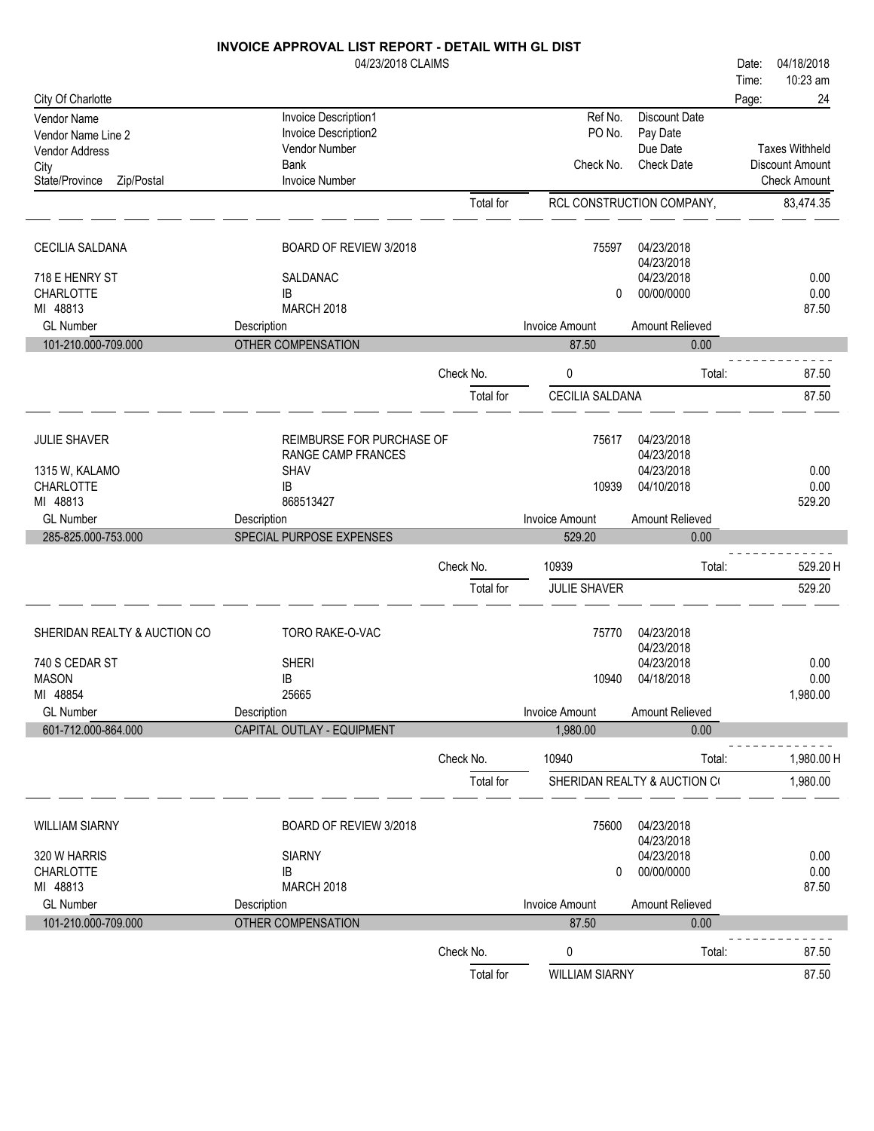|                                          | INVOICE APPROVAL LIST REPORT - DETAIL WITH GL DIST |                        |                                 |                                |       |                       |
|------------------------------------------|----------------------------------------------------|------------------------|---------------------------------|--------------------------------|-------|-----------------------|
|                                          | 04/23/2018 CLAIMS                                  |                        |                                 |                                | Date: | 04/18/2018            |
|                                          |                                                    |                        |                                 |                                | Time: | 10:23 am              |
| City Of Charlotte                        |                                                    |                        |                                 |                                | Page: | 24                    |
| <b>Vendor Name</b><br>Vendor Name Line 2 | Invoice Description1<br>Invoice Description2       |                        | Ref No.<br>PO No.               | Discount Date<br>Pay Date      |       |                       |
| Vendor Address                           | Vendor Number                                      |                        |                                 | Due Date                       |       | <b>Taxes Withheld</b> |
| City                                     | <b>Bank</b>                                        |                        | Check No.                       | <b>Check Date</b>              |       | Discount Amount       |
| State/Province<br>Zip/Postal             | <b>Invoice Number</b>                              |                        |                                 |                                |       | <b>Check Amount</b>   |
|                                          |                                                    | Total for              |                                 | RCL CONSTRUCTION COMPANY,      |       | 83,474.35             |
| <b>CECILIA SALDANA</b>                   | BOARD OF REVIEW 3/2018                             |                        | 75597                           | 04/23/2018                     |       |                       |
|                                          |                                                    |                        |                                 | 04/23/2018                     |       |                       |
| 718 E HENRY ST                           | SALDANAC                                           |                        |                                 | 04/23/2018                     |       | 0.00                  |
| CHARLOTTE                                | IB                                                 |                        | 0                               | 00/00/0000                     |       | 0.00                  |
| MI 48813<br><b>GL Number</b>             | <b>MARCH 2018</b>                                  |                        | <b>Invoice Amount</b>           | Amount Relieved                |       | 87.50                 |
| 101-210.000-709.000                      | Description<br><b>OTHER COMPENSATION</b>           |                        | 87.50                           | 0.00                           |       |                       |
|                                          |                                                    |                        |                                 |                                |       |                       |
|                                          |                                                    | Check No.              | 0                               | Total:                         |       | 87.50                 |
|                                          |                                                    | Total for              | CECILIA SALDANA                 |                                |       | 87.50                 |
| <b>JULIE SHAVER</b>                      | REIMBURSE FOR PURCHASE OF                          |                        | 75617                           | 04/23/2018                     |       |                       |
|                                          | RANGE CAMP FRANCES                                 |                        |                                 | 04/23/2018                     |       |                       |
| 1315 W, KALAMO<br><b>CHARLOTTE</b>       | <b>SHAV</b><br>IB                                  |                        | 10939                           | 04/23/2018<br>04/10/2018       |       | 0.00<br>0.00          |
| MI 48813                                 | 868513427                                          |                        |                                 |                                |       | 529.20                |
| <b>GL Number</b>                         |                                                    |                        |                                 |                                |       |                       |
|                                          |                                                    |                        |                                 |                                |       |                       |
|                                          | Description                                        |                        | <b>Invoice Amount</b><br>529.20 | Amount Relieved<br>0.00        |       |                       |
| 285-825.000-753.000                      | SPECIAL PURPOSE EXPENSES                           |                        |                                 |                                |       |                       |
|                                          |                                                    | Check No.              | 10939                           | Total:                         |       | 529.20 H              |
|                                          |                                                    | Total for              | <b>JULIE SHAVER</b>             |                                |       | 529.20                |
| SHERIDAN REALTY & AUCTION CO             | TORO RAKE-O-VAC                                    |                        | 75770                           | 04/23/2018                     |       |                       |
|                                          |                                                    |                        |                                 | 04/23/2018                     |       |                       |
| 740 S CEDAR ST<br>MASON                  | <b>SHERI</b><br>IB                                 |                        |                                 | 04/23/2018<br>10940 04/18/2018 |       | 0.00<br>0.00          |
| MI 48854                                 | 25665                                              |                        |                                 |                                |       | 1,980.00              |
| <b>GL Number</b>                         | Description                                        |                        | <b>Invoice Amount</b>           | Amount Relieved                |       |                       |
| 601-712.000-864.000                      | CAPITAL OUTLAY - EQUIPMENT                         |                        | 1,980.00                        | 0.00                           |       |                       |
|                                          |                                                    | Check No.              | 10940                           | Total:                         |       | 1,980.00 H            |
|                                          |                                                    | Total for              |                                 | SHERIDAN REALTY & AUCTION CO   |       | 1,980.00              |
| <b>WILLIAM SIARNY</b>                    | BOARD OF REVIEW 3/2018                             |                        | 75600                           | 04/23/2018                     |       |                       |
| 320 W HARRIS                             | <b>SIARNY</b>                                      |                        |                                 | 04/23/2018<br>04/23/2018       |       | 0.00                  |
| <b>CHARLOTTE</b>                         | IB                                                 |                        | 0                               | 00/00/0000                     |       | 0.00                  |
| MI 48813                                 | <b>MARCH 2018</b>                                  |                        |                                 |                                |       | 87.50                 |
| <b>GL Number</b>                         | Description                                        |                        | <b>Invoice Amount</b>           | Amount Relieved                |       |                       |
| 101-210.000-709.000                      | OTHER COMPENSATION                                 |                        | 87.50                           | 0.00                           |       |                       |
|                                          |                                                    | Check No.<br>Total for | 0<br><b>WILLIAM SIARNY</b>      | Total:                         |       | 87.50<br>87.50        |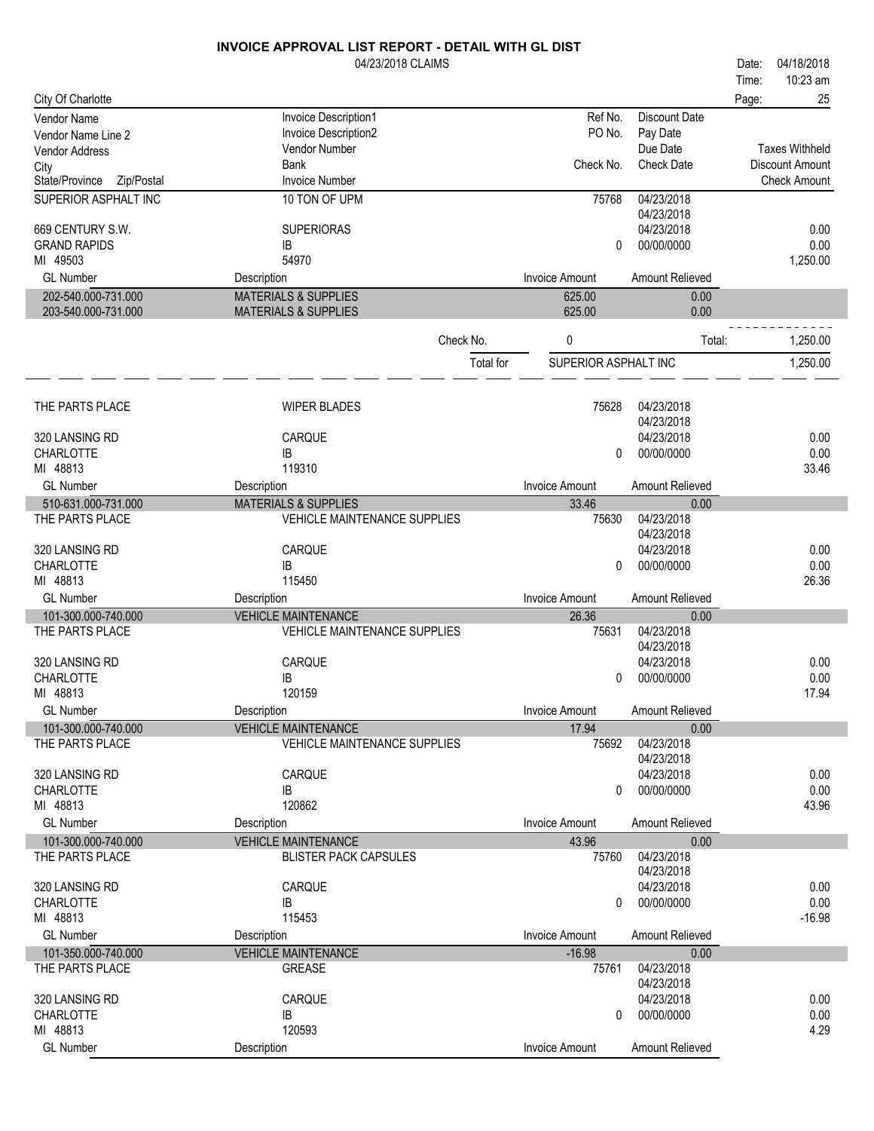|                              | 04/23/2018 CLAIMS                   |           |                       |                          | Date: | 04/18/2018             |
|------------------------------|-------------------------------------|-----------|-----------------------|--------------------------|-------|------------------------|
|                              |                                     |           |                       |                          | Time: | 10:23 am               |
| City Of Charlotte            |                                     |           |                       |                          | Page: | 25                     |
| Vendor Name                  | Invoice Description1                |           | Ref No.               | <b>Discount Date</b>     |       |                        |
| Vendor Name Line 2           | Invoice Description2                |           | PO No.                | Pay Date                 |       |                        |
| Vendor Address               | Vendor Number                       |           |                       | Due Date                 |       | <b>Taxes Withheld</b>  |
| City                         | <b>Bank</b>                         |           | Check No.             | <b>Check Date</b>        |       | <b>Discount Amount</b> |
| State/Province<br>Zip/Postal | <b>Invoice Number</b>               |           |                       |                          |       | <b>Check Amount</b>    |
| SUPERIOR ASPHALT INC         | 10 TON OF UPM                       |           | 75768                 | 04/23/2018<br>04/23/2018 |       |                        |
| 669 CENTURY S.W.             | <b>SUPERIORAS</b>                   |           |                       | 04/23/2018               |       | 0.00                   |
| <b>GRAND RAPIDS</b>          | IB                                  |           | 0                     | 00/00/0000               |       | 0.00                   |
| MI 49503                     | 54970                               |           |                       |                          |       | 1,250.00               |
| <b>GL Number</b>             | Description                         |           | <b>Invoice Amount</b> | Amount Relieved          |       |                        |
| 202-540.000-731.000          | <b>MATERIALS &amp; SUPPLIES</b>     |           | 625.00                | 0.00                     |       |                        |
| 203-540.000-731.000          | <b>MATERIALS &amp; SUPPLIES</b>     |           | 625.00                | 0.00                     |       |                        |
|                              |                                     |           |                       |                          |       |                        |
|                              | Check No.                           |           | 0                     | Total:                   |       | 1,250.00               |
|                              |                                     | Total for | SUPERIOR ASPHALT INC  |                          |       | 1,250.00               |
| THE PARTS PLACE              | <b>WIPER BLADES</b>                 |           | 75628                 | 04/23/2018               |       |                        |
|                              |                                     |           |                       | 04/23/2018               |       |                        |
| 320 LANSING RD               | CARQUE                              |           |                       | 04/23/2018               |       | 0.00                   |
| <b>CHARLOTTE</b>             | IB                                  |           | 0                     | 00/00/0000               |       | 0.00                   |
| MI 48813                     | 119310                              |           |                       |                          |       | 33.46                  |
| <b>GL Number</b>             | Description                         |           | <b>Invoice Amount</b> | Amount Relieved          |       |                        |
| 510-631.000-731.000          | <b>MATERIALS &amp; SUPPLIES</b>     |           | 33.46                 | 0.00                     |       |                        |
| THE PARTS PLACE              | <b>VEHICLE MAINTENANCE SUPPLIES</b> |           | 75630                 | 04/23/2018               |       |                        |
|                              |                                     |           |                       | 04/23/2018               |       |                        |
| 320 LANSING RD               | CARQUE                              |           |                       | 04/23/2018               |       | 0.00                   |
| <b>CHARLOTTE</b>             | IB                                  |           | 0                     | 00/00/0000               |       | 0.00                   |
| MI 48813                     | 115450                              |           |                       |                          |       | 26.36                  |
| <b>GL Number</b>             | Description                         |           | <b>Invoice Amount</b> | Amount Relieved          |       |                        |
| 101-300.000-740.000          | <b>VEHICLE MAINTENANCE</b>          |           | 26.36                 | 0.00                     |       |                        |
| THE PARTS PLACE              | <b>VEHICLE MAINTENANCE SUPPLIES</b> |           | 75631                 | 04/23/2018               |       |                        |
|                              |                                     |           |                       | 04/23/2018               |       |                        |
| 320 LANSING RD               | CARQUE                              |           |                       | 04/23/2018               |       | 0.00                   |
| CHARLOTTE                    | IB                                  |           | 0                     | 00/00/0000               |       | 0.00                   |
| MI 48813                     | 120159                              |           |                       |                          |       | 17.94                  |
| <b>GL Number</b>             | Description                         |           | <b>Invoice Amount</b> | Amount Relieved          |       |                        |
| 101-300.000-740.000          | <b>VEHICLE MAINTENANCE</b>          |           | 17.94                 | 0.00                     |       |                        |
| THE PARTS PLACE              | <b>VEHICLE MAINTENANCE SUPPLIES</b> |           | 75692                 | 04/23/2018               |       |                        |
|                              |                                     |           |                       | 04/23/2018               |       |                        |
| 320 LANSING RD               | CARQUE                              |           |                       | 04/23/2018               |       | 0.00                   |
| <b>CHARLOTTE</b>             | IB                                  |           | 0                     | 00/00/0000               |       | 0.00                   |
| MI 48813                     | 120862                              |           |                       |                          |       | 43.96                  |
| <b>GL Number</b>             | Description                         |           | <b>Invoice Amount</b> | Amount Relieved          |       |                        |
| 101-300.000-740.000          | <b>VEHICLE MAINTENANCE</b>          |           | 43.96                 | 0.00                     |       |                        |
| THE PARTS PLACE              | <b>BLISTER PACK CAPSULES</b>        |           | 75760                 | 04/23/2018               |       |                        |
|                              |                                     |           |                       | 04/23/2018               |       |                        |
| 320 LANSING RD               | CARQUE                              |           |                       | 04/23/2018               |       | 0.00                   |
| CHARLOTTE                    | IB                                  |           | 0                     | 00/00/0000               |       | 0.00                   |
| MI 48813                     | 115453                              |           |                       |                          |       | $-16.98$               |
| <b>GL Number</b>             | Description                         |           | <b>Invoice Amount</b> | Amount Relieved          |       |                        |
| 101-350.000-740.000          | <b>VEHICLE MAINTENANCE</b>          |           | $-16.98$              | 0.00                     |       |                        |
| THE PARTS PLACE              | <b>GREASE</b>                       |           | 75761                 | 04/23/2018               |       |                        |
|                              |                                     |           |                       | 04/23/2018               |       |                        |
| 320 LANSING RD               | CARQUE                              |           |                       | 04/23/2018               |       | 0.00                   |
| <b>CHARLOTTE</b>             | IB                                  |           | 0                     | 00/00/0000               |       | 0.00                   |
| MI 48813                     | 120593                              |           |                       |                          |       | 4.29                   |
| <b>GL Number</b>             | Description                         |           | <b>Invoice Amount</b> | Amount Relieved          |       |                        |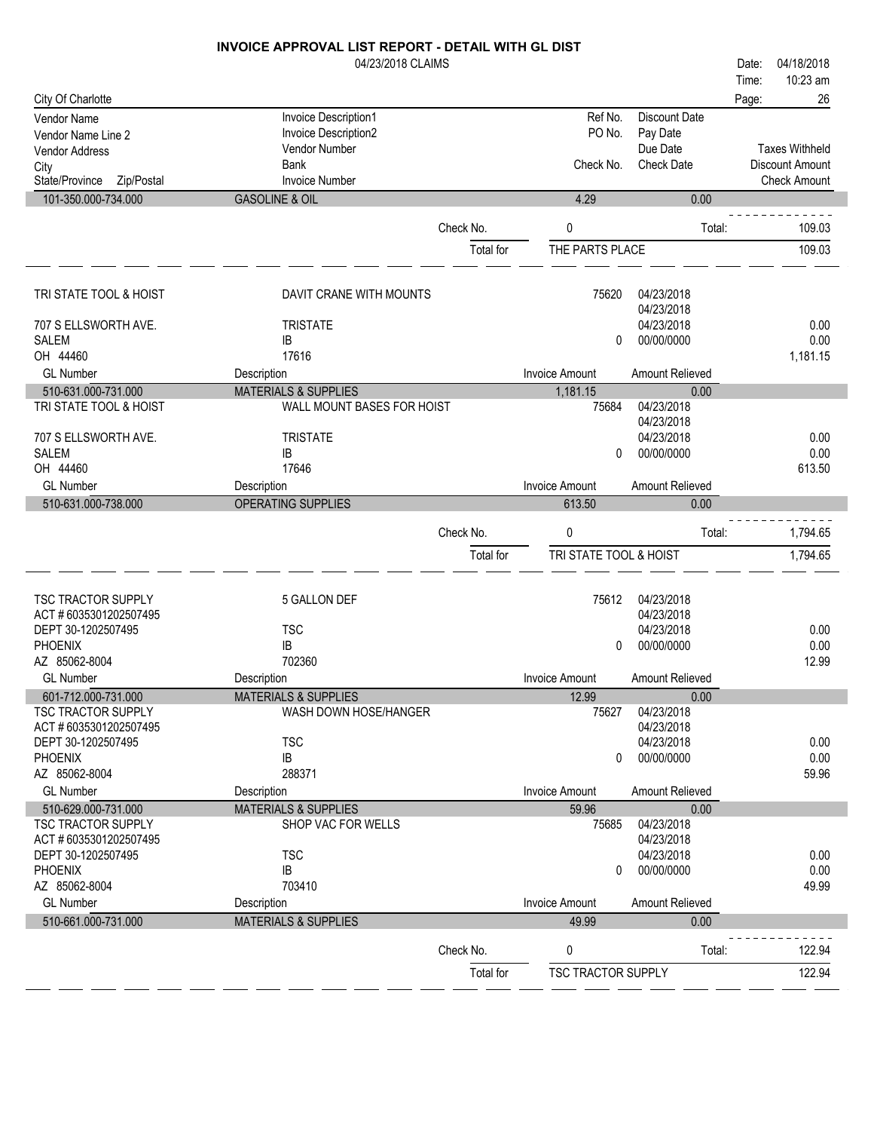| .                 | $\mathbf{r}$ $\mathbf{r}$ $\mathbf{r}$ $\mathbf{r}$ $\mathbf{r}$ $\mathbf{r}$ $\mathbf{r}$ $\mathbf{r}$ $\mathbf{r}$ $\mathbf{r}$ $\mathbf{r}$ $\mathbf{r}$ $\mathbf{r}$ $\mathbf{r}$ $\mathbf{r}$ $\mathbf{r}$ $\mathbf{r}$ $\mathbf{r}$ $\mathbf{r}$ $\mathbf{r}$ $\mathbf{r}$ $\mathbf{r}$ $\mathbf{r}$ $\mathbf{r}$ $\mathbf{$ |       |            |
|-------------------|------------------------------------------------------------------------------------------------------------------------------------------------------------------------------------------------------------------------------------------------------------------------------------------------------------------------------------|-------|------------|
|                   |                                                                                                                                                                                                                                                                                                                                    | Page: | 26         |
|                   |                                                                                                                                                                                                                                                                                                                                    | Time: | 10:23 am   |
| 04/23/2018 CLAIMS |                                                                                                                                                                                                                                                                                                                                    | Date: | 04/18/2018 |

10:23 am

| City Of Charlotte         |                                 |           |                           |                        | Page: | 26                    |
|---------------------------|---------------------------------|-----------|---------------------------|------------------------|-------|-----------------------|
| Vendor Name               | Invoice Description1            |           | Ref No.                   | <b>Discount Date</b>   |       |                       |
| Vendor Name Line 2        | Invoice Description2            |           | PO No.                    | Pay Date               |       |                       |
| <b>Vendor Address</b>     | Vendor Number                   |           |                           | Due Date               |       | <b>Taxes Withheld</b> |
| City                      | <b>Bank</b>                     |           | Check No.                 | <b>Check Date</b>      |       | Discount Amount       |
| State/Province Zip/Postal | <b>Invoice Number</b>           |           |                           |                        |       | <b>Check Amount</b>   |
| 101-350.000-734.000       | <b>GASOLINE &amp; OIL</b>       |           | 4.29                      | 0.00                   |       |                       |
|                           |                                 | Check No. | 0                         | Total:                 |       | 109.03                |
|                           |                                 | Total for | THE PARTS PLACE           |                        |       | 109.03                |
|                           |                                 |           |                           |                        |       |                       |
| TRI STATE TOOL & HOIST    | DAVIT CRANE WITH MOUNTS         |           | 75620                     | 04/23/2018             |       |                       |
|                           |                                 |           |                           | 04/23/2018             |       |                       |
| 707 S ELLSWORTH AVE.      | <b>TRISTATE</b>                 |           |                           | 04/23/2018             |       | 0.00                  |
| <b>SALEM</b>              | IB                              |           | 0                         | 00/00/0000             |       | 0.00                  |
| OH 44460                  | 17616                           |           |                           |                        |       | 1,181.15              |
| <b>GL Number</b>          | Description                     |           | <b>Invoice Amount</b>     | Amount Relieved        |       |                       |
| 510-631.000-731.000       | <b>MATERIALS &amp; SUPPLIES</b> |           | 1,181.15                  | 0.00                   |       |                       |
| TRI STATE TOOL & HOIST    | WALL MOUNT BASES FOR HOIST      |           | 75684                     | 04/23/2018             |       |                       |
|                           |                                 |           |                           | 04/23/2018             |       |                       |
| 707 S ELLSWORTH AVE.      | <b>TRISTATE</b>                 |           |                           | 04/23/2018             |       | 0.00                  |
| <b>SALEM</b>              | IB                              |           | 0                         | 00/00/0000             |       | 0.00                  |
| OH 44460                  | 17646                           |           |                           |                        |       | 613.50                |
| <b>GL Number</b>          | Description                     |           | <b>Invoice Amount</b>     | Amount Relieved        |       |                       |
| 510-631.000-738.000       | <b>OPERATING SUPPLIES</b>       |           | 613.50                    | 0.00                   |       |                       |
|                           |                                 | Check No. | 0                         | Total:                 |       | 1,794.65              |
|                           |                                 | Total for | TRI STATE TOOL & HOIST    |                        |       | 1,794.65              |
|                           |                                 |           |                           |                        |       |                       |
| TSC TRACTOR SUPPLY        | 5 GALLON DEF                    |           | 75612                     | 04/23/2018             |       |                       |
| ACT #6035301202507495     |                                 |           |                           | 04/23/2018             |       |                       |
| DEPT 30-1202507495        | <b>TSC</b>                      |           |                           | 04/23/2018             |       | 0.00                  |
| <b>PHOENIX</b>            | IB                              |           | $\Omega$                  | 00/00/0000             |       | 0.00                  |
| AZ 85062-8004             | 702360                          |           |                           |                        |       | 12.99                 |
| <b>GL Number</b>          | Description                     |           | <b>Invoice Amount</b>     | Amount Relieved        |       |                       |
| 601-712.000-731.000       | <b>MATERIALS &amp; SUPPLIES</b> |           | 12.99                     | 0.00                   |       |                       |
| <b>TSC TRACTOR SUPPLY</b> | WASH DOWN HOSE/HANGER           |           | 75627                     | 04/23/2018             |       |                       |
| ACT #6035301202507495     |                                 |           |                           | 04/23/2018             |       |                       |
| DEPT 30-1202507495        | <b>TSC</b>                      |           |                           | 04/23/2018             |       | 0.00                  |
| <b>PHOENIX</b>            | IB                              |           | 0                         | 00/00/0000             |       | 0.00                  |
| AZ 85062-8004             | 288371                          |           |                           |                        |       | 59.96                 |
| <b>GL Number</b>          | Description                     |           | <b>Invoice Amount</b>     | <b>Amount Relieved</b> |       |                       |
| 510-629.000-731.000       | <b>MATERIALS &amp; SUPPLIES</b> |           | 59.96                     | 0.00                   |       |                       |
| TSC TRACTOR SUPPLY        | SHOP VAC FOR WELLS              |           | 75685                     | 04/23/2018             |       |                       |
| ACT #6035301202507495     |                                 |           |                           | 04/23/2018             |       |                       |
| DEPT 30-1202507495        | <b>TSC</b>                      |           |                           | 04/23/2018             |       | 0.00                  |
| <b>PHOENIX</b>            | IB                              |           | 0                         | 00/00/0000             |       | 0.00                  |
| AZ 85062-8004             | 703410                          |           |                           |                        |       | 49.99                 |
| <b>GL Number</b>          | Description                     |           | <b>Invoice Amount</b>     | <b>Amount Relieved</b> |       |                       |
| 510-661.000-731.000       | <b>MATERIALS &amp; SUPPLIES</b> |           | 49.99                     | 0.00                   |       |                       |
|                           |                                 | Check No. | 0                         | Total:                 |       | 122.94                |
|                           |                                 | Total for | <b>TSC TRACTOR SUPPLY</b> |                        |       | 122.94                |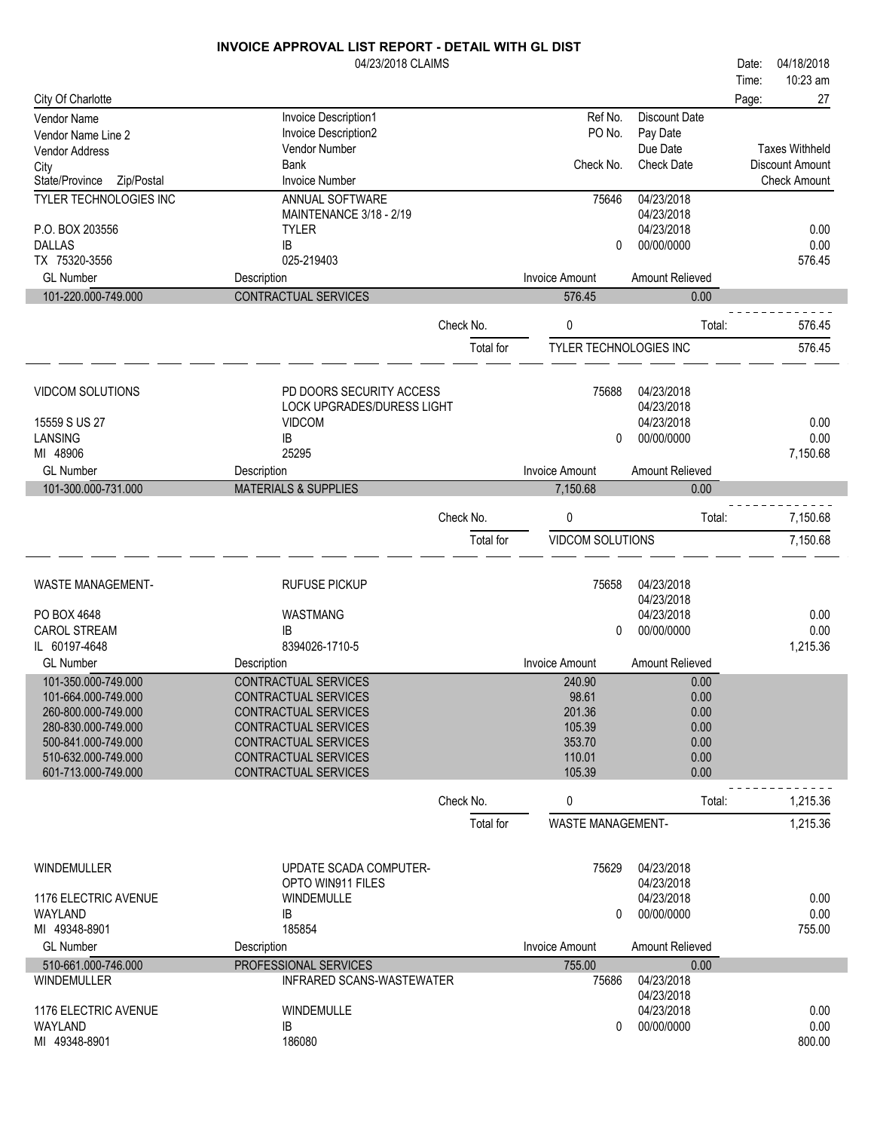|                                            | 04/23/2018 CLAIMS                                   |           |                          |                               | Date: | 04/18/2018                                      |
|--------------------------------------------|-----------------------------------------------------|-----------|--------------------------|-------------------------------|-------|-------------------------------------------------|
|                                            |                                                     |           |                          |                               | Time: | 10:23 am                                        |
| City Of Charlotte                          |                                                     |           |                          |                               | Page: | 27                                              |
| Vendor Name                                | Invoice Description1                                |           | Ref No.                  | <b>Discount Date</b>          |       |                                                 |
| Vendor Name Line 2                         | Invoice Description2                                |           | PO No.                   | Pay Date                      |       |                                                 |
| Vendor Address                             | Vendor Number<br><b>Bank</b>                        |           | Check No.                | Due Date<br><b>Check Date</b> |       | <b>Taxes Withheld</b><br><b>Discount Amount</b> |
| City<br>State/Province<br>Zip/Postal       | <b>Invoice Number</b>                               |           |                          |                               |       | <b>Check Amount</b>                             |
| TYLER TECHNOLOGIES INC                     | ANNUAL SOFTWARE                                     |           | 75646                    | 04/23/2018                    |       |                                                 |
|                                            | MAINTENANCE 3/18 - 2/19                             |           |                          | 04/23/2018                    |       |                                                 |
| P.O. BOX 203556                            | <b>TYLER</b>                                        |           |                          | 04/23/2018                    |       | 0.00                                            |
| <b>DALLAS</b>                              | IB                                                  |           | 0                        | 00/00/0000                    |       | 0.00                                            |
| TX 75320-3556                              | 025-219403                                          |           |                          |                               |       | 576.45                                          |
| <b>GL Number</b>                           | Description                                         |           | <b>Invoice Amount</b>    | Amount Relieved               |       |                                                 |
| 101-220.000-749.000                        | CONTRACTUAL SERVICES                                |           | 576.45                   | 0.00                          |       |                                                 |
|                                            |                                                     | Check No. |                          | Total:                        |       | 576.45                                          |
|                                            |                                                     |           | 0                        |                               |       |                                                 |
|                                            |                                                     | Total for | TYLER TECHNOLOGIES INC   |                               |       | 576.45                                          |
|                                            |                                                     |           |                          |                               |       |                                                 |
| <b>VIDCOM SOLUTIONS</b>                    | PD DOORS SECURITY ACCESS                            |           | 75688                    | 04/23/2018                    |       |                                                 |
|                                            | <b>LOCK UPGRADES/DURESS LIGHT</b>                   |           |                          | 04/23/2018                    |       |                                                 |
| 15559 S US 27                              | <b>VIDCOM</b>                                       |           |                          | 04/23/2018                    |       | 0.00                                            |
| LANSING                                    | IB                                                  |           | 0                        | 00/00/0000                    |       | 0.00                                            |
| MI 48906                                   | 25295                                               |           |                          |                               |       | 7,150.68                                        |
| <b>GL Number</b>                           | Description                                         |           | <b>Invoice Amount</b>    | Amount Relieved               |       |                                                 |
| 101-300.000-731.000                        | <b>MATERIALS &amp; SUPPLIES</b>                     |           | 7,150.68                 | 0.00                          |       |                                                 |
|                                            |                                                     | Check No. | 0                        | Total:                        |       | 7,150.68                                        |
|                                            |                                                     | Total for | VIDCOM SOLUTIONS         |                               |       | 7,150.68                                        |
|                                            |                                                     |           |                          |                               |       |                                                 |
|                                            |                                                     |           |                          |                               |       |                                                 |
| <b>WASTE MANAGEMENT-</b>                   | <b>RUFUSE PICKUP</b>                                |           | 75658                    | 04/23/2018<br>04/23/2018      |       |                                                 |
| PO BOX 4648                                | WASTMANG                                            |           |                          | 04/23/2018                    |       | 0.00                                            |
| <b>CAROL STREAM</b>                        | ΙB                                                  |           | 0                        | 00/00/0000                    |       | 0.00                                            |
| IL 60197-4648                              | 8394026-1710-5                                      |           |                          |                               |       | 1,215.36                                        |
| <b>GL Number</b>                           | Description                                         |           | <b>Invoice Amount</b>    | Amount Relieved               |       |                                                 |
| 101-350.000-749.000                        | <b>CONTRACTUAL SERVICES</b>                         |           | 240.90                   | 0.00                          |       |                                                 |
| 101-664.000-749.000                        | CONTRACTUAL SERVICES                                |           | 98.61                    | 0.00                          |       |                                                 |
| 260-800.000-749.000                        | <b>CONTRACTUAL SERVICES</b>                         |           | 201.36                   | 0.00                          |       |                                                 |
| 280-830.000-749.000                        | CONTRACTUAL SERVICES                                |           | 105.39                   | 0.00                          |       |                                                 |
| 500-841.000-749.000                        | CONTRACTUAL SERVICES                                |           | 353.70                   | 0.00                          |       |                                                 |
| 510-632.000-749.000<br>601-713.000-749.000 | CONTRACTUAL SERVICES<br><b>CONTRACTUAL SERVICES</b> |           | 110.01<br>105.39         | 0.00<br>0.00                  |       |                                                 |
|                                            |                                                     |           |                          |                               |       |                                                 |
|                                            |                                                     | Check No. | 0                        | Total:                        |       | 1,215.36                                        |
|                                            |                                                     | Total for | <b>WASTE MANAGEMENT-</b> |                               |       | 1,215.36                                        |
|                                            |                                                     |           |                          |                               |       |                                                 |
| <b>WINDEMULLER</b>                         | UPDATE SCADA COMPUTER-                              |           | 75629                    | 04/23/2018                    |       |                                                 |
|                                            | OPTO WIN911 FILES                                   |           |                          | 04/23/2018                    |       |                                                 |
| 1176 ELECTRIC AVENUE                       | <b>WINDEMULLE</b>                                   |           |                          | 04/23/2018                    |       | 0.00                                            |
| WAYLAND                                    | IB                                                  |           | $\Omega$                 | 00/00/0000                    |       | 0.00                                            |
| MI 49348-8901                              | 185854                                              |           |                          |                               |       | 755.00                                          |
| <b>GL Number</b>                           | Description                                         |           | <b>Invoice Amount</b>    | Amount Relieved               |       |                                                 |
| 510-661.000-746.000                        | PROFESSIONAL SERVICES                               |           | 755.00                   | 0.00                          |       |                                                 |
| WINDEMULLER                                | INFRARED SCANS-WASTEWATER                           |           | 75686                    | 04/23/2018                    |       |                                                 |
|                                            |                                                     |           |                          | 04/23/2018                    |       |                                                 |
| 1176 ELECTRIC AVENUE                       | WINDEMULLE                                          |           |                          | 04/23/2018                    |       | 0.00                                            |
| WAYLAND<br>MI 49348-8901                   | IB<br>186080                                        |           | 0                        | 00/00/0000                    |       | 0.00<br>800.00                                  |
|                                            |                                                     |           |                          |                               |       |                                                 |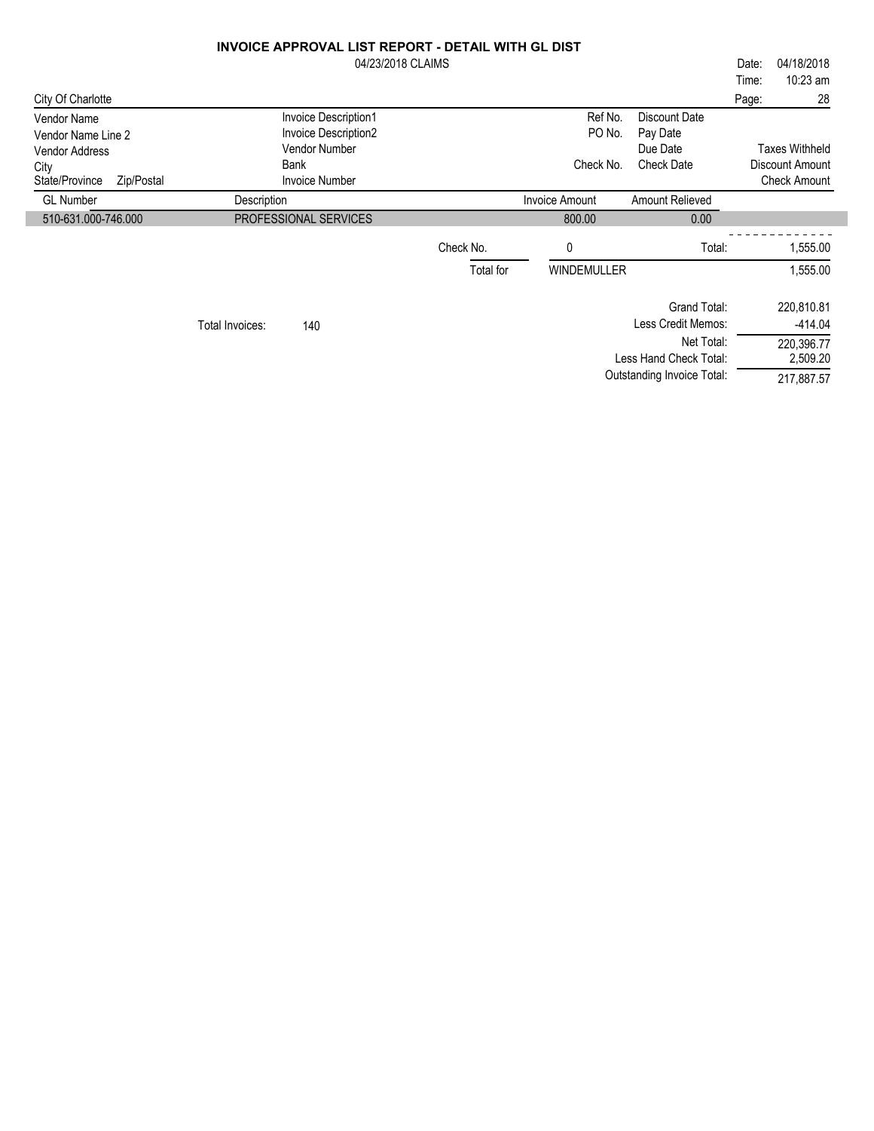|                                          | <b>INVOICE APPROVAL LIST REPORT - DETAIL WITH GL DIST</b><br>04/23/2018 CLAIMS |           |                       |                                   | 04/18/2018<br>Date:<br>10:23 am<br>Time: |
|------------------------------------------|--------------------------------------------------------------------------------|-----------|-----------------------|-----------------------------------|------------------------------------------|
| City Of Charlotte                        |                                                                                |           |                       |                                   | 28<br>Page:                              |
| <b>Vendor Name</b><br>Vendor Name Line 2 | Invoice Description1<br>Invoice Description2                                   |           | Ref No.<br>PO No.     | Discount Date<br>Pay Date         |                                          |
| <b>Vendor Address</b>                    | Vendor Number                                                                  |           |                       | Due Date                          | <b>Taxes Withheld</b>                    |
| City<br>State/Province<br>Zip/Postal     | <b>Bank</b><br><b>Invoice Number</b>                                           |           | Check No.             | <b>Check Date</b>                 | Discount Amount<br><b>Check Amount</b>   |
| <b>GL Number</b>                         | Description                                                                    |           | <b>Invoice Amount</b> | Amount Relieved                   |                                          |
| 510-631.000-746.000                      | PROFESSIONAL SERVICES                                                          |           | 800.00                | 0.00                              |                                          |
|                                          |                                                                                | Check No. | 0                     | Total:                            | 1,555.00                                 |
|                                          |                                                                                | Total for | WINDEMULLER           |                                   | 1,555.00                                 |
|                                          |                                                                                |           |                       | Grand Total:                      | 220,810.81                               |
|                                          | 140<br>Total Invoices:                                                         |           |                       | Less Credit Memos:                | $-414.04$                                |
|                                          |                                                                                |           |                       | Net Total:                        | 220,396.77                               |
|                                          |                                                                                |           |                       | Less Hand Check Total:            | 2,509.20                                 |
|                                          |                                                                                |           |                       | <b>Outstanding Invoice Total:</b> | 217,887.57                               |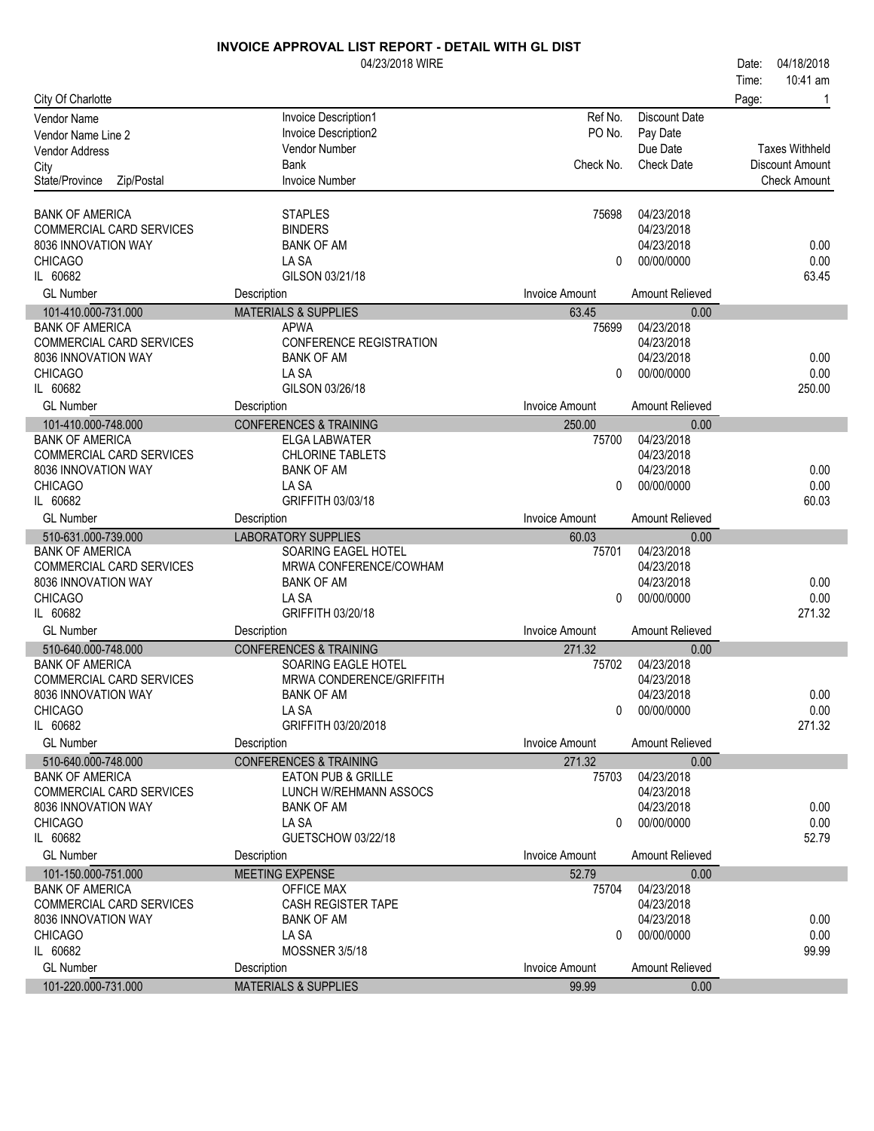|                                         | 04/23/2018 WIRE                                |                                |                         | 04/18/2018<br>Date:   |
|-----------------------------------------|------------------------------------------------|--------------------------------|-------------------------|-----------------------|
|                                         |                                                |                                |                         | 10:41 am<br>Time:     |
| City Of Charlotte                       |                                                |                                |                         | Page:<br>-1           |
| Vendor Name                             | Invoice Description1                           | Ref No.                        | <b>Discount Date</b>    |                       |
| Vendor Name Line 2                      | Invoice Description2                           | PO No.                         | Pay Date                |                       |
| <b>Vendor Address</b>                   | <b>Vendor Number</b>                           |                                | Due Date                | <b>Taxes Withheld</b> |
| City                                    | <b>Bank</b>                                    | Check No.                      | <b>Check Date</b>       | Discount Amount       |
| State/Province<br>Zip/Postal            | <b>Invoice Number</b>                          |                                |                         | <b>Check Amount</b>   |
|                                         |                                                |                                |                         |                       |
| <b>BANK OF AMERICA</b>                  | <b>STAPLES</b>                                 | 75698                          | 04/23/2018              |                       |
| COMMERCIAL CARD SERVICES                | <b>BINDERS</b>                                 |                                | 04/23/2018              |                       |
| 8036 INNOVATION WAY                     | <b>BANK OF AM</b>                              |                                | 04/23/2018              | 0.00                  |
| <b>CHICAGO</b>                          | LA SA                                          | 0                              | 00/00/0000              | 0.00                  |
| IL 60682                                | GILSON 03/21/18                                |                                |                         | 63.45                 |
| <b>GL Number</b>                        | Description                                    | <b>Invoice Amount</b>          | Amount Relieved         |                       |
| 101-410.000-731.000                     | <b>MATERIALS &amp; SUPPLIES</b>                | 63.45                          | 0.00                    |                       |
| <b>BANK OF AMERICA</b>                  | <b>APWA</b>                                    | 75699                          | 04/23/2018              |                       |
| COMMERCIAL CARD SERVICES                | CONFERENCE REGISTRATION                        |                                | 04/23/2018              |                       |
| 8036 INNOVATION WAY                     | <b>BANK OF AM</b>                              |                                | 04/23/2018              | 0.00                  |
| <b>CHICAGO</b>                          | LA SA                                          | $\Omega$                       | 00/00/0000              | 0.00                  |
| IL 60682                                | GILSON 03/26/18                                |                                |                         | 250.00                |
| <b>GL Number</b>                        | Description                                    | <b>Invoice Amount</b>          | Amount Relieved         |                       |
| 101-410.000-748.000                     | <b>CONFERENCES &amp; TRAINING</b>              | 250.00                         | 0.00                    |                       |
| <b>BANK OF AMERICA</b>                  | ELGA LABWATER                                  | 75700                          | 04/23/2018              |                       |
| COMMERCIAL CARD SERVICES                | <b>CHLORINE TABLETS</b>                        |                                | 04/23/2018              |                       |
| 8036 INNOVATION WAY                     | <b>BANK OF AM</b>                              |                                | 04/23/2018              | 0.00                  |
| <b>CHICAGO</b>                          | LA SA                                          | $\Omega$                       | 00/00/0000              | 0.00                  |
| IL 60682                                | GRIFFITH 03/03/18                              |                                |                         | 60.03                 |
| <b>GL Number</b>                        | Description                                    | <b>Invoice Amount</b>          | Amount Relieved         |                       |
|                                         |                                                |                                |                         |                       |
| 510-631.000-739.000                     | <b>LABORATORY SUPPLIES</b>                     | 60.03                          | 0.00                    |                       |
| <b>BANK OF AMERICA</b>                  | SOARING EAGEL HOTEL                            | 75701                          | 04/23/2018              |                       |
| <b>COMMERCIAL CARD SERVICES</b>         | MRWA CONFERENCE/COWHAM                         |                                | 04/23/2018              |                       |
| 8036 INNOVATION WAY                     | <b>BANK OF AM</b>                              |                                | 04/23/2018              | 0.00                  |
| <b>CHICAGO</b>                          | LA SA                                          | $\Omega$                       | 00/00/0000              | 0.00                  |
| IL 60682                                | GRIFFITH 03/20/18                              |                                |                         | 271.32                |
| <b>GL Number</b>                        | Description                                    | <b>Invoice Amount</b>          | Amount Relieved         |                       |
| 510-640.000-748.000                     | <b>CONFERENCES &amp; TRAINING</b>              | 271.32                         | 0.00                    |                       |
| <b>BANK OF AMERICA</b>                  | SOARING EAGLE HOTEL                            | 75702                          | 04/23/2018              |                       |
| COMMERCIAL CARD SERVICES                | MRWA CONDERENCE/GRIFFITH                       |                                | 04/23/2018              |                       |
| 8036 INNOVATION WAY                     | <b>BANK OF AM</b>                              |                                | 04/23/2018              | 0.00                  |
| <b>CHICAGO</b>                          | LA SA                                          | $\mathbf{0}$                   | 00/00/0000              | 0.00                  |
| IL 60682                                | GRIFFITH 03/20/2018                            |                                |                         | 271.32                |
| <b>GL Number</b>                        | Description                                    | <b>Invoice Amount</b>          | <b>Amount Relieved</b>  |                       |
| 510-640.000-748.000                     | <b>CONFERENCES &amp; TRAINING</b>              | 271.32                         | 0.00                    |                       |
| <b>BANK OF AMERICA</b>                  | EATON PUB & GRILLE                             | 75703                          | 04/23/2018              |                       |
| <b>COMMERCIAL CARD SERVICES</b>         | LUNCH W/REHMANN ASSOCS                         |                                | 04/23/2018              |                       |
| 8036 INNOVATION WAY                     | <b>BANK OF AM</b>                              |                                | 04/23/2018              | 0.00                  |
| <b>CHICAGO</b>                          | LA SA                                          | 0                              | 00/00/0000              | 0.00                  |
| IL 60682                                | GUETSCHOW 03/22/18                             |                                |                         | 52.79                 |
| <b>GL Number</b>                        | Description                                    | <b>Invoice Amount</b>          | <b>Amount Relieved</b>  |                       |
| 101-150.000-751.000                     | MEETING EXPENSE                                | 52.79                          | 0.00                    |                       |
| <b>BANK OF AMERICA</b>                  | OFFICE MAX                                     | 75704                          | 04/23/2018              |                       |
| COMMERCIAL CARD SERVICES                | CASH REGISTER TAPE                             |                                | 04/23/2018              |                       |
| 8036 INNOVATION WAY                     | <b>BANK OF AM</b>                              |                                | 04/23/2018              | 0.00                  |
| <b>CHICAGO</b>                          | LA SA                                          | 0                              | 00/00/0000              | 0.00                  |
| IL 60682                                | MOSSNER 3/5/18                                 |                                |                         | 99.99                 |
| <b>GL Number</b><br>101-220.000-731.000 | Description<br><b>MATERIALS &amp; SUPPLIES</b> | <b>Invoice Amount</b><br>99.99 | Amount Relieved<br>0.00 |                       |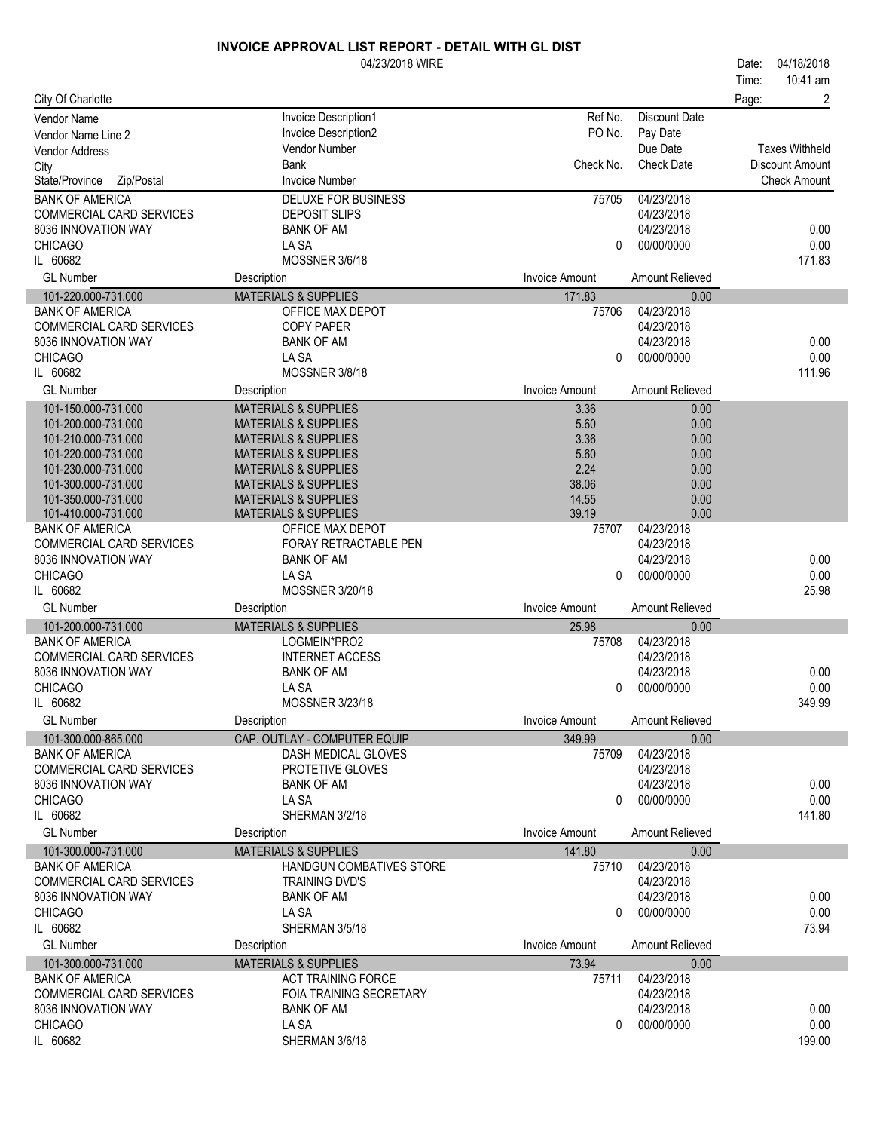|                                                 | 04/23/2018 WIRE                            |                       |                          | 04/18/2018<br>Date:    |
|-------------------------------------------------|--------------------------------------------|-----------------------|--------------------------|------------------------|
|                                                 |                                            |                       |                          | 10:41 am<br>Time:      |
| City Of Charlotte                               |                                            |                       |                          | 2<br>Page:             |
| Vendor Name                                     | Invoice Description1                       | Ref No.               | <b>Discount Date</b>     |                        |
| Vendor Name Line 2                              | Invoice Description2                       | PO No.                | Pay Date                 |                        |
| Vendor Address                                  | Vendor Number                              |                       | Due Date                 | <b>Taxes Withheld</b>  |
| City                                            | Bank                                       | Check No.             | <b>Check Date</b>        | <b>Discount Amount</b> |
| State/Province<br>Zip/Postal                    | <b>Invoice Number</b>                      |                       |                          | <b>Check Amount</b>    |
| <b>BANK OF AMERICA</b>                          | <b>DELUXE FOR BUSINESS</b>                 | 75705                 | 04/23/2018               |                        |
| COMMERCIAL CARD SERVICES                        | <b>DEPOSIT SLIPS</b>                       |                       | 04/23/2018               |                        |
| 8036 INNOVATION WAY                             | <b>BANK OF AM</b>                          |                       | 04/23/2018               | 0.00                   |
| <b>CHICAGO</b>                                  | LA SA                                      | 0                     | 00/00/0000               | 0.00                   |
| IL 60682                                        | MOSSNER 3/6/18                             |                       |                          | 171.83                 |
| <b>GL Number</b>                                | Description                                | <b>Invoice Amount</b> | Amount Relieved          |                        |
| 101-220.000-731.000                             | <b>MATERIALS &amp; SUPPLIES</b>            | 171.83                | 0.00                     |                        |
| <b>BANK OF AMERICA</b>                          | OFFICE MAX DEPOT                           | 75706                 | 04/23/2018               |                        |
| COMMERCIAL CARD SERVICES                        | <b>COPY PAPER</b>                          |                       | 04/23/2018               |                        |
| 8036 INNOVATION WAY                             | <b>BANK OF AM</b>                          |                       | 04/23/2018               | 0.00                   |
| <b>CHICAGO</b>                                  | LA SA                                      | 0                     | 00/00/0000               | 0.00                   |
| IL 60682                                        | MOSSNER 3/8/18                             |                       |                          | 111.96                 |
| <b>GL Number</b>                                | Description                                | <b>Invoice Amount</b> | Amount Relieved          |                        |
| 101-150.000-731.000                             | <b>MATERIALS &amp; SUPPLIES</b>            | 3.36                  | 0.00                     |                        |
| 101-200.000-731.000                             | <b>MATERIALS &amp; SUPPLIES</b>            | 5.60                  | 0.00                     |                        |
| 101-210.000-731.000                             | <b>MATERIALS &amp; SUPPLIES</b>            | 3.36                  | 0.00                     |                        |
| 101-220.000-731.000                             | <b>MATERIALS &amp; SUPPLIES</b>            | 5.60                  | 0.00                     |                        |
| 101-230.000-731.000                             | <b>MATERIALS &amp; SUPPLIES</b>            | 2.24                  | 0.00                     |                        |
| 101-300.000-731.000                             | <b>MATERIALS &amp; SUPPLIES</b>            | 38.06                 | 0.00                     |                        |
| 101-350.000-731.000                             | <b>MATERIALS &amp; SUPPLIES</b>            | 14.55                 | 0.00                     |                        |
| 101-410.000-731.000                             | <b>MATERIALS &amp; SUPPLIES</b>            | 39.19                 | 0.00                     |                        |
| <b>BANK OF AMERICA</b>                          | OFFICE MAX DEPOT                           | 75707                 | 04/23/2018               |                        |
| COMMERCIAL CARD SERVICES<br>8036 INNOVATION WAY | FORAY RETRACTABLE PEN<br><b>BANK OF AM</b> |                       | 04/23/2018<br>04/23/2018 | 0.00                   |
| <b>CHICAGO</b>                                  | LA SA                                      | 0                     | 00/00/0000               | 0.00                   |
| IL 60682                                        | MOSSNER 3/20/18                            |                       |                          | 25.98                  |
| <b>GL Number</b>                                |                                            | Invoice Amount        | Amount Relieved          |                        |
|                                                 | Description                                |                       |                          |                        |
| 101-200.000-731.000<br><b>BANK OF AMERICA</b>   | <b>MATERIALS &amp; SUPPLIES</b>            | 25.98                 | 0.00<br>04/23/2018       |                        |
| COMMERCIAL CARD SERVICES                        | LOGMEIN*PRO2<br><b>INTERNET ACCESS</b>     | 75708                 | 04/23/2018               |                        |
| 8036 INNOVATION WAY                             | <b>BANK OF AM</b>                          |                       | 04/23/2018               | 0.00                   |
| <b>CHICAGO</b>                                  | LA SA                                      | 0                     | 00/00/0000               | 0.00                   |
| IL 60682                                        | MOSSNER 3/23/18                            |                       |                          | 349.99                 |
| <b>GL Number</b>                                | Description                                | Invoice Amount        | <b>Amount Relieved</b>   |                        |
| 101-300.000-865.000                             | CAP. OUTLAY - COMPUTER EQUIP               | 349.99                | 0.00                     |                        |
| <b>BANK OF AMERICA</b>                          | DASH MEDICAL GLOVES                        | 75709                 | 04/23/2018               |                        |
| COMMERCIAL CARD SERVICES                        | PROTETIVE GLOVES                           |                       | 04/23/2018               |                        |
| 8036 INNOVATION WAY                             | <b>BANK OF AM</b>                          |                       | 04/23/2018               | 0.00                   |
| <b>CHICAGO</b>                                  | LA SA                                      | 0                     | 00/00/0000               | 0.00                   |
| IL 60682                                        | SHERMAN 3/2/18                             |                       |                          | 141.80                 |
| <b>GL Number</b>                                | Description                                | Invoice Amount        | Amount Relieved          |                        |
| 101-300.000-731.000                             | <b>MATERIALS &amp; SUPPLIES</b>            | 141.80                | 0.00                     |                        |
| <b>BANK OF AMERICA</b>                          | HANDGUN COMBATIVES STORE                   | 75710                 | 04/23/2018               |                        |
| <b>COMMERCIAL CARD SERVICES</b>                 | TRAINING DVD'S                             |                       | 04/23/2018               |                        |
| 8036 INNOVATION WAY                             | <b>BANK OF AM</b>                          |                       | 04/23/2018               | 0.00                   |
| <b>CHICAGO</b>                                  | LA SA                                      | $\Omega$              | 00/00/0000               | 0.00                   |
| IL 60682                                        | SHERMAN 3/5/18                             |                       |                          | 73.94                  |
| <b>GL Number</b>                                | Description                                | <b>Invoice Amount</b> | Amount Relieved          |                        |
| 101-300.000-731.000                             | <b>MATERIALS &amp; SUPPLIES</b>            | 73.94                 | 0.00                     |                        |
| <b>BANK OF AMERICA</b>                          | <b>ACT TRAINING FORCE</b>                  | 75711                 | 04/23/2018               |                        |
| <b>COMMERCIAL CARD SERVICES</b>                 | <b>FOIA TRAINING SECRETARY</b>             |                       | 04/23/2018               |                        |
| 8036 INNOVATION WAY                             | <b>BANK OF AM</b>                          |                       | 04/23/2018               | 0.00                   |
| <b>CHICAGO</b>                                  | LA SA                                      | 0                     | 00/00/0000               | 0.00                   |
| IL 60682                                        | SHERMAN 3/6/18                             |                       |                          | 199.00                 |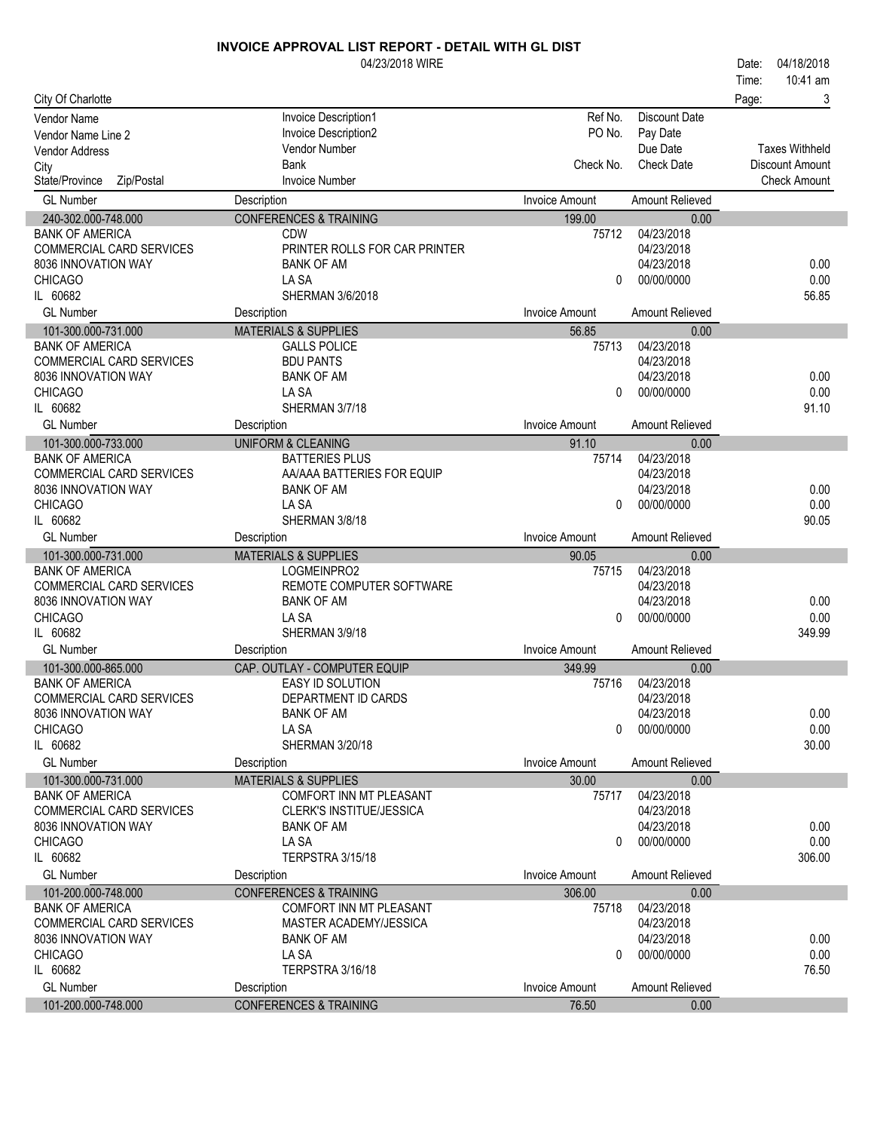|                                                    | 04/23/2018 WIRE                                 |                       |                          | 04/18/2018<br>Date:    |
|----------------------------------------------------|-------------------------------------------------|-----------------------|--------------------------|------------------------|
|                                                    |                                                 |                       |                          | 10:41 am<br>Time:      |
| City Of Charlotte                                  |                                                 |                       |                          | Page:<br>3             |
| <b>Vendor Name</b>                                 | Invoice Description1                            | Ref No.               | <b>Discount Date</b>     |                        |
| Vendor Name Line 2                                 | Invoice Description2                            | PO No.                | Pay Date                 |                        |
| <b>Vendor Address</b>                              | Vendor Number                                   |                       | Due Date                 | <b>Taxes Withheld</b>  |
| City                                               | Bank                                            | Check No.             | <b>Check Date</b>        | <b>Discount Amount</b> |
| State/Province<br>Zip/Postal                       | <b>Invoice Number</b>                           |                       |                          | <b>Check Amount</b>    |
| <b>GL Number</b>                                   | Description                                     | <b>Invoice Amount</b> | Amount Relieved          |                        |
| 240-302.000-748.000                                | <b>CONFERENCES &amp; TRAINING</b>               | 199.00                | 0.00                     |                        |
| <b>BANK OF AMERICA</b>                             | <b>CDW</b>                                      | 75712                 | 04/23/2018               |                        |
| COMMERCIAL CARD SERVICES                           | PRINTER ROLLS FOR CAR PRINTER                   |                       | 04/23/2018               |                        |
| 8036 INNOVATION WAY                                | <b>BANK OF AM</b>                               |                       | 04/23/2018               | 0.00                   |
| <b>CHICAGO</b>                                     | LA SA                                           | $\Omega$              | 00/00/0000               | 0.00                   |
| IL 60682                                           | SHERMAN 3/6/2018                                |                       |                          | 56.85                  |
| <b>GL Number</b>                                   | Description                                     | <b>Invoice Amount</b> | <b>Amount Relieved</b>   |                        |
| 101-300.000-731.000                                | <b>MATERIALS &amp; SUPPLIES</b>                 | 56.85                 | 0.00                     |                        |
| <b>BANK OF AMERICA</b>                             | <b>GALLS POLICE</b>                             | 75713                 | 04/23/2018               |                        |
| <b>COMMERCIAL CARD SERVICES</b>                    | <b>BDU PANTS</b>                                |                       | 04/23/2018               |                        |
| 8036 INNOVATION WAY                                | <b>BANK OF AM</b>                               |                       | 04/23/2018               | 0.00                   |
| <b>CHICAGO</b>                                     | LA SA                                           | 0                     | 00/00/0000               | 0.00                   |
| IL 60682                                           | SHERMAN 3/7/18                                  |                       |                          | 91.10                  |
| <b>GL Number</b>                                   | Description                                     | <b>Invoice Amount</b> | <b>Amount Relieved</b>   |                        |
| 101-300.000-733.000                                | <b>UNIFORM &amp; CLEANING</b>                   | 91.10                 | 0.00                     |                        |
| <b>BANK OF AMERICA</b><br>COMMERCIAL CARD SERVICES | <b>BATTERIES PLUS</b>                           | 75714                 | 04/23/2018<br>04/23/2018 |                        |
| 8036 INNOVATION WAY                                | AA/AAA BATTERIES FOR EQUIP<br><b>BANK OF AM</b> |                       | 04/23/2018               | 0.00                   |
| <b>CHICAGO</b>                                     | LA SA                                           | $\Omega$              | 00/00/0000               | 0.00                   |
| IL 60682                                           | SHERMAN 3/8/18                                  |                       |                          | 90.05                  |
| <b>GL Number</b>                                   | Description                                     | <b>Invoice Amount</b> | Amount Relieved          |                        |
| 101-300.000-731.000                                | <b>MATERIALS &amp; SUPPLIES</b>                 | 90.05                 | 0.00                     |                        |
| <b>BANK OF AMERICA</b>                             | LOGMEINPRO2                                     | 75715                 | 04/23/2018               |                        |
| COMMERCIAL CARD SERVICES                           | REMOTE COMPUTER SOFTWARE                        |                       | 04/23/2018               |                        |
| 8036 INNOVATION WAY                                | <b>BANK OF AM</b>                               |                       | 04/23/2018               | 0.00                   |
| <b>CHICAGO</b>                                     | LA SA                                           | 0                     | 00/00/0000               | 0.00                   |
| IL 60682                                           | SHERMAN 3/9/18                                  |                       |                          | 349.99                 |
| <b>GL Number</b>                                   | Description                                     | <b>Invoice Amount</b> | <b>Amount Relieved</b>   |                        |
| 101-300.000-865.000                                | CAP. OUTLAY - COMPUTER EQUIP                    | 349.99                | 0.00                     |                        |
| <b>BANK OF AMERICA</b>                             | EASY ID SOLUTION                                | 75716                 | 04/23/2018               |                        |
| COMMERCIAL CARD SERVICES                           | DEPARTMENT ID CARDS                             |                       | 04/23/2018               |                        |
| 8036 INNOVATION WAY                                | <b>BANK OF AM</b>                               |                       | 04/23/2018               | 0.00                   |
| <b>CHICAGO</b>                                     | LA SA                                           | $\Omega$              | 00/00/0000               | 0.00                   |
| IL 60682                                           | SHERMAN 3/20/18                                 |                       |                          | 30.00                  |
| <b>GL Number</b>                                   | Description                                     | <b>Invoice Amount</b> | <b>Amount Relieved</b>   |                        |
| 101-300.000-731.000                                | <b>MATERIALS &amp; SUPPLIES</b>                 | 30.00                 | 0.00                     |                        |
| <b>BANK OF AMERICA</b>                             | COMFORT INN MT PLEASANT                         | 75717                 | 04/23/2018               |                        |
| COMMERCIAL CARD SERVICES                           | CLERK'S INSTITUE/JESSICA                        |                       | 04/23/2018               |                        |
| 8036 INNOVATION WAY                                | <b>BANK OF AM</b>                               |                       | 04/23/2018               | 0.00                   |
| <b>CHICAGO</b>                                     | LA SA                                           | 0                     | 00/00/0000               | 0.00                   |
| IL 60682                                           | TERPSTRA 3/15/18                                |                       |                          | 306.00                 |
| <b>GL Number</b>                                   | Description                                     | <b>Invoice Amount</b> | Amount Relieved          |                        |
| 101-200.000-748.000                                | <b>CONFERENCES &amp; TRAINING</b>               | 306.00                | 0.00                     |                        |
| <b>BANK OF AMERICA</b>                             | COMFORT INN MT PLEASANT                         | 75718                 | 04/23/2018               |                        |
| COMMERCIAL CARD SERVICES                           | MASTER ACADEMY/JESSICA                          |                       | 04/23/2018               |                        |
| 8036 INNOVATION WAY                                | <b>BANK OF AM</b>                               |                       | 04/23/2018               | 0.00                   |
| <b>CHICAGO</b>                                     | LA SA                                           | 0                     | 00/00/0000               | 0.00                   |
| IL 60682                                           | TERPSTRA 3/16/18                                |                       |                          | 76.50                  |
| <b>GL Number</b>                                   | Description                                     | <b>Invoice Amount</b> | Amount Relieved          |                        |
| 101-200.000-748.000                                | <b>CONFERENCES &amp; TRAINING</b>               | 76.50                 | 0.00                     |                        |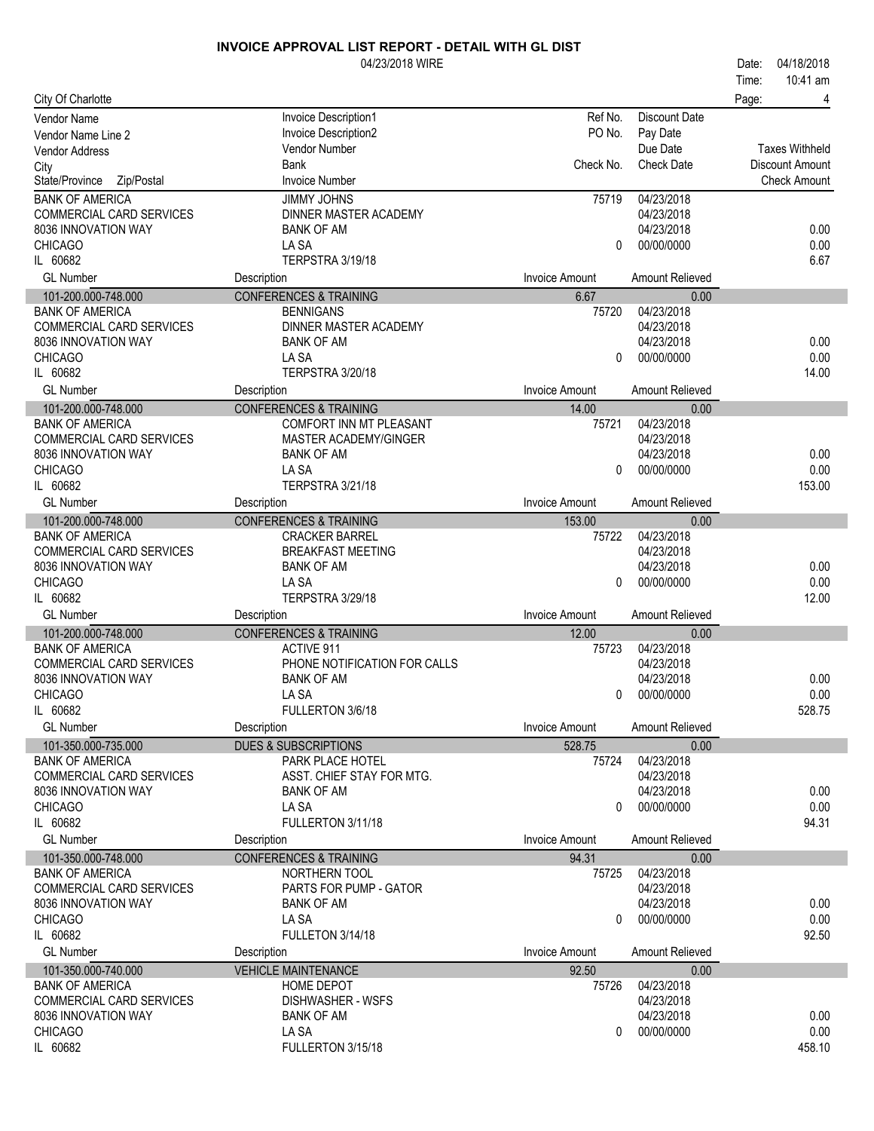| 10:41 am<br>Time:<br>City Of Charlotte<br>Page:<br>4<br>Invoice Description1<br>Ref No.<br>Discount Date<br>Vendor Name<br>Invoice Description2<br>PO No.<br>Pay Date<br>Vendor Name Line 2<br>Vendor Number<br>Due Date<br><b>Taxes Withheld</b><br>Vendor Address<br><b>Bank</b><br>Check No.<br><b>Check Date</b><br>Discount Amount<br>City<br>State/Province<br><b>Invoice Number</b><br><b>Check Amount</b><br>Zip/Postal<br><b>BANK OF AMERICA</b><br><b>JIMMY JOHNS</b><br>04/23/2018<br>75719<br>COMMERCIAL CARD SERVICES<br>DINNER MASTER ACADEMY<br>04/23/2018<br>04/23/2018<br>0.00<br>8036 INNOVATION WAY<br><b>BANK OF AM</b><br><b>CHICAGO</b><br>LA SA<br>0.00<br>00/00/0000<br>0<br>IL 60682<br>TERPSTRA 3/19/18<br>6.67<br><b>GL Number</b><br><b>Invoice Amount</b><br>Amount Relieved<br>Description<br><b>CONFERENCES &amp; TRAINING</b><br>101-200.000-748.000<br>6.67<br>0.00<br>04/23/2018<br><b>BANK OF AMERICA</b><br><b>BENNIGANS</b><br>75720<br>COMMERCIAL CARD SERVICES<br>DINNER MASTER ACADEMY<br>04/23/2018<br>04/23/2018<br>8036 INNOVATION WAY<br><b>BANK OF AM</b><br>0.00<br>LA SA<br>00/00/0000<br>0.00<br><b>CHICAGO</b><br>$\Omega$<br>IL 60682<br>TERPSTRA 3/20/18<br>14.00<br><b>GL Number</b><br><b>Invoice Amount</b><br>Description<br><b>Amount Relieved</b><br><b>CONFERENCES &amp; TRAINING</b><br>101-200.000-748.000<br>14.00<br>0.00<br>04/23/2018<br><b>BANK OF AMERICA</b><br><b>COMFORT INN MT PLEASANT</b><br>75721<br>COMMERCIAL CARD SERVICES<br>04/23/2018<br><b>MASTER ACADEMY/GINGER</b><br>8036 INNOVATION WAY<br><b>BANK OF AM</b><br>04/23/2018<br>0.00<br>LA SA<br>0.00<br><b>CHICAGO</b><br>00/00/0000<br>0<br>IL 60682<br>TERPSTRA 3/21/18<br>153.00<br><b>GL Number</b><br><b>Invoice Amount</b><br>Amount Relieved<br>Description<br><b>CONFERENCES &amp; TRAINING</b><br>101-200.000-748.000<br>153.00<br>0.00<br><b>CRACKER BARREL</b><br>04/23/2018<br><b>BANK OF AMERICA</b><br>75722<br>COMMERCIAL CARD SERVICES<br><b>BREAKFAST MEETING</b><br>04/23/2018<br>0.00<br>8036 INNOVATION WAY<br><b>BANK OF AM</b><br>04/23/2018<br>0.00<br><b>CHICAGO</b><br>LA SA<br>00/00/0000<br>$\Omega$<br>12.00<br>IL 60682<br>TERPSTRA 3/29/18<br><b>GL Number</b><br><b>Invoice Amount</b><br>Description<br>Amount Relieved<br><b>CONFERENCES &amp; TRAINING</b><br>12.00<br>101-200.000-748.000<br>0.00<br>04/23/2018<br><b>BANK OF AMERICA</b><br><b>ACTIVE 911</b><br>75723<br>COMMERCIAL CARD SERVICES<br>PHONE NOTIFICATION FOR CALLS<br>04/23/2018<br>04/23/2018<br>8036 INNOVATION WAY<br><b>BANK OF AM</b><br>0.00<br>00/00/0000<br>0.00<br><b>CHICAGO</b><br>LA SA<br>$\mathbf{0}$<br>IL 60682<br>FULLERTON 3/6/18<br>528.75<br><b>GL Number</b><br>Description<br><b>Invoice Amount</b><br>Amount Relieved<br>101-350.000-735.000<br><b>DUES &amp; SUBSCRIPTIONS</b><br>528.75<br>0.00<br>04/23/2018<br><b>BANK OF AMERICA</b><br>PARK PLACE HOTEL<br>75724<br>04/23/2018<br>COMMERCIAL CARD SERVICES<br>ASST. CHIEF STAY FOR MTG.<br>8036 INNOVATION WAY<br><b>BANK OF AM</b><br>04/23/2018<br>0.00<br>0.00<br><b>CHICAGO</b><br>LA SA<br>00/00/0000<br>0<br>IL 60682<br>FULLERTON 3/11/18<br>94.31<br><b>Invoice Amount</b><br><b>GL Number</b><br>Description<br>Amount Relieved<br>101-350.000-748.000<br><b>CONFERENCES &amp; TRAINING</b><br>94.31<br>0.00<br>04/23/2018<br><b>BANK OF AMERICA</b><br>NORTHERN TOOL<br>75725<br>COMMERCIAL CARD SERVICES<br>PARTS FOR PUMP - GATOR<br>04/23/2018<br>04/23/2018<br>0.00<br>8036 INNOVATION WAY<br><b>BANK OF AM</b><br>0.00<br><b>CHICAGO</b><br>LA SA<br>00/00/0000<br>0<br>IL 60682<br>FULLETON 3/14/18<br>92.50<br><b>GL Number</b><br><b>Invoice Amount</b><br>Amount Relieved<br>Description<br>101-350.000-740.000<br>92.50<br><b>VEHICLE MAINTENANCE</b><br>0.00<br>04/23/2018<br><b>BANK OF AMERICA</b><br><b>HOME DEPOT</b><br>75726<br>COMMERCIAL CARD SERVICES<br>04/23/2018<br><b>DISHWASHER - WSFS</b><br>8036 INNOVATION WAY<br><b>BANK OF AM</b><br>04/23/2018<br>0.00<br><b>CHICAGO</b><br>LA SA<br>00/00/0000<br>0.00<br>$\Omega$ |          | 04/23/2018 WIRE   |  | 04/18/2018<br>Date: |
|----------------------------------------------------------------------------------------------------------------------------------------------------------------------------------------------------------------------------------------------------------------------------------------------------------------------------------------------------------------------------------------------------------------------------------------------------------------------------------------------------------------------------------------------------------------------------------------------------------------------------------------------------------------------------------------------------------------------------------------------------------------------------------------------------------------------------------------------------------------------------------------------------------------------------------------------------------------------------------------------------------------------------------------------------------------------------------------------------------------------------------------------------------------------------------------------------------------------------------------------------------------------------------------------------------------------------------------------------------------------------------------------------------------------------------------------------------------------------------------------------------------------------------------------------------------------------------------------------------------------------------------------------------------------------------------------------------------------------------------------------------------------------------------------------------------------------------------------------------------------------------------------------------------------------------------------------------------------------------------------------------------------------------------------------------------------------------------------------------------------------------------------------------------------------------------------------------------------------------------------------------------------------------------------------------------------------------------------------------------------------------------------------------------------------------------------------------------------------------------------------------------------------------------------------------------------------------------------------------------------------------------------------------------------------------------------------------------------------------------------------------------------------------------------------------------------------------------------------------------------------------------------------------------------------------------------------------------------------------------------------------------------------------------------------------------------------------------------------------------------------------------------------------------------------------------------------------------------------------------------------------------------------------------------------------------------------------------------------------------------------------------------------------------------------------------------------------------------------------------------------------------------------------------------------------------------------------------------------------------------------------------------------------------------------------------------------------------------------------------------------------------------------------------------------------------------------------------------------------------------------------------------------------------------------------------------------------------------------------------------------------------------------------------------------------------------------------|----------|-------------------|--|---------------------|
|                                                                                                                                                                                                                                                                                                                                                                                                                                                                                                                                                                                                                                                                                                                                                                                                                                                                                                                                                                                                                                                                                                                                                                                                                                                                                                                                                                                                                                                                                                                                                                                                                                                                                                                                                                                                                                                                                                                                                                                                                                                                                                                                                                                                                                                                                                                                                                                                                                                                                                                                                                                                                                                                                                                                                                                                                                                                                                                                                                                                                                                                                                                                                                                                                                                                                                                                                                                                                                                                                                                                                                                                                                                                                                                                                                                                                                                                                                                                                                                                                                                                                  |          |                   |  |                     |
|                                                                                                                                                                                                                                                                                                                                                                                                                                                                                                                                                                                                                                                                                                                                                                                                                                                                                                                                                                                                                                                                                                                                                                                                                                                                                                                                                                                                                                                                                                                                                                                                                                                                                                                                                                                                                                                                                                                                                                                                                                                                                                                                                                                                                                                                                                                                                                                                                                                                                                                                                                                                                                                                                                                                                                                                                                                                                                                                                                                                                                                                                                                                                                                                                                                                                                                                                                                                                                                                                                                                                                                                                                                                                                                                                                                                                                                                                                                                                                                                                                                                                  |          |                   |  |                     |
|                                                                                                                                                                                                                                                                                                                                                                                                                                                                                                                                                                                                                                                                                                                                                                                                                                                                                                                                                                                                                                                                                                                                                                                                                                                                                                                                                                                                                                                                                                                                                                                                                                                                                                                                                                                                                                                                                                                                                                                                                                                                                                                                                                                                                                                                                                                                                                                                                                                                                                                                                                                                                                                                                                                                                                                                                                                                                                                                                                                                                                                                                                                                                                                                                                                                                                                                                                                                                                                                                                                                                                                                                                                                                                                                                                                                                                                                                                                                                                                                                                                                                  |          |                   |  |                     |
|                                                                                                                                                                                                                                                                                                                                                                                                                                                                                                                                                                                                                                                                                                                                                                                                                                                                                                                                                                                                                                                                                                                                                                                                                                                                                                                                                                                                                                                                                                                                                                                                                                                                                                                                                                                                                                                                                                                                                                                                                                                                                                                                                                                                                                                                                                                                                                                                                                                                                                                                                                                                                                                                                                                                                                                                                                                                                                                                                                                                                                                                                                                                                                                                                                                                                                                                                                                                                                                                                                                                                                                                                                                                                                                                                                                                                                                                                                                                                                                                                                                                                  |          |                   |  |                     |
|                                                                                                                                                                                                                                                                                                                                                                                                                                                                                                                                                                                                                                                                                                                                                                                                                                                                                                                                                                                                                                                                                                                                                                                                                                                                                                                                                                                                                                                                                                                                                                                                                                                                                                                                                                                                                                                                                                                                                                                                                                                                                                                                                                                                                                                                                                                                                                                                                                                                                                                                                                                                                                                                                                                                                                                                                                                                                                                                                                                                                                                                                                                                                                                                                                                                                                                                                                                                                                                                                                                                                                                                                                                                                                                                                                                                                                                                                                                                                                                                                                                                                  |          |                   |  |                     |
|                                                                                                                                                                                                                                                                                                                                                                                                                                                                                                                                                                                                                                                                                                                                                                                                                                                                                                                                                                                                                                                                                                                                                                                                                                                                                                                                                                                                                                                                                                                                                                                                                                                                                                                                                                                                                                                                                                                                                                                                                                                                                                                                                                                                                                                                                                                                                                                                                                                                                                                                                                                                                                                                                                                                                                                                                                                                                                                                                                                                                                                                                                                                                                                                                                                                                                                                                                                                                                                                                                                                                                                                                                                                                                                                                                                                                                                                                                                                                                                                                                                                                  |          |                   |  |                     |
|                                                                                                                                                                                                                                                                                                                                                                                                                                                                                                                                                                                                                                                                                                                                                                                                                                                                                                                                                                                                                                                                                                                                                                                                                                                                                                                                                                                                                                                                                                                                                                                                                                                                                                                                                                                                                                                                                                                                                                                                                                                                                                                                                                                                                                                                                                                                                                                                                                                                                                                                                                                                                                                                                                                                                                                                                                                                                                                                                                                                                                                                                                                                                                                                                                                                                                                                                                                                                                                                                                                                                                                                                                                                                                                                                                                                                                                                                                                                                                                                                                                                                  |          |                   |  |                     |
|                                                                                                                                                                                                                                                                                                                                                                                                                                                                                                                                                                                                                                                                                                                                                                                                                                                                                                                                                                                                                                                                                                                                                                                                                                                                                                                                                                                                                                                                                                                                                                                                                                                                                                                                                                                                                                                                                                                                                                                                                                                                                                                                                                                                                                                                                                                                                                                                                                                                                                                                                                                                                                                                                                                                                                                                                                                                                                                                                                                                                                                                                                                                                                                                                                                                                                                                                                                                                                                                                                                                                                                                                                                                                                                                                                                                                                                                                                                                                                                                                                                                                  |          |                   |  |                     |
|                                                                                                                                                                                                                                                                                                                                                                                                                                                                                                                                                                                                                                                                                                                                                                                                                                                                                                                                                                                                                                                                                                                                                                                                                                                                                                                                                                                                                                                                                                                                                                                                                                                                                                                                                                                                                                                                                                                                                                                                                                                                                                                                                                                                                                                                                                                                                                                                                                                                                                                                                                                                                                                                                                                                                                                                                                                                                                                                                                                                                                                                                                                                                                                                                                                                                                                                                                                                                                                                                                                                                                                                                                                                                                                                                                                                                                                                                                                                                                                                                                                                                  |          |                   |  |                     |
|                                                                                                                                                                                                                                                                                                                                                                                                                                                                                                                                                                                                                                                                                                                                                                                                                                                                                                                                                                                                                                                                                                                                                                                                                                                                                                                                                                                                                                                                                                                                                                                                                                                                                                                                                                                                                                                                                                                                                                                                                                                                                                                                                                                                                                                                                                                                                                                                                                                                                                                                                                                                                                                                                                                                                                                                                                                                                                                                                                                                                                                                                                                                                                                                                                                                                                                                                                                                                                                                                                                                                                                                                                                                                                                                                                                                                                                                                                                                                                                                                                                                                  |          |                   |  |                     |
|                                                                                                                                                                                                                                                                                                                                                                                                                                                                                                                                                                                                                                                                                                                                                                                                                                                                                                                                                                                                                                                                                                                                                                                                                                                                                                                                                                                                                                                                                                                                                                                                                                                                                                                                                                                                                                                                                                                                                                                                                                                                                                                                                                                                                                                                                                                                                                                                                                                                                                                                                                                                                                                                                                                                                                                                                                                                                                                                                                                                                                                                                                                                                                                                                                                                                                                                                                                                                                                                                                                                                                                                                                                                                                                                                                                                                                                                                                                                                                                                                                                                                  |          |                   |  |                     |
|                                                                                                                                                                                                                                                                                                                                                                                                                                                                                                                                                                                                                                                                                                                                                                                                                                                                                                                                                                                                                                                                                                                                                                                                                                                                                                                                                                                                                                                                                                                                                                                                                                                                                                                                                                                                                                                                                                                                                                                                                                                                                                                                                                                                                                                                                                                                                                                                                                                                                                                                                                                                                                                                                                                                                                                                                                                                                                                                                                                                                                                                                                                                                                                                                                                                                                                                                                                                                                                                                                                                                                                                                                                                                                                                                                                                                                                                                                                                                                                                                                                                                  |          |                   |  |                     |
|                                                                                                                                                                                                                                                                                                                                                                                                                                                                                                                                                                                                                                                                                                                                                                                                                                                                                                                                                                                                                                                                                                                                                                                                                                                                                                                                                                                                                                                                                                                                                                                                                                                                                                                                                                                                                                                                                                                                                                                                                                                                                                                                                                                                                                                                                                                                                                                                                                                                                                                                                                                                                                                                                                                                                                                                                                                                                                                                                                                                                                                                                                                                                                                                                                                                                                                                                                                                                                                                                                                                                                                                                                                                                                                                                                                                                                                                                                                                                                                                                                                                                  |          |                   |  |                     |
|                                                                                                                                                                                                                                                                                                                                                                                                                                                                                                                                                                                                                                                                                                                                                                                                                                                                                                                                                                                                                                                                                                                                                                                                                                                                                                                                                                                                                                                                                                                                                                                                                                                                                                                                                                                                                                                                                                                                                                                                                                                                                                                                                                                                                                                                                                                                                                                                                                                                                                                                                                                                                                                                                                                                                                                                                                                                                                                                                                                                                                                                                                                                                                                                                                                                                                                                                                                                                                                                                                                                                                                                                                                                                                                                                                                                                                                                                                                                                                                                                                                                                  |          |                   |  |                     |
|                                                                                                                                                                                                                                                                                                                                                                                                                                                                                                                                                                                                                                                                                                                                                                                                                                                                                                                                                                                                                                                                                                                                                                                                                                                                                                                                                                                                                                                                                                                                                                                                                                                                                                                                                                                                                                                                                                                                                                                                                                                                                                                                                                                                                                                                                                                                                                                                                                                                                                                                                                                                                                                                                                                                                                                                                                                                                                                                                                                                                                                                                                                                                                                                                                                                                                                                                                                                                                                                                                                                                                                                                                                                                                                                                                                                                                                                                                                                                                                                                                                                                  |          |                   |  |                     |
|                                                                                                                                                                                                                                                                                                                                                                                                                                                                                                                                                                                                                                                                                                                                                                                                                                                                                                                                                                                                                                                                                                                                                                                                                                                                                                                                                                                                                                                                                                                                                                                                                                                                                                                                                                                                                                                                                                                                                                                                                                                                                                                                                                                                                                                                                                                                                                                                                                                                                                                                                                                                                                                                                                                                                                                                                                                                                                                                                                                                                                                                                                                                                                                                                                                                                                                                                                                                                                                                                                                                                                                                                                                                                                                                                                                                                                                                                                                                                                                                                                                                                  |          |                   |  |                     |
|                                                                                                                                                                                                                                                                                                                                                                                                                                                                                                                                                                                                                                                                                                                                                                                                                                                                                                                                                                                                                                                                                                                                                                                                                                                                                                                                                                                                                                                                                                                                                                                                                                                                                                                                                                                                                                                                                                                                                                                                                                                                                                                                                                                                                                                                                                                                                                                                                                                                                                                                                                                                                                                                                                                                                                                                                                                                                                                                                                                                                                                                                                                                                                                                                                                                                                                                                                                                                                                                                                                                                                                                                                                                                                                                                                                                                                                                                                                                                                                                                                                                                  |          |                   |  |                     |
|                                                                                                                                                                                                                                                                                                                                                                                                                                                                                                                                                                                                                                                                                                                                                                                                                                                                                                                                                                                                                                                                                                                                                                                                                                                                                                                                                                                                                                                                                                                                                                                                                                                                                                                                                                                                                                                                                                                                                                                                                                                                                                                                                                                                                                                                                                                                                                                                                                                                                                                                                                                                                                                                                                                                                                                                                                                                                                                                                                                                                                                                                                                                                                                                                                                                                                                                                                                                                                                                                                                                                                                                                                                                                                                                                                                                                                                                                                                                                                                                                                                                                  |          |                   |  |                     |
|                                                                                                                                                                                                                                                                                                                                                                                                                                                                                                                                                                                                                                                                                                                                                                                                                                                                                                                                                                                                                                                                                                                                                                                                                                                                                                                                                                                                                                                                                                                                                                                                                                                                                                                                                                                                                                                                                                                                                                                                                                                                                                                                                                                                                                                                                                                                                                                                                                                                                                                                                                                                                                                                                                                                                                                                                                                                                                                                                                                                                                                                                                                                                                                                                                                                                                                                                                                                                                                                                                                                                                                                                                                                                                                                                                                                                                                                                                                                                                                                                                                                                  |          |                   |  |                     |
|                                                                                                                                                                                                                                                                                                                                                                                                                                                                                                                                                                                                                                                                                                                                                                                                                                                                                                                                                                                                                                                                                                                                                                                                                                                                                                                                                                                                                                                                                                                                                                                                                                                                                                                                                                                                                                                                                                                                                                                                                                                                                                                                                                                                                                                                                                                                                                                                                                                                                                                                                                                                                                                                                                                                                                                                                                                                                                                                                                                                                                                                                                                                                                                                                                                                                                                                                                                                                                                                                                                                                                                                                                                                                                                                                                                                                                                                                                                                                                                                                                                                                  |          |                   |  |                     |
|                                                                                                                                                                                                                                                                                                                                                                                                                                                                                                                                                                                                                                                                                                                                                                                                                                                                                                                                                                                                                                                                                                                                                                                                                                                                                                                                                                                                                                                                                                                                                                                                                                                                                                                                                                                                                                                                                                                                                                                                                                                                                                                                                                                                                                                                                                                                                                                                                                                                                                                                                                                                                                                                                                                                                                                                                                                                                                                                                                                                                                                                                                                                                                                                                                                                                                                                                                                                                                                                                                                                                                                                                                                                                                                                                                                                                                                                                                                                                                                                                                                                                  |          |                   |  |                     |
|                                                                                                                                                                                                                                                                                                                                                                                                                                                                                                                                                                                                                                                                                                                                                                                                                                                                                                                                                                                                                                                                                                                                                                                                                                                                                                                                                                                                                                                                                                                                                                                                                                                                                                                                                                                                                                                                                                                                                                                                                                                                                                                                                                                                                                                                                                                                                                                                                                                                                                                                                                                                                                                                                                                                                                                                                                                                                                                                                                                                                                                                                                                                                                                                                                                                                                                                                                                                                                                                                                                                                                                                                                                                                                                                                                                                                                                                                                                                                                                                                                                                                  |          |                   |  |                     |
|                                                                                                                                                                                                                                                                                                                                                                                                                                                                                                                                                                                                                                                                                                                                                                                                                                                                                                                                                                                                                                                                                                                                                                                                                                                                                                                                                                                                                                                                                                                                                                                                                                                                                                                                                                                                                                                                                                                                                                                                                                                                                                                                                                                                                                                                                                                                                                                                                                                                                                                                                                                                                                                                                                                                                                                                                                                                                                                                                                                                                                                                                                                                                                                                                                                                                                                                                                                                                                                                                                                                                                                                                                                                                                                                                                                                                                                                                                                                                                                                                                                                                  |          |                   |  |                     |
|                                                                                                                                                                                                                                                                                                                                                                                                                                                                                                                                                                                                                                                                                                                                                                                                                                                                                                                                                                                                                                                                                                                                                                                                                                                                                                                                                                                                                                                                                                                                                                                                                                                                                                                                                                                                                                                                                                                                                                                                                                                                                                                                                                                                                                                                                                                                                                                                                                                                                                                                                                                                                                                                                                                                                                                                                                                                                                                                                                                                                                                                                                                                                                                                                                                                                                                                                                                                                                                                                                                                                                                                                                                                                                                                                                                                                                                                                                                                                                                                                                                                                  |          |                   |  |                     |
|                                                                                                                                                                                                                                                                                                                                                                                                                                                                                                                                                                                                                                                                                                                                                                                                                                                                                                                                                                                                                                                                                                                                                                                                                                                                                                                                                                                                                                                                                                                                                                                                                                                                                                                                                                                                                                                                                                                                                                                                                                                                                                                                                                                                                                                                                                                                                                                                                                                                                                                                                                                                                                                                                                                                                                                                                                                                                                                                                                                                                                                                                                                                                                                                                                                                                                                                                                                                                                                                                                                                                                                                                                                                                                                                                                                                                                                                                                                                                                                                                                                                                  |          |                   |  |                     |
|                                                                                                                                                                                                                                                                                                                                                                                                                                                                                                                                                                                                                                                                                                                                                                                                                                                                                                                                                                                                                                                                                                                                                                                                                                                                                                                                                                                                                                                                                                                                                                                                                                                                                                                                                                                                                                                                                                                                                                                                                                                                                                                                                                                                                                                                                                                                                                                                                                                                                                                                                                                                                                                                                                                                                                                                                                                                                                                                                                                                                                                                                                                                                                                                                                                                                                                                                                                                                                                                                                                                                                                                                                                                                                                                                                                                                                                                                                                                                                                                                                                                                  |          |                   |  |                     |
|                                                                                                                                                                                                                                                                                                                                                                                                                                                                                                                                                                                                                                                                                                                                                                                                                                                                                                                                                                                                                                                                                                                                                                                                                                                                                                                                                                                                                                                                                                                                                                                                                                                                                                                                                                                                                                                                                                                                                                                                                                                                                                                                                                                                                                                                                                                                                                                                                                                                                                                                                                                                                                                                                                                                                                                                                                                                                                                                                                                                                                                                                                                                                                                                                                                                                                                                                                                                                                                                                                                                                                                                                                                                                                                                                                                                                                                                                                                                                                                                                                                                                  |          |                   |  |                     |
|                                                                                                                                                                                                                                                                                                                                                                                                                                                                                                                                                                                                                                                                                                                                                                                                                                                                                                                                                                                                                                                                                                                                                                                                                                                                                                                                                                                                                                                                                                                                                                                                                                                                                                                                                                                                                                                                                                                                                                                                                                                                                                                                                                                                                                                                                                                                                                                                                                                                                                                                                                                                                                                                                                                                                                                                                                                                                                                                                                                                                                                                                                                                                                                                                                                                                                                                                                                                                                                                                                                                                                                                                                                                                                                                                                                                                                                                                                                                                                                                                                                                                  |          |                   |  |                     |
|                                                                                                                                                                                                                                                                                                                                                                                                                                                                                                                                                                                                                                                                                                                                                                                                                                                                                                                                                                                                                                                                                                                                                                                                                                                                                                                                                                                                                                                                                                                                                                                                                                                                                                                                                                                                                                                                                                                                                                                                                                                                                                                                                                                                                                                                                                                                                                                                                                                                                                                                                                                                                                                                                                                                                                                                                                                                                                                                                                                                                                                                                                                                                                                                                                                                                                                                                                                                                                                                                                                                                                                                                                                                                                                                                                                                                                                                                                                                                                                                                                                                                  |          |                   |  |                     |
|                                                                                                                                                                                                                                                                                                                                                                                                                                                                                                                                                                                                                                                                                                                                                                                                                                                                                                                                                                                                                                                                                                                                                                                                                                                                                                                                                                                                                                                                                                                                                                                                                                                                                                                                                                                                                                                                                                                                                                                                                                                                                                                                                                                                                                                                                                                                                                                                                                                                                                                                                                                                                                                                                                                                                                                                                                                                                                                                                                                                                                                                                                                                                                                                                                                                                                                                                                                                                                                                                                                                                                                                                                                                                                                                                                                                                                                                                                                                                                                                                                                                                  |          |                   |  |                     |
|                                                                                                                                                                                                                                                                                                                                                                                                                                                                                                                                                                                                                                                                                                                                                                                                                                                                                                                                                                                                                                                                                                                                                                                                                                                                                                                                                                                                                                                                                                                                                                                                                                                                                                                                                                                                                                                                                                                                                                                                                                                                                                                                                                                                                                                                                                                                                                                                                                                                                                                                                                                                                                                                                                                                                                                                                                                                                                                                                                                                                                                                                                                                                                                                                                                                                                                                                                                                                                                                                                                                                                                                                                                                                                                                                                                                                                                                                                                                                                                                                                                                                  |          |                   |  |                     |
|                                                                                                                                                                                                                                                                                                                                                                                                                                                                                                                                                                                                                                                                                                                                                                                                                                                                                                                                                                                                                                                                                                                                                                                                                                                                                                                                                                                                                                                                                                                                                                                                                                                                                                                                                                                                                                                                                                                                                                                                                                                                                                                                                                                                                                                                                                                                                                                                                                                                                                                                                                                                                                                                                                                                                                                                                                                                                                                                                                                                                                                                                                                                                                                                                                                                                                                                                                                                                                                                                                                                                                                                                                                                                                                                                                                                                                                                                                                                                                                                                                                                                  |          |                   |  |                     |
|                                                                                                                                                                                                                                                                                                                                                                                                                                                                                                                                                                                                                                                                                                                                                                                                                                                                                                                                                                                                                                                                                                                                                                                                                                                                                                                                                                                                                                                                                                                                                                                                                                                                                                                                                                                                                                                                                                                                                                                                                                                                                                                                                                                                                                                                                                                                                                                                                                                                                                                                                                                                                                                                                                                                                                                                                                                                                                                                                                                                                                                                                                                                                                                                                                                                                                                                                                                                                                                                                                                                                                                                                                                                                                                                                                                                                                                                                                                                                                                                                                                                                  |          |                   |  |                     |
|                                                                                                                                                                                                                                                                                                                                                                                                                                                                                                                                                                                                                                                                                                                                                                                                                                                                                                                                                                                                                                                                                                                                                                                                                                                                                                                                                                                                                                                                                                                                                                                                                                                                                                                                                                                                                                                                                                                                                                                                                                                                                                                                                                                                                                                                                                                                                                                                                                                                                                                                                                                                                                                                                                                                                                                                                                                                                                                                                                                                                                                                                                                                                                                                                                                                                                                                                                                                                                                                                                                                                                                                                                                                                                                                                                                                                                                                                                                                                                                                                                                                                  |          |                   |  |                     |
|                                                                                                                                                                                                                                                                                                                                                                                                                                                                                                                                                                                                                                                                                                                                                                                                                                                                                                                                                                                                                                                                                                                                                                                                                                                                                                                                                                                                                                                                                                                                                                                                                                                                                                                                                                                                                                                                                                                                                                                                                                                                                                                                                                                                                                                                                                                                                                                                                                                                                                                                                                                                                                                                                                                                                                                                                                                                                                                                                                                                                                                                                                                                                                                                                                                                                                                                                                                                                                                                                                                                                                                                                                                                                                                                                                                                                                                                                                                                                                                                                                                                                  |          |                   |  |                     |
|                                                                                                                                                                                                                                                                                                                                                                                                                                                                                                                                                                                                                                                                                                                                                                                                                                                                                                                                                                                                                                                                                                                                                                                                                                                                                                                                                                                                                                                                                                                                                                                                                                                                                                                                                                                                                                                                                                                                                                                                                                                                                                                                                                                                                                                                                                                                                                                                                                                                                                                                                                                                                                                                                                                                                                                                                                                                                                                                                                                                                                                                                                                                                                                                                                                                                                                                                                                                                                                                                                                                                                                                                                                                                                                                                                                                                                                                                                                                                                                                                                                                                  |          |                   |  |                     |
|                                                                                                                                                                                                                                                                                                                                                                                                                                                                                                                                                                                                                                                                                                                                                                                                                                                                                                                                                                                                                                                                                                                                                                                                                                                                                                                                                                                                                                                                                                                                                                                                                                                                                                                                                                                                                                                                                                                                                                                                                                                                                                                                                                                                                                                                                                                                                                                                                                                                                                                                                                                                                                                                                                                                                                                                                                                                                                                                                                                                                                                                                                                                                                                                                                                                                                                                                                                                                                                                                                                                                                                                                                                                                                                                                                                                                                                                                                                                                                                                                                                                                  |          |                   |  |                     |
|                                                                                                                                                                                                                                                                                                                                                                                                                                                                                                                                                                                                                                                                                                                                                                                                                                                                                                                                                                                                                                                                                                                                                                                                                                                                                                                                                                                                                                                                                                                                                                                                                                                                                                                                                                                                                                                                                                                                                                                                                                                                                                                                                                                                                                                                                                                                                                                                                                                                                                                                                                                                                                                                                                                                                                                                                                                                                                                                                                                                                                                                                                                                                                                                                                                                                                                                                                                                                                                                                                                                                                                                                                                                                                                                                                                                                                                                                                                                                                                                                                                                                  |          |                   |  |                     |
|                                                                                                                                                                                                                                                                                                                                                                                                                                                                                                                                                                                                                                                                                                                                                                                                                                                                                                                                                                                                                                                                                                                                                                                                                                                                                                                                                                                                                                                                                                                                                                                                                                                                                                                                                                                                                                                                                                                                                                                                                                                                                                                                                                                                                                                                                                                                                                                                                                                                                                                                                                                                                                                                                                                                                                                                                                                                                                                                                                                                                                                                                                                                                                                                                                                                                                                                                                                                                                                                                                                                                                                                                                                                                                                                                                                                                                                                                                                                                                                                                                                                                  |          |                   |  |                     |
|                                                                                                                                                                                                                                                                                                                                                                                                                                                                                                                                                                                                                                                                                                                                                                                                                                                                                                                                                                                                                                                                                                                                                                                                                                                                                                                                                                                                                                                                                                                                                                                                                                                                                                                                                                                                                                                                                                                                                                                                                                                                                                                                                                                                                                                                                                                                                                                                                                                                                                                                                                                                                                                                                                                                                                                                                                                                                                                                                                                                                                                                                                                                                                                                                                                                                                                                                                                                                                                                                                                                                                                                                                                                                                                                                                                                                                                                                                                                                                                                                                                                                  |          |                   |  |                     |
|                                                                                                                                                                                                                                                                                                                                                                                                                                                                                                                                                                                                                                                                                                                                                                                                                                                                                                                                                                                                                                                                                                                                                                                                                                                                                                                                                                                                                                                                                                                                                                                                                                                                                                                                                                                                                                                                                                                                                                                                                                                                                                                                                                                                                                                                                                                                                                                                                                                                                                                                                                                                                                                                                                                                                                                                                                                                                                                                                                                                                                                                                                                                                                                                                                                                                                                                                                                                                                                                                                                                                                                                                                                                                                                                                                                                                                                                                                                                                                                                                                                                                  |          |                   |  |                     |
|                                                                                                                                                                                                                                                                                                                                                                                                                                                                                                                                                                                                                                                                                                                                                                                                                                                                                                                                                                                                                                                                                                                                                                                                                                                                                                                                                                                                                                                                                                                                                                                                                                                                                                                                                                                                                                                                                                                                                                                                                                                                                                                                                                                                                                                                                                                                                                                                                                                                                                                                                                                                                                                                                                                                                                                                                                                                                                                                                                                                                                                                                                                                                                                                                                                                                                                                                                                                                                                                                                                                                                                                                                                                                                                                                                                                                                                                                                                                                                                                                                                                                  |          |                   |  |                     |
|                                                                                                                                                                                                                                                                                                                                                                                                                                                                                                                                                                                                                                                                                                                                                                                                                                                                                                                                                                                                                                                                                                                                                                                                                                                                                                                                                                                                                                                                                                                                                                                                                                                                                                                                                                                                                                                                                                                                                                                                                                                                                                                                                                                                                                                                                                                                                                                                                                                                                                                                                                                                                                                                                                                                                                                                                                                                                                                                                                                                                                                                                                                                                                                                                                                                                                                                                                                                                                                                                                                                                                                                                                                                                                                                                                                                                                                                                                                                                                                                                                                                                  |          |                   |  |                     |
|                                                                                                                                                                                                                                                                                                                                                                                                                                                                                                                                                                                                                                                                                                                                                                                                                                                                                                                                                                                                                                                                                                                                                                                                                                                                                                                                                                                                                                                                                                                                                                                                                                                                                                                                                                                                                                                                                                                                                                                                                                                                                                                                                                                                                                                                                                                                                                                                                                                                                                                                                                                                                                                                                                                                                                                                                                                                                                                                                                                                                                                                                                                                                                                                                                                                                                                                                                                                                                                                                                                                                                                                                                                                                                                                                                                                                                                                                                                                                                                                                                                                                  |          |                   |  |                     |
|                                                                                                                                                                                                                                                                                                                                                                                                                                                                                                                                                                                                                                                                                                                                                                                                                                                                                                                                                                                                                                                                                                                                                                                                                                                                                                                                                                                                                                                                                                                                                                                                                                                                                                                                                                                                                                                                                                                                                                                                                                                                                                                                                                                                                                                                                                                                                                                                                                                                                                                                                                                                                                                                                                                                                                                                                                                                                                                                                                                                                                                                                                                                                                                                                                                                                                                                                                                                                                                                                                                                                                                                                                                                                                                                                                                                                                                                                                                                                                                                                                                                                  |          |                   |  |                     |
|                                                                                                                                                                                                                                                                                                                                                                                                                                                                                                                                                                                                                                                                                                                                                                                                                                                                                                                                                                                                                                                                                                                                                                                                                                                                                                                                                                                                                                                                                                                                                                                                                                                                                                                                                                                                                                                                                                                                                                                                                                                                                                                                                                                                                                                                                                                                                                                                                                                                                                                                                                                                                                                                                                                                                                                                                                                                                                                                                                                                                                                                                                                                                                                                                                                                                                                                                                                                                                                                                                                                                                                                                                                                                                                                                                                                                                                                                                                                                                                                                                                                                  |          |                   |  |                     |
|                                                                                                                                                                                                                                                                                                                                                                                                                                                                                                                                                                                                                                                                                                                                                                                                                                                                                                                                                                                                                                                                                                                                                                                                                                                                                                                                                                                                                                                                                                                                                                                                                                                                                                                                                                                                                                                                                                                                                                                                                                                                                                                                                                                                                                                                                                                                                                                                                                                                                                                                                                                                                                                                                                                                                                                                                                                                                                                                                                                                                                                                                                                                                                                                                                                                                                                                                                                                                                                                                                                                                                                                                                                                                                                                                                                                                                                                                                                                                                                                                                                                                  |          |                   |  |                     |
|                                                                                                                                                                                                                                                                                                                                                                                                                                                                                                                                                                                                                                                                                                                                                                                                                                                                                                                                                                                                                                                                                                                                                                                                                                                                                                                                                                                                                                                                                                                                                                                                                                                                                                                                                                                                                                                                                                                                                                                                                                                                                                                                                                                                                                                                                                                                                                                                                                                                                                                                                                                                                                                                                                                                                                                                                                                                                                                                                                                                                                                                                                                                                                                                                                                                                                                                                                                                                                                                                                                                                                                                                                                                                                                                                                                                                                                                                                                                                                                                                                                                                  |          |                   |  |                     |
|                                                                                                                                                                                                                                                                                                                                                                                                                                                                                                                                                                                                                                                                                                                                                                                                                                                                                                                                                                                                                                                                                                                                                                                                                                                                                                                                                                                                                                                                                                                                                                                                                                                                                                                                                                                                                                                                                                                                                                                                                                                                                                                                                                                                                                                                                                                                                                                                                                                                                                                                                                                                                                                                                                                                                                                                                                                                                                                                                                                                                                                                                                                                                                                                                                                                                                                                                                                                                                                                                                                                                                                                                                                                                                                                                                                                                                                                                                                                                                                                                                                                                  |          |                   |  |                     |
|                                                                                                                                                                                                                                                                                                                                                                                                                                                                                                                                                                                                                                                                                                                                                                                                                                                                                                                                                                                                                                                                                                                                                                                                                                                                                                                                                                                                                                                                                                                                                                                                                                                                                                                                                                                                                                                                                                                                                                                                                                                                                                                                                                                                                                                                                                                                                                                                                                                                                                                                                                                                                                                                                                                                                                                                                                                                                                                                                                                                                                                                                                                                                                                                                                                                                                                                                                                                                                                                                                                                                                                                                                                                                                                                                                                                                                                                                                                                                                                                                                                                                  |          |                   |  |                     |
|                                                                                                                                                                                                                                                                                                                                                                                                                                                                                                                                                                                                                                                                                                                                                                                                                                                                                                                                                                                                                                                                                                                                                                                                                                                                                                                                                                                                                                                                                                                                                                                                                                                                                                                                                                                                                                                                                                                                                                                                                                                                                                                                                                                                                                                                                                                                                                                                                                                                                                                                                                                                                                                                                                                                                                                                                                                                                                                                                                                                                                                                                                                                                                                                                                                                                                                                                                                                                                                                                                                                                                                                                                                                                                                                                                                                                                                                                                                                                                                                                                                                                  |          |                   |  |                     |
|                                                                                                                                                                                                                                                                                                                                                                                                                                                                                                                                                                                                                                                                                                                                                                                                                                                                                                                                                                                                                                                                                                                                                                                                                                                                                                                                                                                                                                                                                                                                                                                                                                                                                                                                                                                                                                                                                                                                                                                                                                                                                                                                                                                                                                                                                                                                                                                                                                                                                                                                                                                                                                                                                                                                                                                                                                                                                                                                                                                                                                                                                                                                                                                                                                                                                                                                                                                                                                                                                                                                                                                                                                                                                                                                                                                                                                                                                                                                                                                                                                                                                  |          |                   |  |                     |
|                                                                                                                                                                                                                                                                                                                                                                                                                                                                                                                                                                                                                                                                                                                                                                                                                                                                                                                                                                                                                                                                                                                                                                                                                                                                                                                                                                                                                                                                                                                                                                                                                                                                                                                                                                                                                                                                                                                                                                                                                                                                                                                                                                                                                                                                                                                                                                                                                                                                                                                                                                                                                                                                                                                                                                                                                                                                                                                                                                                                                                                                                                                                                                                                                                                                                                                                                                                                                                                                                                                                                                                                                                                                                                                                                                                                                                                                                                                                                                                                                                                                                  |          |                   |  |                     |
|                                                                                                                                                                                                                                                                                                                                                                                                                                                                                                                                                                                                                                                                                                                                                                                                                                                                                                                                                                                                                                                                                                                                                                                                                                                                                                                                                                                                                                                                                                                                                                                                                                                                                                                                                                                                                                                                                                                                                                                                                                                                                                                                                                                                                                                                                                                                                                                                                                                                                                                                                                                                                                                                                                                                                                                                                                                                                                                                                                                                                                                                                                                                                                                                                                                                                                                                                                                                                                                                                                                                                                                                                                                                                                                                                                                                                                                                                                                                                                                                                                                                                  |          |                   |  |                     |
|                                                                                                                                                                                                                                                                                                                                                                                                                                                                                                                                                                                                                                                                                                                                                                                                                                                                                                                                                                                                                                                                                                                                                                                                                                                                                                                                                                                                                                                                                                                                                                                                                                                                                                                                                                                                                                                                                                                                                                                                                                                                                                                                                                                                                                                                                                                                                                                                                                                                                                                                                                                                                                                                                                                                                                                                                                                                                                                                                                                                                                                                                                                                                                                                                                                                                                                                                                                                                                                                                                                                                                                                                                                                                                                                                                                                                                                                                                                                                                                                                                                                                  |          |                   |  |                     |
|                                                                                                                                                                                                                                                                                                                                                                                                                                                                                                                                                                                                                                                                                                                                                                                                                                                                                                                                                                                                                                                                                                                                                                                                                                                                                                                                                                                                                                                                                                                                                                                                                                                                                                                                                                                                                                                                                                                                                                                                                                                                                                                                                                                                                                                                                                                                                                                                                                                                                                                                                                                                                                                                                                                                                                                                                                                                                                                                                                                                                                                                                                                                                                                                                                                                                                                                                                                                                                                                                                                                                                                                                                                                                                                                                                                                                                                                                                                                                                                                                                                                                  |          |                   |  |                     |
|                                                                                                                                                                                                                                                                                                                                                                                                                                                                                                                                                                                                                                                                                                                                                                                                                                                                                                                                                                                                                                                                                                                                                                                                                                                                                                                                                                                                                                                                                                                                                                                                                                                                                                                                                                                                                                                                                                                                                                                                                                                                                                                                                                                                                                                                                                                                                                                                                                                                                                                                                                                                                                                                                                                                                                                                                                                                                                                                                                                                                                                                                                                                                                                                                                                                                                                                                                                                                                                                                                                                                                                                                                                                                                                                                                                                                                                                                                                                                                                                                                                                                  |          |                   |  |                     |
|                                                                                                                                                                                                                                                                                                                                                                                                                                                                                                                                                                                                                                                                                                                                                                                                                                                                                                                                                                                                                                                                                                                                                                                                                                                                                                                                                                                                                                                                                                                                                                                                                                                                                                                                                                                                                                                                                                                                                                                                                                                                                                                                                                                                                                                                                                                                                                                                                                                                                                                                                                                                                                                                                                                                                                                                                                                                                                                                                                                                                                                                                                                                                                                                                                                                                                                                                                                                                                                                                                                                                                                                                                                                                                                                                                                                                                                                                                                                                                                                                                                                                  |          |                   |  |                     |
|                                                                                                                                                                                                                                                                                                                                                                                                                                                                                                                                                                                                                                                                                                                                                                                                                                                                                                                                                                                                                                                                                                                                                                                                                                                                                                                                                                                                                                                                                                                                                                                                                                                                                                                                                                                                                                                                                                                                                                                                                                                                                                                                                                                                                                                                                                                                                                                                                                                                                                                                                                                                                                                                                                                                                                                                                                                                                                                                                                                                                                                                                                                                                                                                                                                                                                                                                                                                                                                                                                                                                                                                                                                                                                                                                                                                                                                                                                                                                                                                                                                                                  |          |                   |  |                     |
|                                                                                                                                                                                                                                                                                                                                                                                                                                                                                                                                                                                                                                                                                                                                                                                                                                                                                                                                                                                                                                                                                                                                                                                                                                                                                                                                                                                                                                                                                                                                                                                                                                                                                                                                                                                                                                                                                                                                                                                                                                                                                                                                                                                                                                                                                                                                                                                                                                                                                                                                                                                                                                                                                                                                                                                                                                                                                                                                                                                                                                                                                                                                                                                                                                                                                                                                                                                                                                                                                                                                                                                                                                                                                                                                                                                                                                                                                                                                                                                                                                                                                  | IL 60682 | FULLERTON 3/15/18 |  | 458.10              |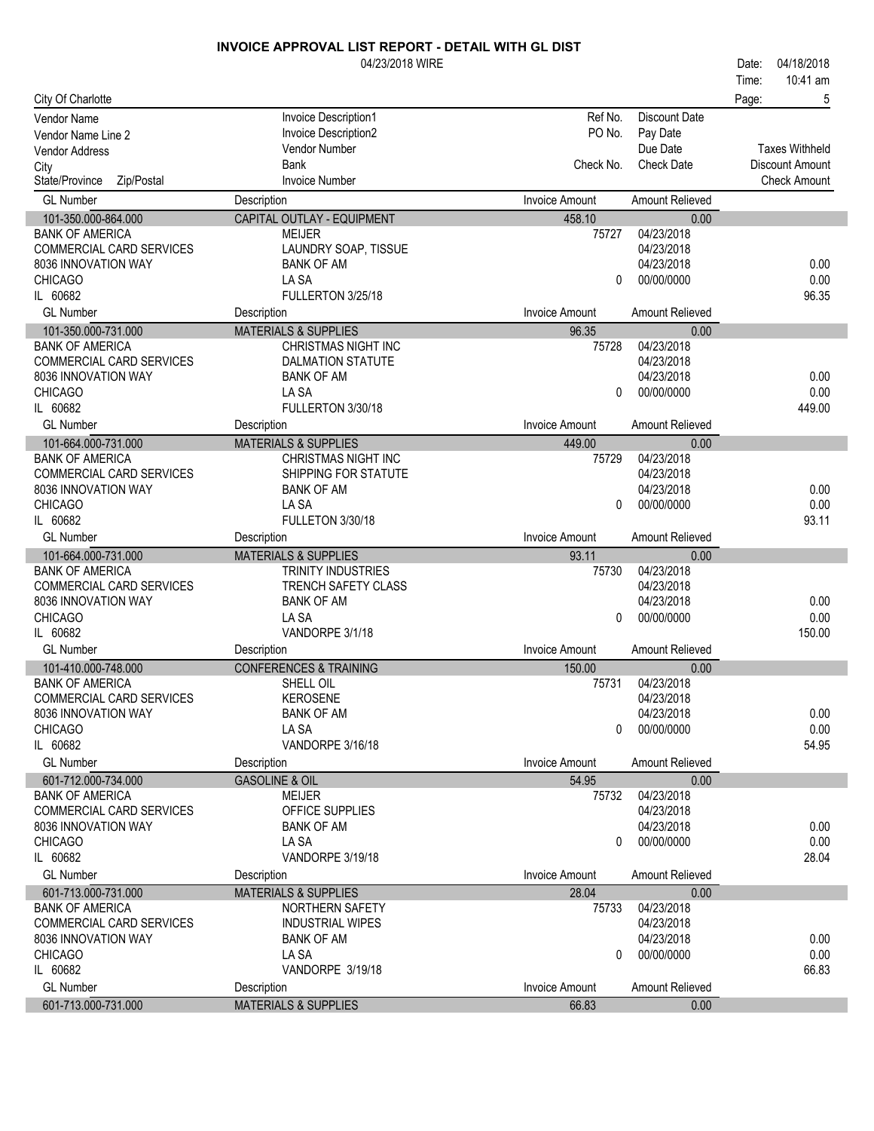|                                                 | 04/23/2018 WIRE                           |                       |                          | 04/18/2018<br>Date:    |
|-------------------------------------------------|-------------------------------------------|-----------------------|--------------------------|------------------------|
|                                                 |                                           |                       |                          | 10:41 am<br>Time:      |
| City Of Charlotte                               |                                           |                       |                          | Page:<br>5             |
| <b>Vendor Name</b>                              | Invoice Description1                      | Ref No.               | <b>Discount Date</b>     |                        |
| Vendor Name Line 2                              | Invoice Description2                      | PO No.                | Pay Date                 |                        |
| <b>Vendor Address</b>                           | Vendor Number                             |                       | Due Date                 | <b>Taxes Withheld</b>  |
| City                                            | <b>Bank</b>                               | Check No.             | <b>Check Date</b>        | <b>Discount Amount</b> |
| State/Province<br>Zip/Postal                    | <b>Invoice Number</b>                     |                       |                          | <b>Check Amount</b>    |
| <b>GL Number</b>                                | Description                               | <b>Invoice Amount</b> | Amount Relieved          |                        |
| 101-350.000-864.000                             | CAPITAL OUTLAY - EQUIPMENT                | 458.10                | 0.00                     |                        |
| <b>BANK OF AMERICA</b>                          | <b>MEIJER</b>                             | 75727                 | 04/23/2018               |                        |
| COMMERCIAL CARD SERVICES<br>8036 INNOVATION WAY | LAUNDRY SOAP, TISSUE<br><b>BANK OF AM</b> |                       | 04/23/2018<br>04/23/2018 | 0.00                   |
| <b>CHICAGO</b>                                  | LA SA                                     | 0                     | 00/00/0000               | 0.00                   |
| IL 60682                                        | FULLERTON 3/25/18                         |                       |                          | 96.35                  |
| <b>GL Number</b>                                | Description                               | <b>Invoice Amount</b> | Amount Relieved          |                        |
| 101-350.000-731.000                             | <b>MATERIALS &amp; SUPPLIES</b>           | 96.35                 | 0.00                     |                        |
| <b>BANK OF AMERICA</b>                          | <b>CHRISTMAS NIGHT INC</b>                | 75728                 | 04/23/2018               |                        |
| <b>COMMERCIAL CARD SERVICES</b>                 | <b>DALMATION STATUTE</b>                  |                       | 04/23/2018               |                        |
| 8036 INNOVATION WAY                             | <b>BANK OF AM</b>                         |                       | 04/23/2018               | 0.00                   |
| <b>CHICAGO</b>                                  | LA SA                                     | $\Omega$              | 00/00/0000               | 0.00                   |
| IL 60682                                        | FULLERTON 3/30/18                         |                       |                          | 449.00                 |
| <b>GL Number</b>                                | Description                               | <b>Invoice Amount</b> | <b>Amount Relieved</b>   |                        |
| 101-664.000-731.000                             | <b>MATERIALS &amp; SUPPLIES</b>           | 449.00                | 0.00                     |                        |
| <b>BANK OF AMERICA</b>                          | <b>CHRISTMAS NIGHT INC</b>                | 75729                 | 04/23/2018               |                        |
| <b>COMMERCIAL CARD SERVICES</b>                 | SHIPPING FOR STATUTE                      |                       | 04/23/2018               |                        |
| 8036 INNOVATION WAY                             | <b>BANK OF AM</b>                         |                       | 04/23/2018               | 0.00                   |
| <b>CHICAGO</b><br>IL 60682                      | LA SA<br>FULLETON 3/30/18                 | 0                     | 00/00/0000               | 0.00<br>93.11          |
| <b>GL Number</b>                                | Description                               | <b>Invoice Amount</b> | <b>Amount Relieved</b>   |                        |
| 101-664.000-731.000                             | <b>MATERIALS &amp; SUPPLIES</b>           | 93.11                 | 0.00                     |                        |
| <b>BANK OF AMERICA</b>                          | <b>TRINITY INDUSTRIES</b>                 | 75730                 | 04/23/2018               |                        |
| COMMERCIAL CARD SERVICES                        | TRENCH SAFETY CLASS                       |                       | 04/23/2018               |                        |
| 8036 INNOVATION WAY                             | <b>BANK OF AM</b>                         |                       | 04/23/2018               | 0.00                   |
| <b>CHICAGO</b>                                  | LA SA                                     | 0                     | 00/00/0000               | 0.00                   |
| IL 60682                                        | VANDORPE 3/1/18                           |                       |                          | 150.00                 |
| <b>GL Number</b>                                | Description                               | <b>Invoice Amount</b> | Amount Relieved          |                        |
| 101-410.000-748.000                             | <b>CONFERENCES &amp; TRAINING</b>         | 150.00                | 0.00                     |                        |
| <b>BANK OF AMERICA</b>                          | SHELL OIL                                 | 75731                 | 04/23/2018               |                        |
| COMMERCIAL CARD SERVICES                        | <b>KEROSENE</b>                           |                       | 04/23/2018               |                        |
| 8036 INNOVATION WAY<br><b>CHICAGO</b>           | <b>BANK OF AM</b><br>LA SA                | 0                     | 04/23/2018<br>00/00/0000 | 0.00<br>0.00           |
| IL 60682                                        | VANDORPE 3/16/18                          |                       |                          | 54.95                  |
| <b>GL Number</b>                                | Description                               | <b>Invoice Amount</b> | <b>Amount Relieved</b>   |                        |
| 601-712.000-734.000                             | <b>GASOLINE &amp; OIL</b>                 | 54.95                 | 0.00                     |                        |
| <b>BANK OF AMERICA</b>                          | <b>MEIJER</b>                             | 75732                 | 04/23/2018               |                        |
| COMMERCIAL CARD SERVICES                        | OFFICE SUPPLIES                           |                       | 04/23/2018               |                        |
| 8036 INNOVATION WAY                             | <b>BANK OF AM</b>                         |                       | 04/23/2018               | 0.00                   |
| <b>CHICAGO</b>                                  | LA SA                                     | 0                     | 00/00/0000               | 0.00                   |
| IL 60682                                        | VANDORPE 3/19/18                          |                       |                          | 28.04                  |
| <b>GL Number</b>                                | Description                               | <b>Invoice Amount</b> | <b>Amount Relieved</b>   |                        |
| 601-713.000-731.000                             | <b>MATERIALS &amp; SUPPLIES</b>           | 28.04                 | 0.00                     |                        |
| <b>BANK OF AMERICA</b>                          | NORTHERN SAFETY                           | 75733                 | 04/23/2018               |                        |
| COMMERCIAL CARD SERVICES                        | <b>INDUSTRIAL WIPES</b>                   |                       | 04/23/2018               |                        |
| 8036 INNOVATION WAY                             | <b>BANK OF AM</b>                         |                       | 04/23/2018               | 0.00                   |
| <b>CHICAGO</b>                                  | LA SA                                     | 0                     | 00/00/0000               | 0.00                   |
| IL 60682                                        | VANDORPE 3/19/18                          |                       |                          | 66.83                  |
| <b>GL Number</b><br>601-713.000-731.000         | Description                               | <b>Invoice Amount</b> | Amount Relieved          |                        |
|                                                 | <b>MATERIALS &amp; SUPPLIES</b>           | 66.83                 | 0.00                     |                        |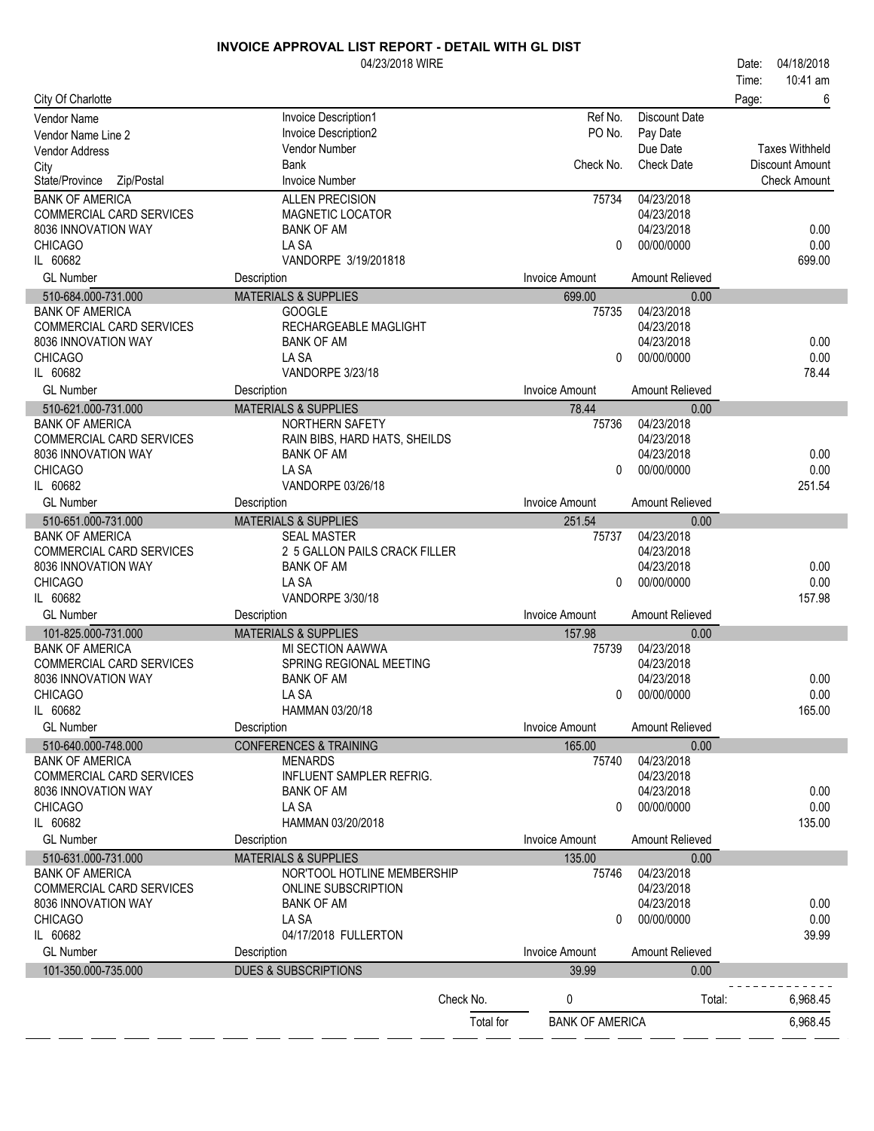|                                                 | 04/23/2018 WIRE                          |           |                        |                          | 04/18/2018<br>Date:   |
|-------------------------------------------------|------------------------------------------|-----------|------------------------|--------------------------|-----------------------|
|                                                 |                                          |           |                        |                          | 10:41 am<br>Time:     |
| City Of Charlotte                               |                                          |           |                        |                          | 6<br>Page:            |
| <b>Vendor Name</b>                              | Invoice Description1                     |           | Ref No.                | <b>Discount Date</b>     |                       |
| Vendor Name Line 2                              | Invoice Description2                     |           | PO No.                 | Pay Date                 |                       |
| Vendor Address                                  | Vendor Number                            |           |                        | Due Date                 | <b>Taxes Withheld</b> |
| City                                            | <b>Bank</b>                              |           | Check No.              | <b>Check Date</b>        | Discount Amount       |
| State/Province<br>Zip/Postal                    | <b>Invoice Number</b>                    |           |                        |                          | <b>Check Amount</b>   |
| <b>BANK OF AMERICA</b>                          | <b>ALLEN PRECISION</b>                   |           | 75734                  | 04/23/2018               |                       |
| COMMERCIAL CARD SERVICES                        | <b>MAGNETIC LOCATOR</b>                  |           |                        | 04/23/2018               |                       |
| 8036 INNOVATION WAY                             | <b>BANK OF AM</b>                        |           |                        | 04/23/2018               | 0.00                  |
| <b>CHICAGO</b>                                  | LA SA                                    |           | 0                      | 00/00/0000               | 0.00                  |
| IL 60682                                        | VANDORPE 3/19/201818                     |           |                        |                          | 699.00                |
| <b>GL Number</b>                                | Description                              |           | <b>Invoice Amount</b>  | Amount Relieved          |                       |
| 510-684.000-731.000                             | <b>MATERIALS &amp; SUPPLIES</b>          |           | 699.00                 | 0.00                     |                       |
| <b>BANK OF AMERICA</b>                          | <b>GOOGLE</b>                            |           | 75735                  | 04/23/2018               |                       |
| COMMERCIAL CARD SERVICES                        | RECHARGEABLE MAGLIGHT                    |           |                        | 04/23/2018               |                       |
| 8036 INNOVATION WAY                             | <b>BANK OF AM</b>                        |           |                        | 04/23/2018               | 0.00                  |
| <b>CHICAGO</b>                                  | LA SA                                    |           | $\Omega$               | 00/00/0000               | 0.00                  |
| IL 60682                                        | VANDORPE 3/23/18                         |           |                        |                          | 78.44                 |
| <b>GL Number</b>                                | Description                              |           | <b>Invoice Amount</b>  | Amount Relieved          |                       |
| 510-621.000-731.000                             | <b>MATERIALS &amp; SUPPLIES</b>          |           | 78.44                  | 0.00                     |                       |
| <b>BANK OF AMERICA</b>                          | NORTHERN SAFETY                          |           | 75736                  | 04/23/2018               |                       |
| COMMERCIAL CARD SERVICES                        | RAIN BIBS, HARD HATS, SHEILDS            |           |                        | 04/23/2018               |                       |
| 8036 INNOVATION WAY                             | <b>BANK OF AM</b>                        |           |                        | 04/23/2018               | 0.00                  |
| <b>CHICAGO</b>                                  | LA SA                                    |           | $\Omega$               | 00/00/0000               | 0.00                  |
| IL 60682                                        | VANDORPE 03/26/18                        |           |                        |                          | 251.54                |
| <b>GL Number</b>                                | Description                              |           | <b>Invoice Amount</b>  | Amount Relieved          |                       |
| 510-651.000-731.000                             | <b>MATERIALS &amp; SUPPLIES</b>          |           | 251.54                 | 0.00                     |                       |
| <b>BANK OF AMERICA</b>                          | <b>SEAL MASTER</b>                       |           | 75737                  | 04/23/2018               |                       |
| COMMERCIAL CARD SERVICES                        | 2 5 GALLON PAILS CRACK FILLER            |           |                        | 04/23/2018               |                       |
| 8036 INNOVATION WAY                             | <b>BANK OF AM</b>                        |           |                        | 04/23/2018               | 0.00                  |
| <b>CHICAGO</b>                                  | LA SA                                    |           | $\Omega$               | 00/00/0000               | 0.00                  |
| IL 60682                                        | VANDORPE 3/30/18                         |           |                        |                          | 157.98                |
| <b>GL Number</b>                                | Description                              |           | <b>Invoice Amount</b>  | Amount Relieved          |                       |
| 101-825.000-731.000                             | <b>MATERIALS &amp; SUPPLIES</b>          |           | 157.98                 | 0.00                     |                       |
| <b>BANK OF AMERICA</b>                          | MI SECTION AAWWA                         |           | 75739                  | 04/23/2018               |                       |
| COMMERCIAL CARD SERVICES                        | SPRING REGIONAL MEETING                  |           |                        | 04/23/2018               |                       |
| 8036 INNOVATION WAY                             | <b>BANK OF AM</b>                        |           |                        | 04/23/2018               | 0.00                  |
| <b>CHICAGO</b>                                  | I A SA                                   |           | $\mathbf{0}$           | 00/00/0000               | 0.00                  |
| IL 60682                                        | HAMMAN 03/20/18                          |           |                        |                          | 165.00                |
| <b>GL Number</b>                                | Description                              |           | <b>Invoice Amount</b>  | Amount Relieved          |                       |
| 510-640.000-748.000                             | <b>CONFERENCES &amp; TRAINING</b>        |           | 165.00                 | 0.00                     |                       |
| <b>BANK OF AMERICA</b>                          | <b>MENARDS</b>                           |           | 75740                  | 04/23/2018               |                       |
| COMMERCIAL CARD SERVICES<br>8036 INNOVATION WAY | <b>INFLUENT SAMPLER REFRIG.</b>          |           |                        | 04/23/2018               |                       |
|                                                 | <b>BANK OF AM</b>                        |           |                        | 04/23/2018               | 0.00                  |
| <b>CHICAGO</b>                                  | LA SA                                    |           | 0                      | 00/00/0000               | 0.00                  |
| IL 60682                                        | HAMMAN 03/20/2018                        |           |                        |                          | 135.00                |
| <b>GL Number</b>                                | Description                              |           | <b>Invoice Amount</b>  | Amount Relieved          |                       |
| 510-631.000-731.000                             | <b>MATERIALS &amp; SUPPLIES</b>          |           | 135.00                 | 0.00                     |                       |
| <b>BANK OF AMERICA</b>                          | NOR'TOOL HOTLINE MEMBERSHIP              |           | 75746                  | 04/23/2018               |                       |
| COMMERCIAL CARD SERVICES<br>8036 INNOVATION WAY | ONLINE SUBSCRIPTION<br><b>BANK OF AM</b> |           |                        | 04/23/2018<br>04/23/2018 | 0.00                  |
| <b>CHICAGO</b>                                  | LA SA                                    |           | 0                      | 00/00/0000               | 0.00                  |
| IL 60682                                        | 04/17/2018 FULLERTON                     |           |                        |                          | 39.99                 |
| <b>GL Number</b>                                |                                          |           | <b>Invoice Amount</b>  | Amount Relieved          |                       |
|                                                 | Description                              |           |                        |                          |                       |
| 101-350.000-735.000                             | <b>DUES &amp; SUBSCRIPTIONS</b>          |           | 39.99                  | 0.00                     |                       |
|                                                 |                                          | Check No. | 0                      | Total:                   | 6,968.45              |
|                                                 |                                          |           |                        |                          |                       |
|                                                 |                                          | Total for | <b>BANK OF AMERICA</b> |                          | 6,968.45              |

 $\overline{a}$ 

 $\sim$ 

J.